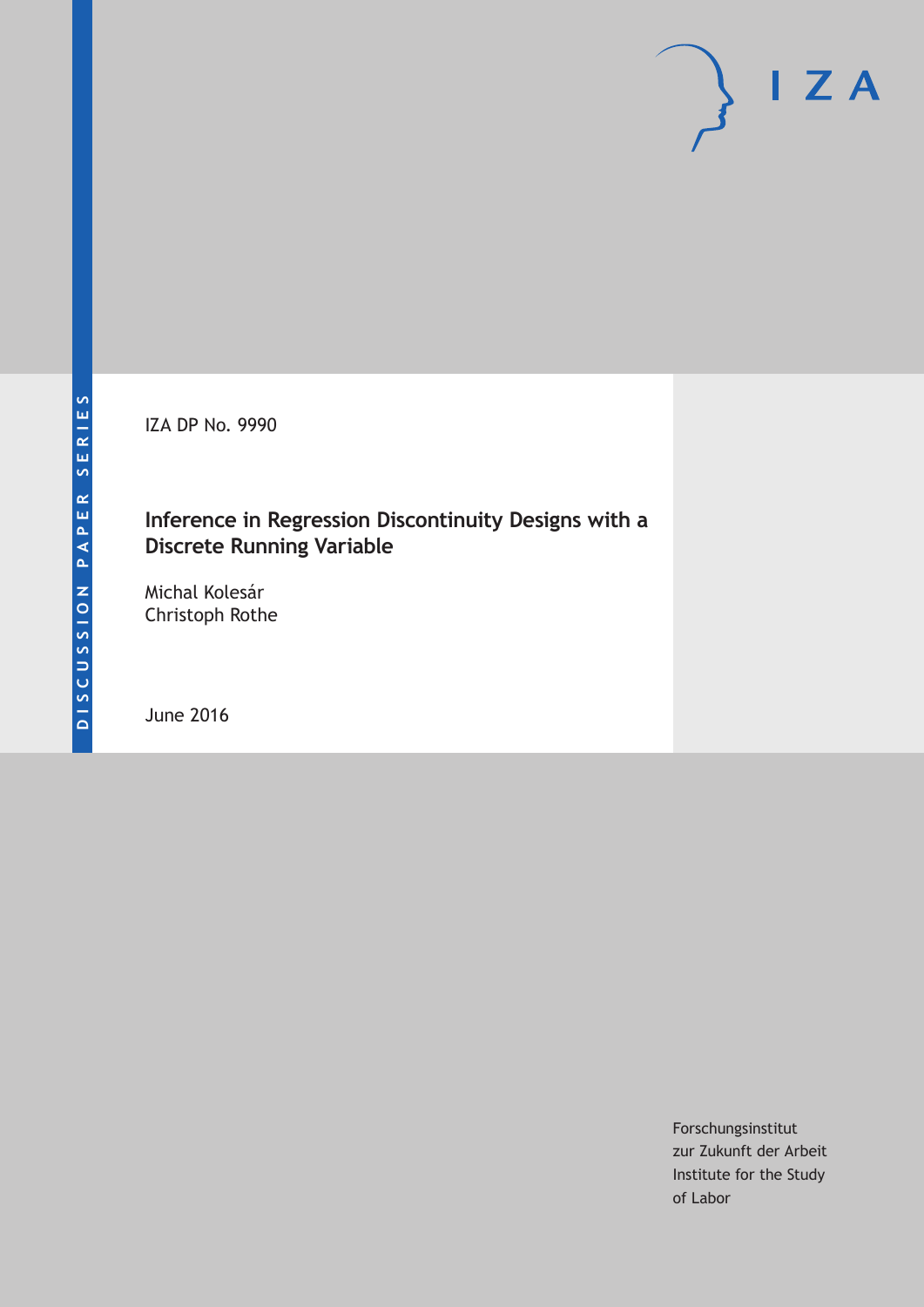IZA DP No. 9990

## **Inference in Regression Discontinuity Designs with a Discrete Running Variable**

Michal Kolesár Christoph Rothe

June 2016

Forschungsinstitut zur Zukunft der Arbeit Institute for the Study of Labor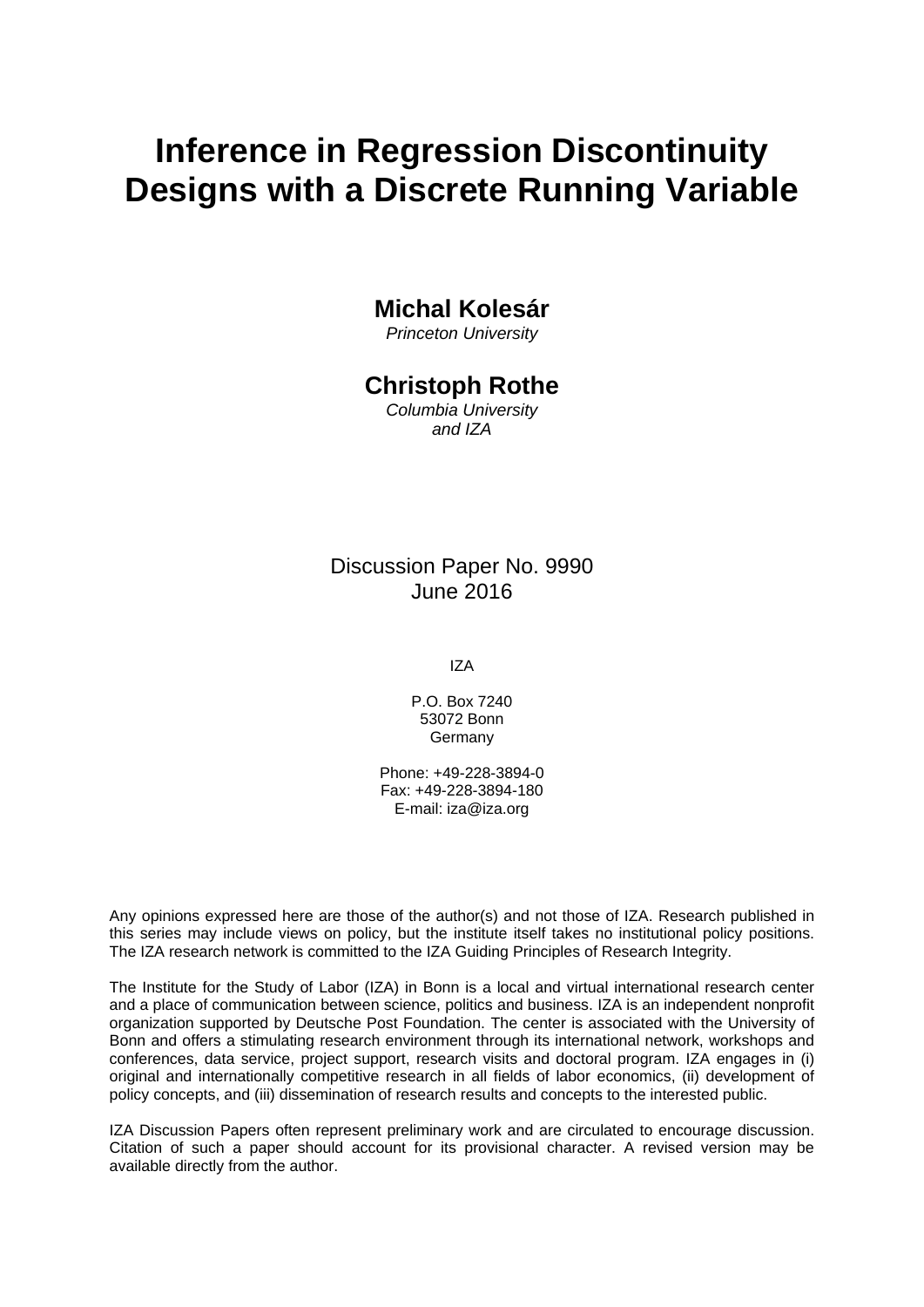# **Inference in Regression Discontinuity Designs with a Discrete Running Variable**

### **Michal Kolesár**

*Princeton University* 

### **Christoph Rothe**

*Columbia University and IZA* 

### Discussion Paper No. 9990 June 2016

IZA

P.O. Box 7240 53072 Bonn Germany

Phone: +49-228-3894-0 Fax: +49-228-3894-180 E-mail: iza@iza.org

Any opinions expressed here are those of the author(s) and not those of IZA. Research published in this series may include views on policy, but the institute itself takes no institutional policy positions. The IZA research network is committed to the IZA Guiding Principles of Research Integrity.

The Institute for the Study of Labor (IZA) in Bonn is a local and virtual international research center and a place of communication between science, politics and business. IZA is an independent nonprofit organization supported by Deutsche Post Foundation. The center is associated with the University of Bonn and offers a stimulating research environment through its international network, workshops and conferences, data service, project support, research visits and doctoral program. IZA engages in (i) original and internationally competitive research in all fields of labor economics, (ii) development of policy concepts, and (iii) dissemination of research results and concepts to the interested public.

IZA Discussion Papers often represent preliminary work and are circulated to encourage discussion. Citation of such a paper should account for its provisional character. A revised version may be available directly from the author.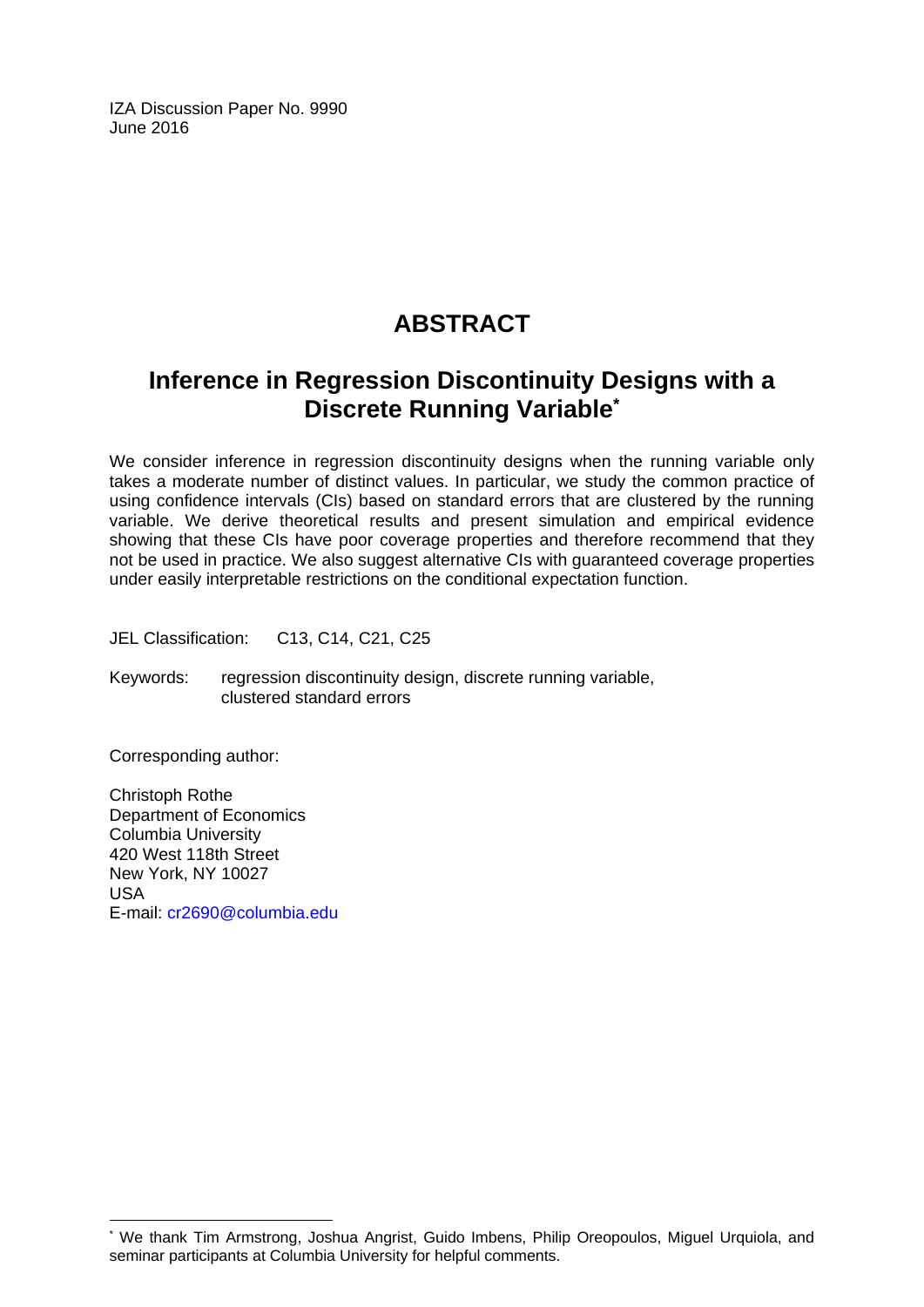IZA Discussion Paper No. 9990 June 2016

## **ABSTRACT**

## **Inference in Regression Discontinuity Designs with a Discrete Running Variable\***

We consider inference in regression discontinuity designs when the running variable only takes a moderate number of distinct values. In particular, we study the common practice of using confidence intervals (CIs) based on standard errors that are clustered by the running variable. We derive theoretical results and present simulation and empirical evidence showing that these CIs have poor coverage properties and therefore recommend that they not be used in practice. We also suggest alternative CIs with guaranteed coverage properties under easily interpretable restrictions on the conditional expectation function.

JEL Classification: C13, C14, C21, C25

Keywords: regression discontinuity design, discrete running variable, clustered standard errors

Corresponding author:

 $\overline{\phantom{a}}$ 

Christoph Rothe Department of Economics Columbia University 420 West 118th Street New York, NY 10027 USA E-mail: cr2690@columbia.edu

<sup>\*</sup> We thank Tim Armstrong, Joshua Angrist, Guido Imbens, Philip Oreopoulos, Miguel Urquiola, and seminar participants at Columbia University for helpful comments.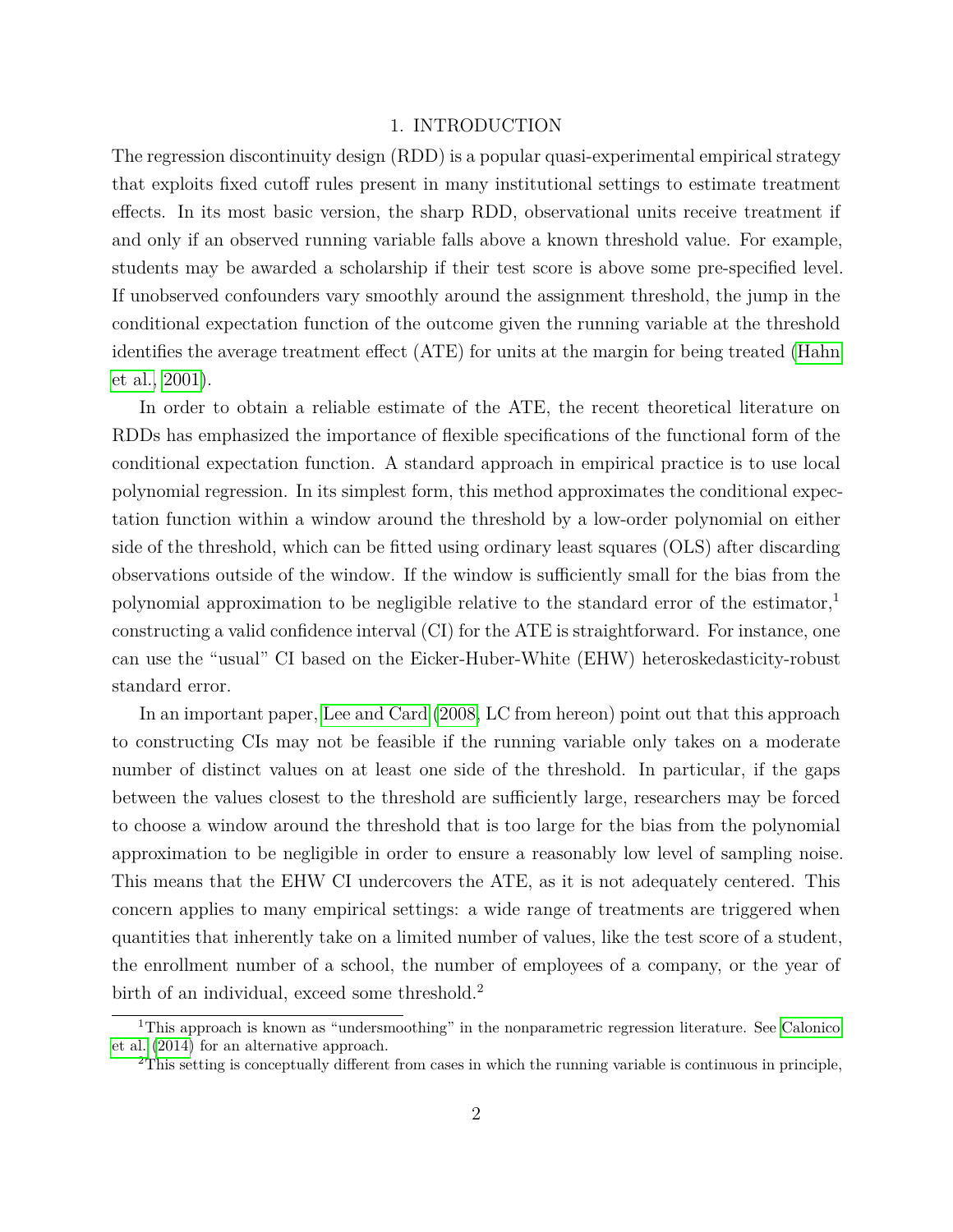#### 1. INTRODUCTION

The regression discontinuity design (RDD) is a popular quasi-experimental empirical strategy that exploits fixed cutoff rules present in many institutional settings to estimate treatment effects. In its most basic version, the sharp RDD, observational units receive treatment if and only if an observed running variable falls above a known threshold value. For example, students may be awarded a scholarship if their test score is above some pre-specified level. If unobserved confounders vary smoothly around the assignment threshold, the jump in the conditional expectation function of the outcome given the running variable at the threshold identifies the average treatment effect (ATE) for units at the margin for being treated [\(Hahn](#page-39-0) [et al., 2001\)](#page-39-0).

In order to obtain a reliable estimate of the ATE, the recent theoretical literature on RDDs has emphasized the importance of flexible specifications of the functional form of the conditional expectation function. A standard approach in empirical practice is to use local polynomial regression. In its simplest form, this method approximates the conditional expectation function within a window around the threshold by a low-order polynomial on either side of the threshold, which can be fitted using ordinary least squares (OLS) after discarding observations outside of the window. If the window is sufficiently small for the bias from the polynomial approximation to be negligible relative to the standard error of the estimator,<sup>1</sup> constructing a valid confidence interval (CI) for the ATE is straightforward. For instance, one can use the "usual" CI based on the Eicker-Huber-White (EHW) heteroskedasticity-robust standard error.

In an important paper, [Lee and Card](#page-39-1) [\(2008,](#page-39-1) LC from hereon) point out that this approach to constructing CIs may not be feasible if the running variable only takes on a moderate number of distinct values on at least one side of the threshold. In particular, if the gaps between the values closest to the threshold are sufficiently large, researchers may be forced to choose a window around the threshold that is too large for the bias from the polynomial approximation to be negligible in order to ensure a reasonably low level of sampling noise. This means that the EHW CI undercovers the ATE, as it is not adequately centered. This concern applies to many empirical settings: a wide range of treatments are triggered when quantities that inherently take on a limited number of values, like the test score of a student, the enrollment number of a school, the number of employees of a company, or the year of birth of an individual, exceed some threshold.<sup>2</sup>

<sup>&</sup>lt;sup>1</sup>This approach is known as "undersmoothing" in the nonparametric regression literature. See [Calonico](#page-38-0) [et al.](#page-38-0) [\(2014\)](#page-38-0) for an alternative approach.

<sup>2</sup>This setting is conceptually different from cases in which the running variable is continuous in principle,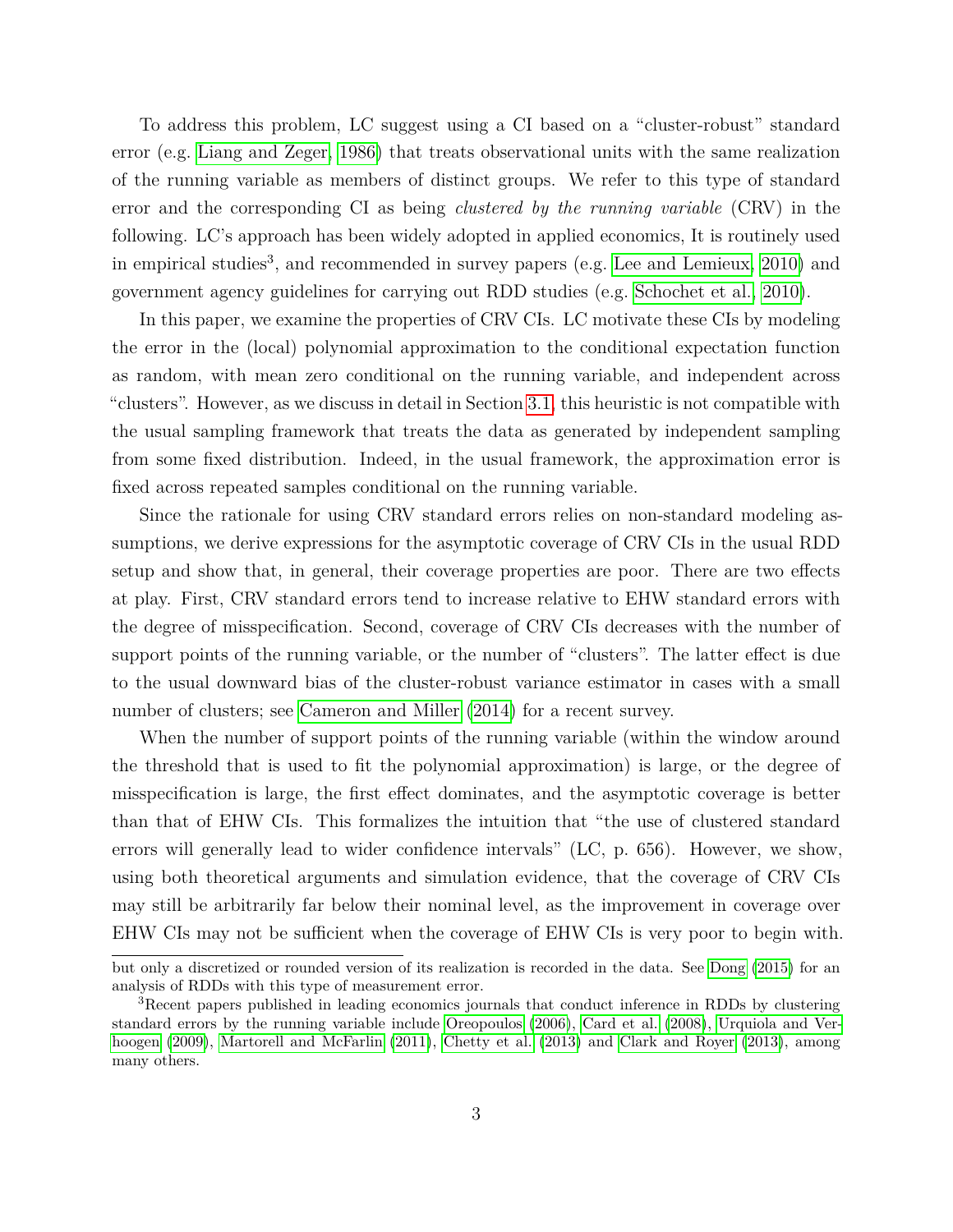To address this problem, LC suggest using a CI based on a "cluster-robust" standard error (e.g. [Liang and Zeger, 1986\)](#page-40-0) that treats observational units with the same realization of the running variable as members of distinct groups. We refer to this type of standard error and the corresponding CI as being *clustered by the running variable* (CRV) in the following. LC's approach has been widely adopted in applied economics, It is routinely used in empirical studies<sup>3</sup>, and recommended in survey papers (e.g. [Lee and Lemieux, 2010\)](#page-40-1) and government agency guidelines for carrying out RDD studies (e.g. [Schochet et al., 2010\)](#page-40-2).

In this paper, we examine the properties of CRV CIs. LC motivate these CIs by modeling the error in the (local) polynomial approximation to the conditional expectation function as random, with mean zero conditional on the running variable, and independent across "clusters". However, as we discuss in detail in Section [3.1,](#page-9-0) this heuristic is not compatible with the usual sampling framework that treats the data as generated by independent sampling from some fixed distribution. Indeed, in the usual framework, the approximation error is fixed across repeated samples conditional on the running variable.

Since the rationale for using CRV standard errors relies on non-standard modeling assumptions, we derive expressions for the asymptotic coverage of CRV CIs in the usual RDD setup and show that, in general, their coverage properties are poor. There are two effects at play. First, CRV standard errors tend to increase relative to EHW standard errors with the degree of misspecification. Second, coverage of CRV CIs decreases with the number of support points of the running variable, or the number of "clusters". The latter effect is due to the usual downward bias of the cluster-robust variance estimator in cases with a small number of clusters; see [Cameron and Miller](#page-39-2)  $(2014)$  for a recent survey.

When the number of support points of the running variable (within the window around the threshold that is used to fit the polynomial approximation) is large, or the degree of misspecification is large, the first effect dominates, and the asymptotic coverage is better than that of EHW CIs. This formalizes the intuition that "the use of clustered standard errors will generally lead to wider confidence intervals" (LC, p. 656). However, we show, using both theoretical arguments and simulation evidence, that the coverage of CRV CIs may still be arbitrarily far below their nominal level, as the improvement in coverage over EHW CIs may not be sufficient when the coverage of EHW CIs is very poor to begin with.

but only a discretized or rounded version of its realization is recorded in the data. See [Dong](#page-39-3) [\(2015\)](#page-39-3) for an analysis of RDDs with this type of measurement error.

<sup>3</sup>Recent papers published in leading economics journals that conduct inference in RDDs by clustering standard errors by the running variable include [Oreopoulos](#page-40-3) [\(2006\)](#page-40-3), [Card et al.](#page-39-4) [\(2008\)](#page-39-4), [Urquiola and Ver](#page-40-4)[hoogen](#page-40-4) [\(2009\)](#page-40-4), [Martorell and McFarlin](#page-40-5) [\(2011\)](#page-40-5), [Chetty et al.](#page-39-5) [\(2013\)](#page-39-5) and [Clark and Royer](#page-39-6) [\(2013\)](#page-39-6), among many others.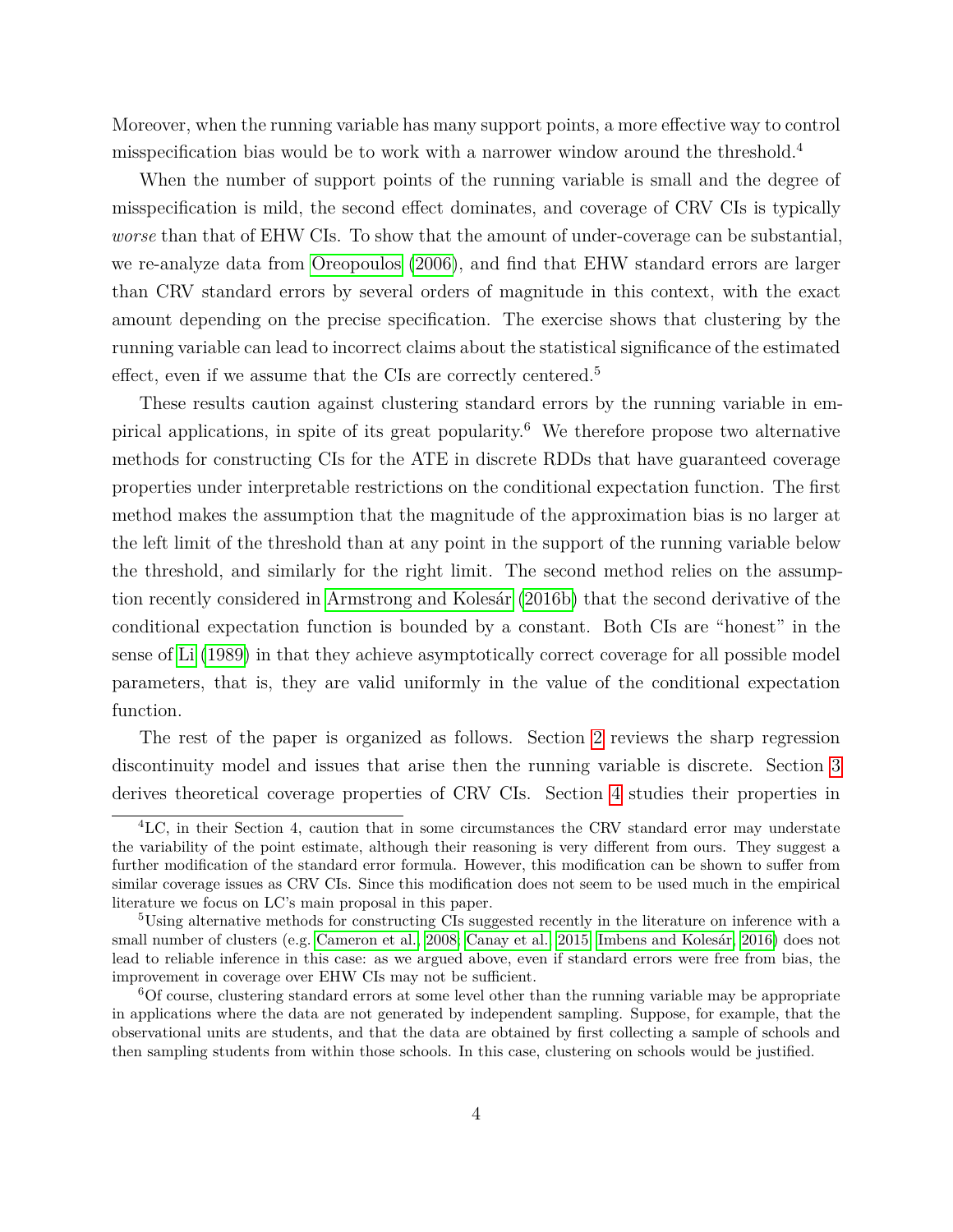Moreover, when the running variable has many support points, a more effective way to control misspecification bias would be to work with a narrower window around the threshold.<sup>4</sup>

When the number of support points of the running variable is small and the degree of misspecification is mild, the second effect dominates, and coverage of CRV CIs is typically *worse* than that of EHW CIs. To show that the amount of under-coverage can be substantial, we re-analyze data from [Oreopoulos](#page-40-3) [\(2006\)](#page-40-3), and find that EHW standard errors are larger than CRV standard errors by several orders of magnitude in this context, with the exact amount depending on the precise specification. The exercise shows that clustering by the running variable can lead to incorrect claims about the statistical significance of the estimated effect, even if we assume that the CIs are correctly centered.<sup>5</sup>

These results caution against clustering standard errors by the running variable in empirical applications, in spite of its great popularity.<sup>6</sup> We therefore propose two alternative methods for constructing CIs for the ATE in discrete RDDs that have guaranteed coverage properties under interpretable restrictions on the conditional expectation function. The first method makes the assumption that the magnitude of the approximation bias is no larger at the left limit of the threshold than at any point in the support of the running variable below the threshold, and similarly for the right limit. The second method relies on the assumption recently considered in [Armstrong and Kolesár](#page-38-1) [\(2016b\)](#page-38-1) that the second derivative of the conditional expectation function is bounded by a constant. Both CIs are "honest" in the sense of [Li](#page-40-6) [\(1989\)](#page-40-6) in that they achieve asymptotically correct coverage for all possible model parameters, that is, they are valid uniformly in the value of the conditional expectation function.

The rest of the paper is organized as follows. Section [2](#page-6-0) reviews the sharp regression discontinuity model and issues that arise then the running variable is discrete. Section [3](#page-9-1) derives theoretical coverage properties of CRV CIs. Section [4](#page-15-0) studies their properties in

<sup>4</sup>LC, in their Section 4, caution that in some circumstances the CRV standard error may understate the variability of the point estimate, although their reasoning is very different from ours. They suggest a further modification of the standard error formula. However, this modification can be shown to suffer from similar coverage issues as CRV CIs. Since this modification does not seem to be used much in the empirical literature we focus on LC's main proposal in this paper.

<sup>&</sup>lt;sup>5</sup>Using alternative methods for constructing CIs suggested recently in the literature on inference with a small number of clusters (e.g. [Cameron et al., 2008;](#page-39-7) [Canay et al., 2015;](#page-39-8) [Imbens and Kolesár, 2016\)](#page-39-9) does not lead to reliable inference in this case: as we argued above, even if standard errors were free from bias, the improvement in coverage over EHW CIs may not be sufficient.

<sup>6</sup>Of course, clustering standard errors at some level other than the running variable may be appropriate in applications where the data are not generated by independent sampling. Suppose, for example, that the observational units are students, and that the data are obtained by first collecting a sample of schools and then sampling students from within those schools. In this case, clustering on schools would be justified.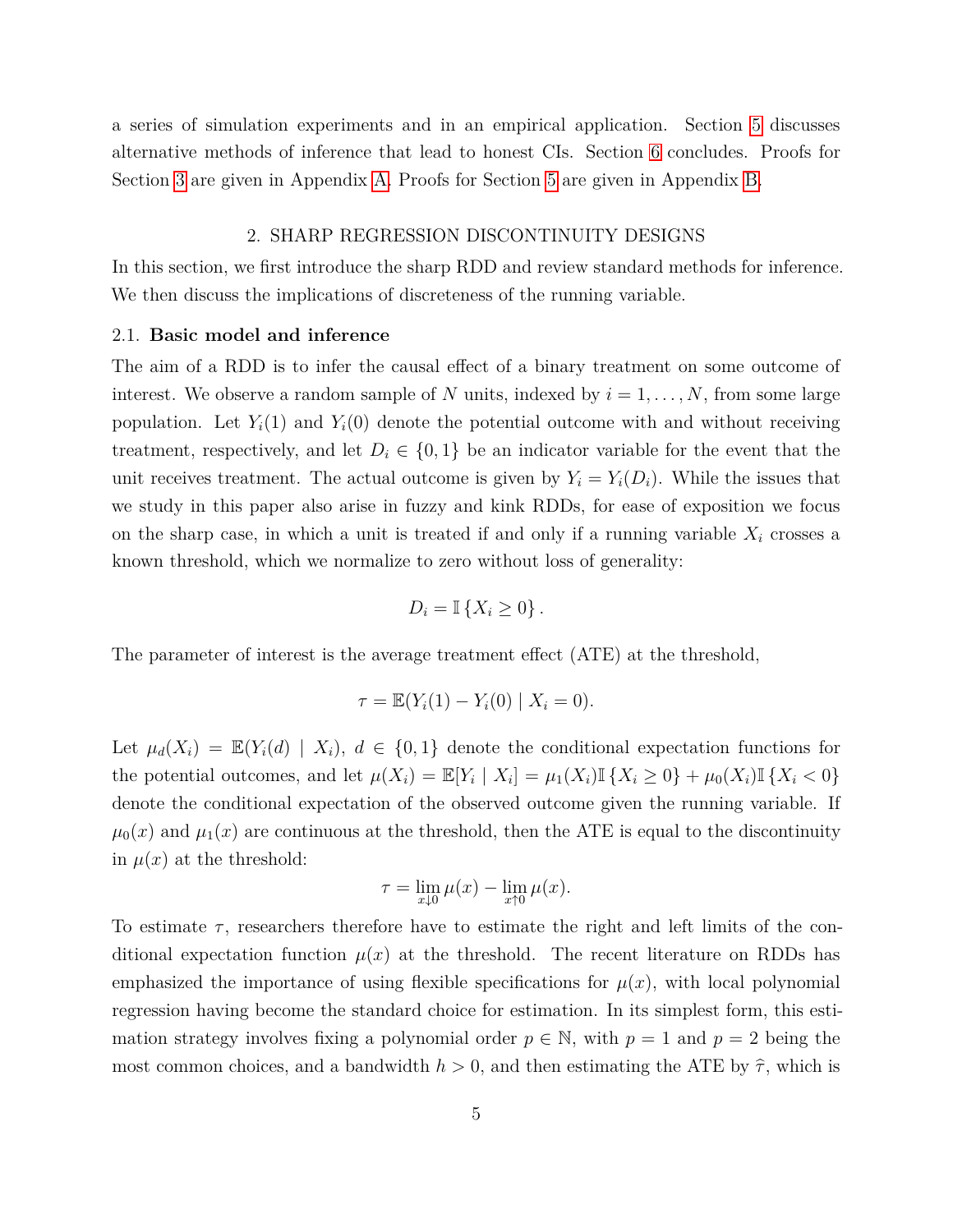<span id="page-6-0"></span>a series of simulation experiments and in an empirical application. Section [5](#page-27-0) discusses alternative methods of inference that lead to honest CIs. Section [6](#page-30-0) concludes. Proofs for Section [3](#page-9-1) are given in Appendix [A.](#page-30-1) Proofs for Section [5](#page-21-0) are given in Appendix [B.](#page-36-0)

#### 2. SHARP REGRESSION DISCONTINUITY DESIGNS

In this section, we first introduce the sharp RDD and review standard methods for inference. We then discuss the implications of discreteness of the running variable.

#### <span id="page-6-1"></span>2.1. **Basic model and inference**

The aim of a RDD is to infer the causal effect of a binary treatment on some outcome of interest. We observe a random sample of *N* units, indexed by  $i = 1, \ldots, N$ , from some large population. Let  $Y_i(1)$  and  $Y_i(0)$  denote the potential outcome with and without receiving treatment, respectively, and let  $D_i \in \{0,1\}$  be an indicator variable for the event that the unit receives treatment. The actual outcome is given by  $Y_i = Y_i(D_i)$ . While the issues that we study in this paper also arise in fuzzy and kink RDDs, for ease of exposition we focus on the sharp case, in which a unit is treated if and only if a running variable  $X_i$  crosses a known threshold, which we normalize to zero without loss of generality:

$$
D_i = \mathbb{I}\left\{X_i \geq 0\right\}.
$$

The parameter of interest is the average treatment effect (ATE) at the threshold,

$$
\tau = \mathbb{E}(Y_i(1) - Y_i(0) | X_i = 0).
$$

Let  $\mu_d(X_i) = \mathbb{E}(Y_i(d) | X_i), d \in \{0,1\}$  denote the conditional expectation functions for the potential outcomes, and let  $\mu(X_i) = \mathbb{E}[Y_i \mid X_i] = \mu_1(X_i) \mathbb{I} \{X_i \geq 0\} + \mu_0(X_i) \mathbb{I} \{X_i < 0\}$ denote the conditional expectation of the observed outcome given the running variable. If  $\mu_0(x)$  and  $\mu_1(x)$  are continuous at the threshold, then the ATE is equal to the discontinuity in  $\mu(x)$  at the threshold:

$$
\tau = \lim_{x \downarrow 0} \mu(x) - \lim_{x \uparrow 0} \mu(x).
$$

To estimate  $\tau$ , researchers therefore have to estimate the right and left limits of the conditional expectation function  $\mu(x)$  at the threshold. The recent literature on RDDs has emphasized the importance of using flexible specifications for  $\mu(x)$ , with local polynomial regression having become the standard choice for estimation. In its simplest form, this estimation strategy involves fixing a polynomial order  $p \in \mathbb{N}$ , with  $p = 1$  and  $p = 2$  being the most common choices, and a bandwidth  $h > 0$ , and then estimating the ATE by  $\hat{\tau}$ , which is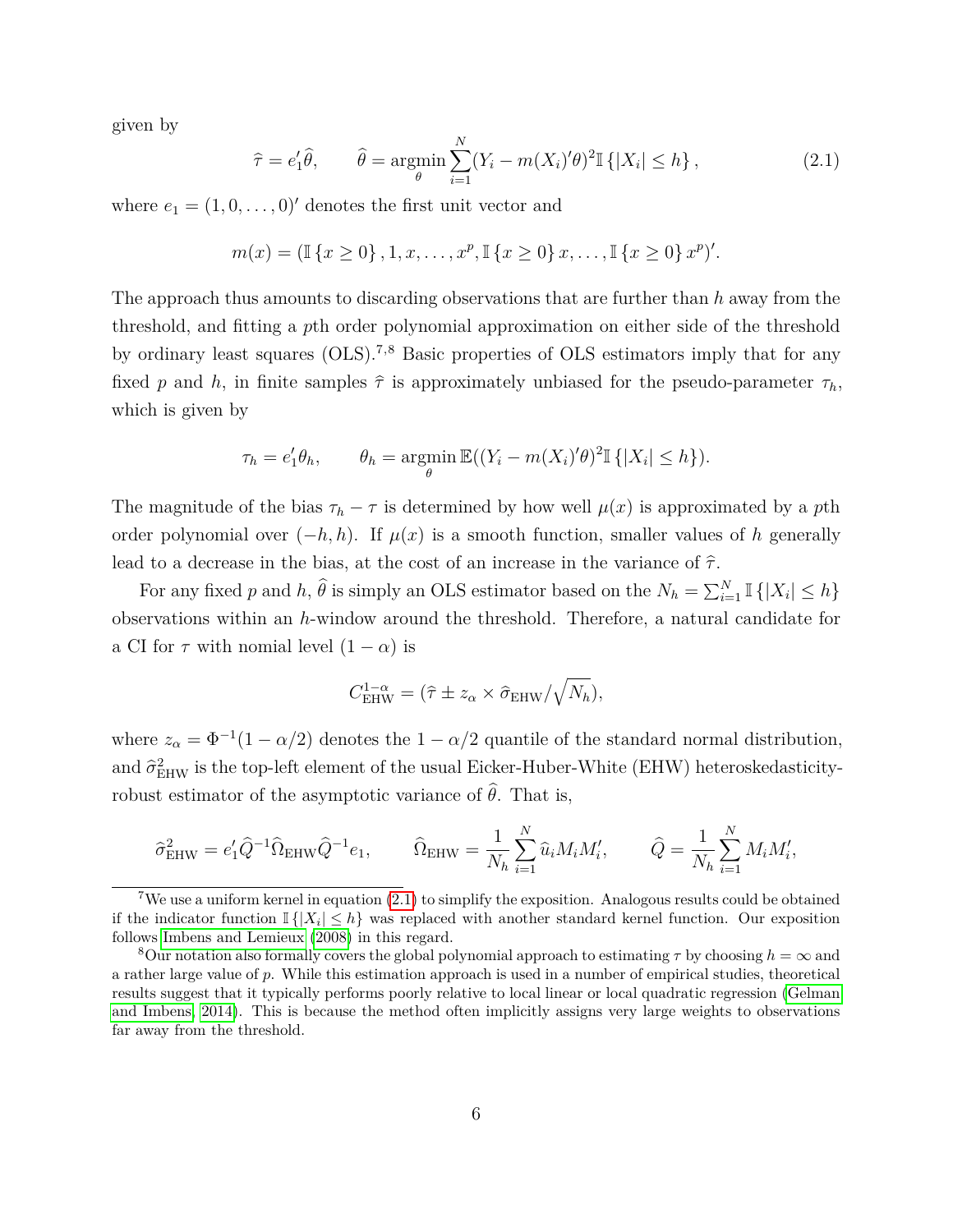given by

<span id="page-7-0"></span>
$$
\hat{\tau} = e'_1 \hat{\theta}, \qquad \hat{\theta} = \underset{\theta}{\operatorname{argmin}} \sum_{i=1}^N (Y_i - m(X_i)'\theta)^2 \mathbb{I} \left\{ |X_i| \le h \right\}, \tag{2.1}
$$

where  $e_1 = (1, 0, \ldots, 0)$ ' denotes the first unit vector and

$$
m(x) = (\mathbb{I}\{x \ge 0\}, 1, x, \dots, x^p, \mathbb{I}\{x \ge 0\} x, \dots, \mathbb{I}\{x \ge 0\} x^p)'
$$

The approach thus amounts to discarding observations that are further than *h* away from the threshold, and fitting a *p*th order polynomial approximation on either side of the threshold by ordinary least squares (OLS).7,8 Basic properties of OLS estimators imply that for any fixed *p* and *h*, in finite samples  $\hat{\tau}$  is approximately unbiased for the pseudo-parameter  $\tau_h$ , which is given by

$$
\tau_h = e'_1 \theta_h, \qquad \theta_h = \operatorname*{argmin}_{\theta} \mathbb{E}((Y_i - m(X_i)'\theta)^2 \mathbb{I}\{|X_i| \leq h\}).
$$

The magnitude of the bias  $\tau_h - \tau$  is determined by how well  $\mu(x)$  is approximated by a pth order polynomial over  $(-h, h)$ . If  $\mu(x)$  is a smooth function, smaller values of h generally lead to a decrease in the bias, at the cost of an increase in the variance of  $\hat{\tau}$ .

For any fixed *p* and *h*,  $\hat{\theta}$  is simply an OLS estimator based on the  $N_h = \sum_{i=1}^{N} \mathbb{I} \{ |X_i| \leq h \}$ observations within an *h*-window around the threshold. Therefore, a natural candidate for a CI for  $\tau$  with nomial level  $(1 - \alpha)$  is

$$
C_{\text{EHW}}^{1-\alpha} = (\hat{\tau} \pm z_{\alpha} \times \hat{\sigma}_{\text{EHW}} / \sqrt{N_h}),
$$

where  $z_{\alpha} = \Phi^{-1}(1 - \alpha/2)$  denotes the  $1 - \alpha/2$  quantile of the standard normal distribution, and  $\hat{\sigma}_{\text{EHW}}^2$  is the top-left element of the usual Eicker-Huber-White (EHW) heteroskedasticityrobust estimator of the asymptotic variance of  $\hat{\theta}$ . That is,

$$
\hat{\sigma}_{\text{EHW}}^2 = e'_1 \hat{Q}^{-1} \hat{\Omega}_{\text{EHW}} \hat{Q}^{-1} e_1, \qquad \hat{\Omega}_{\text{EHW}} = \frac{1}{N_h} \sum_{i=1}^N \hat{u}_i M_i M_i', \qquad \hat{Q} = \frac{1}{N_h} \sum_{i=1}^N M_i M_i',
$$

<sup>&</sup>lt;sup>7</sup>We use a uniform kernel in equation  $(2.1)$  to simplify the exposition. Analogous results could be obtained if the indicator function  $\mathbb{I}\{|X_i|\leq h\}$  was replaced with another standard kernel function. Our exposition follows [Imbens and Lemieux](#page-39-10) [\(2008\)](#page-39-10) in this regard.

<sup>&</sup>lt;sup>8</sup>Our notation also formally covers the global polynomial approach to estimating  $\tau$  by choosing  $h = \infty$  and a rather large value of *p*. While this estimation approach is used in a number of empirical studies, theoretical results suggest that it typically performs poorly relative to local linear or local quadratic regression [\(Gelman](#page-39-11) [and Imbens, 2014\)](#page-39-11). This is because the method often implicitly assigns very large weights to observations far away from the threshold.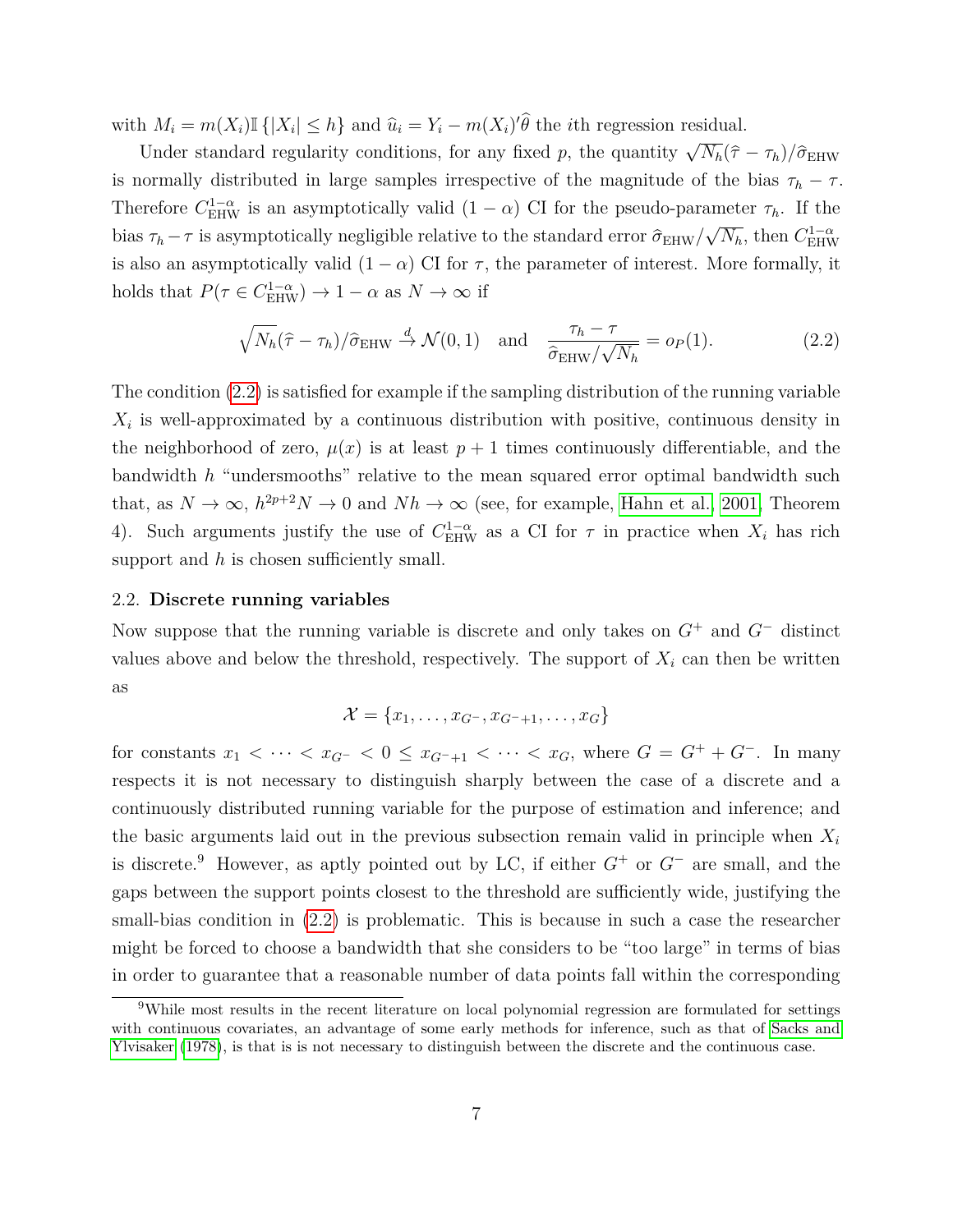with  $M_i = m(X_i) \mathbb{I} \{ |X_i| \leq h \}$  and  $\hat{u}_i = Y_i - m(X_i) \hat{\theta}$  the *i*th regression residual.

Under standard regularity conditions, for any fixed *p*, the quantity  $\sqrt{N_h}(\hat{\tau} - \tau_h)/\hat{\sigma}_{\text{EHW}}$ is normally distributed in large samples irrespective of the magnitude of the bias  $\tau_h - \tau$ . Therefore  $C_{\text{EHW}}^{1-\alpha}$  is an asymptotically valid  $(1-\alpha)$  CI for the pseudo-parameter  $\tau_h$ . If the bias  $\tau_h - \tau$  is asymptotically negligible relative to the standard error  $\hat{\sigma}_{EHW}/\sqrt{N_h}$ , then  $C_{EHW}^{1-\alpha}$ is also an asymptotically valid  $(1 - \alpha)$  CI for  $\tau$ , the parameter of interest. More formally, it holds that  $P(\tau \in C_{\text{EHW}}^{1-\alpha}) \to 1-\alpha$  as  $N \to \infty$  if

<span id="page-8-0"></span>
$$
\sqrt{N_h}(\hat{\tau} - \tau_h)/\hat{\sigma}_{\text{EHW}} \stackrel{d}{\to} \mathcal{N}(0, 1) \quad \text{and} \quad \frac{\tau_h - \tau}{\hat{\sigma}_{\text{EHW}}/\sqrt{N_h}} = o_P(1). \tag{2.2}
$$

The condition [\(2.2\)](#page-8-0) is satisfied for example if the sampling distribution of the running variable  $X_i$  is well-approximated by a continuous distribution with positive, continuous density in the neighborhood of zero,  $\mu(x)$  is at least  $p+1$  times continuously differentiable, and the bandwidth *h* "undersmooths" relative to the mean squared error optimal bandwidth such that, as  $N \to \infty$ ,  $h^{2p+2}N \to 0$  and  $Nh \to \infty$  (see, for example, [Hahn et al., 2001,](#page-39-0) Theorem 4). Such arguments justify the use of  $C_{\text{EHW}}^{1-\alpha}$  as a CI for  $\tau$  in practice when  $X_i$  has rich support and *h* is chosen sufficiently small.

#### 2.2. **Discrete running variables**

Now suppose that the running variable is discrete and only takes on *G*<sup>+</sup> and *G*<sup>−</sup> distinct values above and below the threshold, respectively. The support of  $X_i$  can then be written as

$$
\mathcal{X} = \{x_1, \ldots, x_{G^-}, x_{G^-+1}, \ldots, x_G\}
$$

for constants  $x_1 < \cdots < x_{G^-} < 0 \le x_{G^-+1} < \cdots < x_G$ , where  $G = G^+ + G^-$ . In many respects it is not necessary to distinguish sharply between the case of a discrete and a continuously distributed running variable for the purpose of estimation and inference; and the basic arguments laid out in the previous subsection remain valid in principle when *X<sup>i</sup>* is discrete.<sup>9</sup> However, as aptly pointed out by LC, if either *G*<sup>+</sup> or *G*<sup>−</sup> are small, and the gaps between the support points closest to the threshold are sufficiently wide, justifying the small-bias condition in [\(2.2\)](#page-8-0) is problematic. This is because in such a case the researcher might be forced to choose a bandwidth that she considers to be "too large" in terms of bias in order to guarantee that a reasonable number of data points fall within the corresponding

<sup>9</sup>While most results in the recent literature on local polynomial regression are formulated for settings with continuous covariates, an advantage of some early methods for inference, such as that of [Sacks and](#page-40-7) [Ylvisaker](#page-40-7) [\(1978\)](#page-40-7), is that is is not necessary to distinguish between the discrete and the continuous case.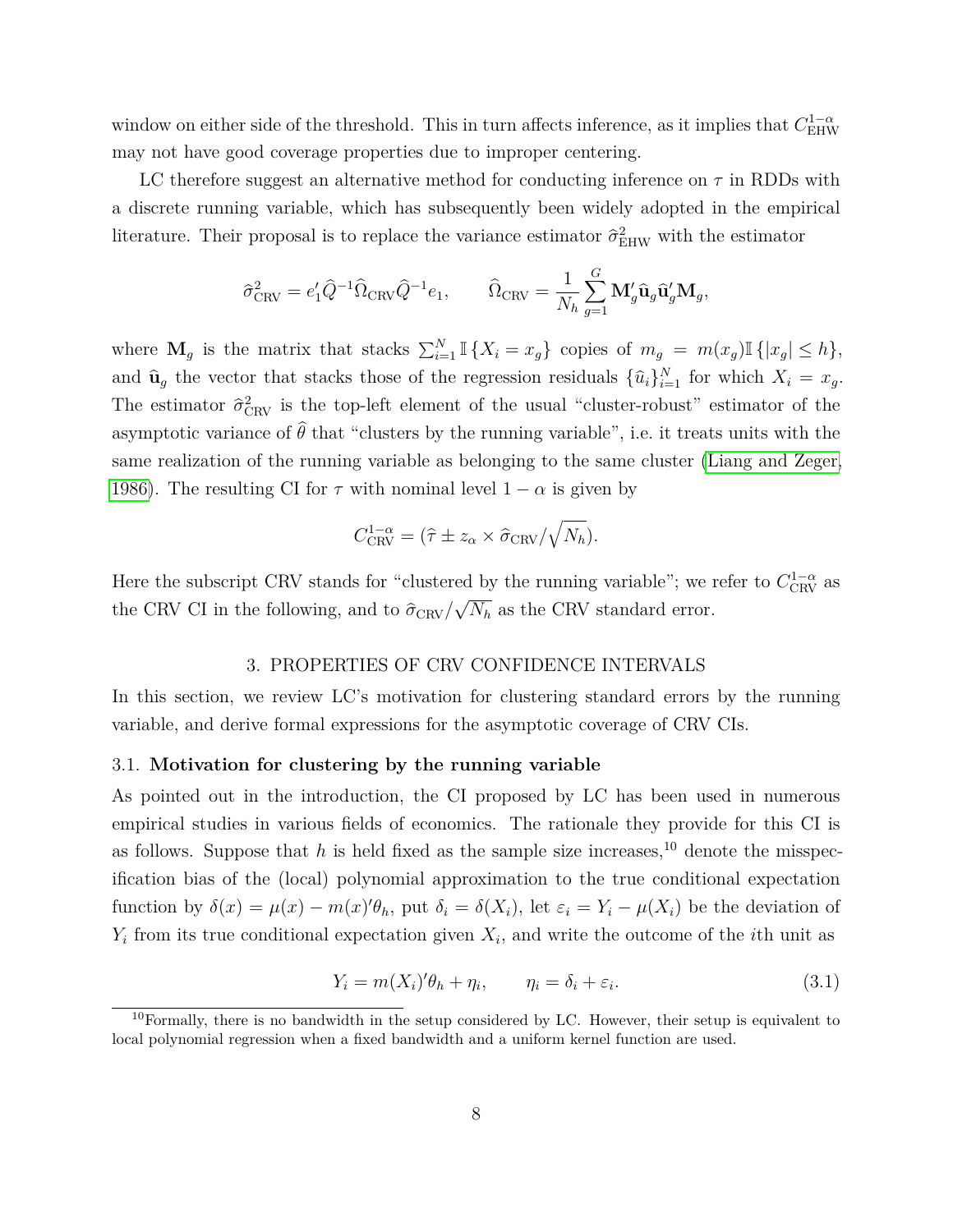window on either side of the threshold. This in turn affects inference, as it implies that  $C_{\text{EHW}}^{1-\alpha}$ may not have good coverage properties due to improper centering.

LC therefore suggest an alternative method for conducting inference on  $\tau$  in RDDs with a discrete running variable, which has subsequently been widely adopted in the empirical literature. Their proposal is to replace the variance estimator  $\hat{\sigma}_{\text{EHW}}^2$  with the estimator

$$
\hat{\sigma}_{\mathrm{CRV}}^2 = e'_1 \hat{Q}^{-1} \hat{\Omega}_{\mathrm{CRV}} \hat{Q}^{-1} e_1, \qquad \hat{\Omega}_{\mathrm{CRV}} = \frac{1}{N_h} \sum_{g=1}^G \mathbf{M}_g' \hat{\mathbf{u}}_g \hat{\mathbf{u}}_g' \mathbf{M}_g,
$$

where  $\mathbf{M}_g$  is the matrix that stacks  $\sum_{i=1}^N \mathbb{I} \{X_i = x_g\}$  copies of  $m_g = m(x_g) \mathbb{I} \{ |x_g| \le h \}$ , and  $\hat{\mathbf{u}}_g$  the vector that stacks those of the regression residuals  $\{\hat{u}_i\}_{i=1}^N$  for which  $X_i = x_g$ . The estimator  $\hat{\sigma}_{\text{CRV}}^2$  is the top-left element of the usual "cluster-robust" estimator of the asymptotic variance of  $\hat{\theta}$  that "clusters by the running variable", i.e. it treats units with the same realization of the running variable as belonging to the same cluster [\(Liang and Zeger,](#page-40-0) [1986\)](#page-40-0). The resulting CI for  $\tau$  with nominal level  $1 - \alpha$  is given by

$$
C_{\text{CRV}}^{1-\alpha} = (\hat{\tau} \pm z_{\alpha} \times \hat{\sigma}_{\text{CRV}}/\sqrt{N_h}).
$$

<span id="page-9-1"></span>Here the subscript CRV stands for "clustered by the running variable"; we refer to  $C_{\text{CRV}}^{1-\alpha}$  as the CRV CI in the following, and to  $\hat{\sigma}_{\mathrm{CRV}}/$ √ *N<sup>h</sup>* as the CRV standard error.

#### 3. PROPERTIES OF CRV CONFIDENCE INTERVALS

In this section, we review LC's motivation for clustering standard errors by the running variable, and derive formal expressions for the asymptotic coverage of CRV CIs.

#### <span id="page-9-0"></span>3.1. **Motivation for clustering by the running variable**

As pointed out in the introduction, the CI proposed by LC has been used in numerous empirical studies in various fields of economics. The rationale they provide for this CI is as follows. Suppose that  $h$  is held fixed as the sample size increases,<sup>10</sup> denote the misspecification bias of the (local) polynomial approximation to the true conditional expectation function by  $\delta(x) = \mu(x) - m(x)\theta_h$ , put  $\delta_i = \delta(X_i)$ , let  $\varepsilon_i = Y_i - \mu(X_i)$  be the deviation of *Yi* from its true conditional expectation given *X<sup>i</sup>* , and write the outcome of the *i*th unit as

<span id="page-9-2"></span>
$$
Y_i = m(X_i)'\theta_h + \eta_i, \qquad \eta_i = \delta_i + \varepsilon_i. \tag{3.1}
$$

<sup>&</sup>lt;sup>10</sup>Formally, there is no bandwidth in the setup considered by LC. However, their setup is equivalent to local polynomial regression when a fixed bandwidth and a uniform kernel function are used.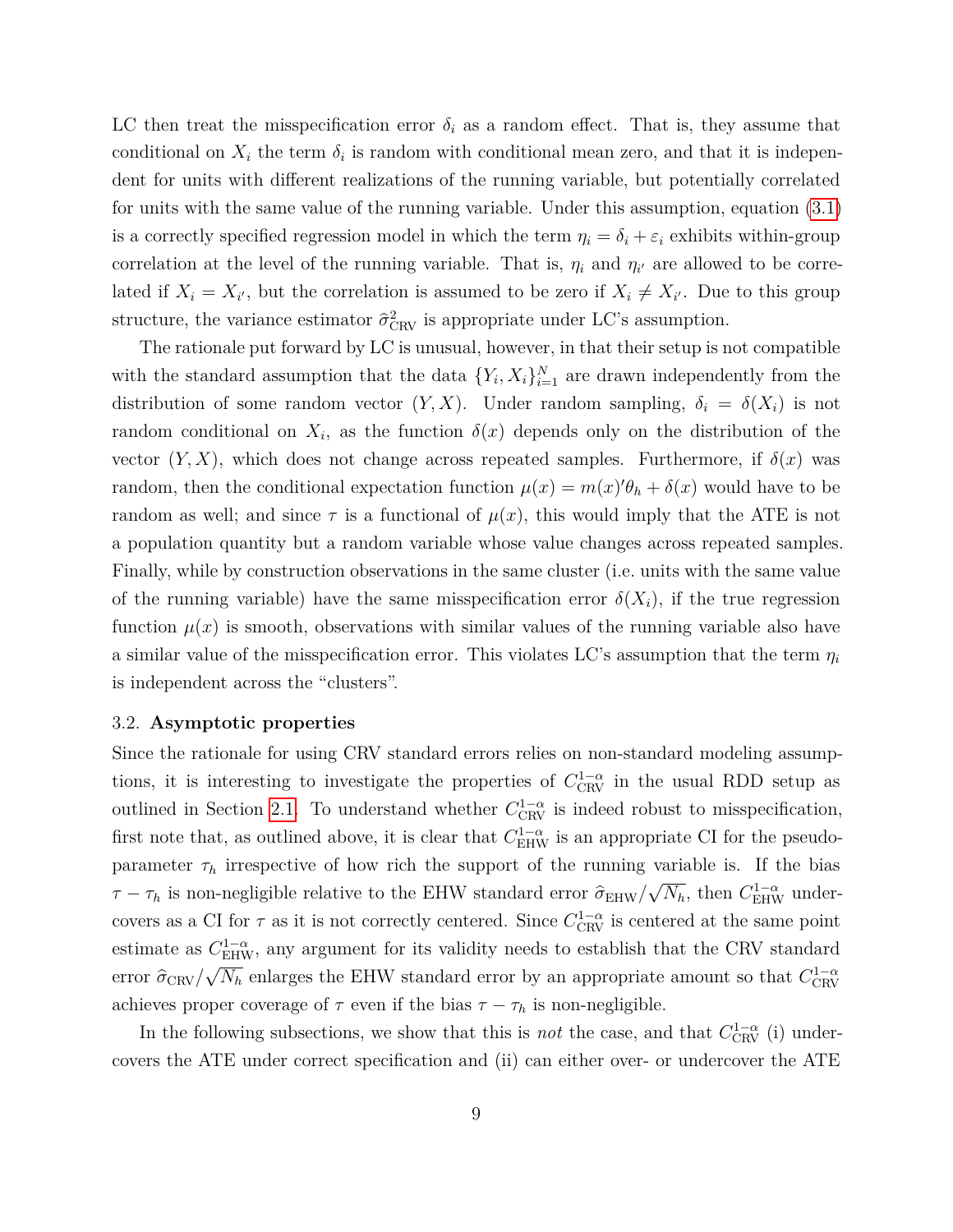LC then treat the misspecification error  $\delta_i$  as a random effect. That is, they assume that conditional on  $X_i$  the term  $\delta_i$  is random with conditional mean zero, and that it is independent for units with different realizations of the running variable, but potentially correlated for units with the same value of the running variable. Under this assumption, equation [\(3.1\)](#page-9-2) is a correctly specified regression model in which the term  $\eta_i = \delta_i + \varepsilon_i$  exhibits within-group correlation at the level of the running variable. That is,  $\eta_i$  and  $\eta_{i'}$  are allowed to be correlated if  $X_i = X_{i'}$ , but the correlation is assumed to be zero if  $X_i \neq X_{i'}$ . Due to this group structure, the variance estimator  $\hat{\sigma}_{\text{CRV}}^2$  is appropriate under LC's assumption.

The rationale put forward by LC is unusual, however, in that their setup is not compatible with the standard assumption that the data  $\{Y_i, X_i\}_{i=1}^N$  are drawn independently from the distribution of some random vector  $(Y, X)$ . Under random sampling,  $\delta_i = \delta(X_i)$  is not random conditional on  $X_i$ , as the function  $\delta(x)$  depends only on the distribution of the vector  $(Y, X)$ , which does not change across repeated samples. Furthermore, if  $\delta(x)$  was random, then the conditional expectation function  $\mu(x) = m(x)\theta_h + \delta(x)$  would have to be random as well; and since  $\tau$  is a functional of  $\mu(x)$ , this would imply that the ATE is not a population quantity but a random variable whose value changes across repeated samples. Finally, while by construction observations in the same cluster (i.e. units with the same value of the running variable) have the same misspecification error  $\delta(X_i)$ , if the true regression function  $\mu(x)$  is smooth, observations with similar values of the running variable also have a similar value of the misspecification error. This violates LC's assumption that the term  $\eta_i$ is independent across the "clusters".

#### 3.2. **Asymptotic properties**

Since the rationale for using CRV standard errors relies on non-standard modeling assumptions, it is interesting to investigate the properties of  $C_{\text{CRV}}^{1-\alpha}$  in the usual RDD setup as outlined in Section [2.1.](#page-6-1) To understand whether  $C_{\text{CRV}}^{1-\alpha}$  is indeed robust to misspecification, first note that, as outlined above, it is clear that  $C_{\text{EHW}}^{1-\alpha}$  is an appropriate CI for the pseudoparameter  $\tau_h$  irrespective of how rich the support of the running variable is. If the bias *τ* − *τh* is non-negligible relative to the EHW standard error  $\hat{\sigma}_{EHW}/$ √  $\overline{N_h}$ , then  $C_{\text{EHW}}^{1-\alpha}$  undercovers as a CI for  $\tau$  as it is not correctly centered. Since  $C_{\text{CRV}}^{1-\alpha}$  is centered at the same point estimate as  $C_{\text{EHW}}^{1-\alpha}$ , any argument for its validity needs to establish that the CRV standard error  $\hat{\sigma}_{CRV}/\sqrt{N_h}$  enlarges the EHW standard error by an appropriate amount so that  $C_{CRV}^{1-\alpha}$ achieves proper coverage of  $\tau$  even if the bias  $\tau - \tau_h$  is non-negligible.

In the following subsections, we show that this is *not* the case, and that  $C_{\text{CRV}}^{1-\alpha}$  (i) undercovers the ATE under correct specification and (ii) can either over- or undercover the ATE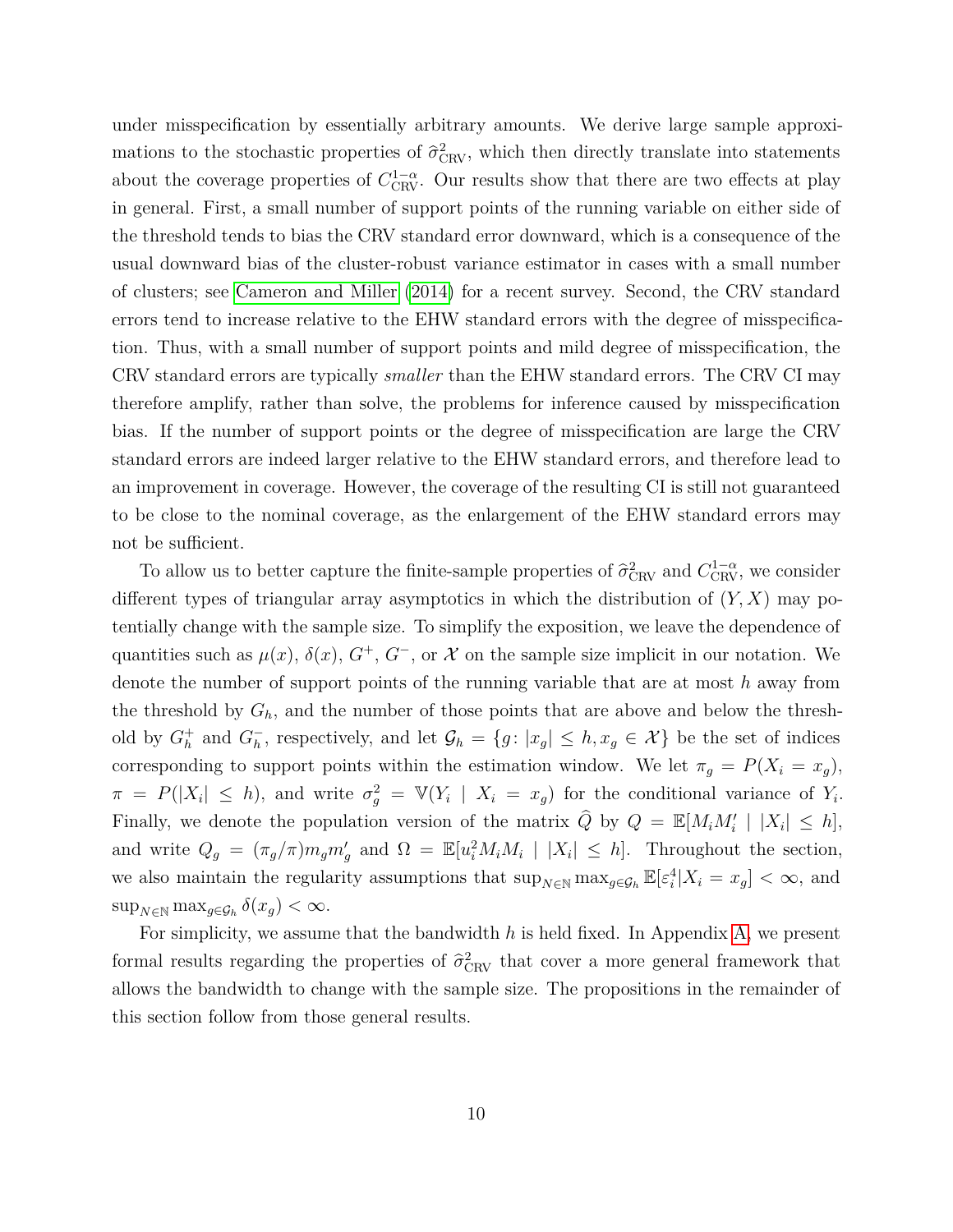under misspecification by essentially arbitrary amounts. We derive large sample approximations to the stochastic properties of  $\hat{\sigma}_{\text{CRV}}^2$ , which then directly translate into statements about the coverage properties of  $C_{\text{CRV}}^{1-\alpha}$ . Our results show that there are two effects at play in general. First, a small number of support points of the running variable on either side of the threshold tends to bias the CRV standard error downward, which is a consequence of the usual downward bias of the cluster-robust variance estimator in cases with a small number of clusters; see [Cameron and Miller](#page-39-2) [\(2014\)](#page-39-2) for a recent survey. Second, the CRV standard errors tend to increase relative to the EHW standard errors with the degree of misspecification. Thus, with a small number of support points and mild degree of misspecification, the CRV standard errors are typically *smaller* than the EHW standard errors. The CRV CI may therefore amplify, rather than solve, the problems for inference caused by misspecification bias. If the number of support points or the degree of misspecification are large the CRV standard errors are indeed larger relative to the EHW standard errors, and therefore lead to an improvement in coverage. However, the coverage of the resulting CI is still not guaranteed to be close to the nominal coverage, as the enlargement of the EHW standard errors may not be sufficient.

To allow us to better capture the finite-sample properties of  $\hat{\sigma}_{CRV}^2$  and  $C_{CRV}^{1-\alpha}$ , we consider different types of triangular array asymptotics in which the distribution of (*Y, X*) may potentially change with the sample size. To simplify the exposition, we leave the dependence of quantities such as  $\mu(x)$ ,  $\delta(x)$ ,  $G^+$ ,  $G^-$ , or X on the sample size implicit in our notation. We denote the number of support points of the running variable that are at most *h* away from the threshold by  $G_h$ , and the number of those points that are above and below the threshold by  $G_h^+$  and  $G_h^ \mathcal{G}_h$ , respectively, and let  $\mathcal{G}_h = \{g : |x_g| \leq h, x_g \in \mathcal{X}\}\$ be the set of indices corresponding to support points within the estimation window. We let  $\pi_g = P(X_i = x_g)$ ,  $\pi = P(|X_i| \leq h)$ , and write  $\sigma_g^2 = \mathbb{V}(Y_i | X_i = x_g)$  for the conditional variance of  $Y_i$ . Finally, we denote the population version of the matrix  $\hat{Q}$  by  $Q = \mathbb{E}[M_i M'_i | |X_i| \leq h]$ , and write  $Q_g = (\pi_g/\pi) m_g m'_g$  and  $\Omega = \mathbb{E}[u_i^2 M_i M_i | |X_i| \leq h]$ . Throughout the section, we also maintain the regularity assumptions that  $\sup_{N \in \mathbb{N}} \max_{g \in \mathcal{G}_h} \mathbb{E}[\varepsilon_i^4 | X_i = x_g] < \infty$ , and  $\sup_{N \in \mathbb{N}} \max_{g \in \mathcal{G}_h} \delta(x_g) < \infty.$ 

For simplicity, we assume that the bandwidth *h* is held fixed. In Appendix [A,](#page-30-1) we present formal results regarding the properties of  $\hat{\sigma}_{\text{CRV}}^2$  that cover a more general framework that allows the bandwidth to change with the sample size. The propositions in the remainder of this section follow from those general results.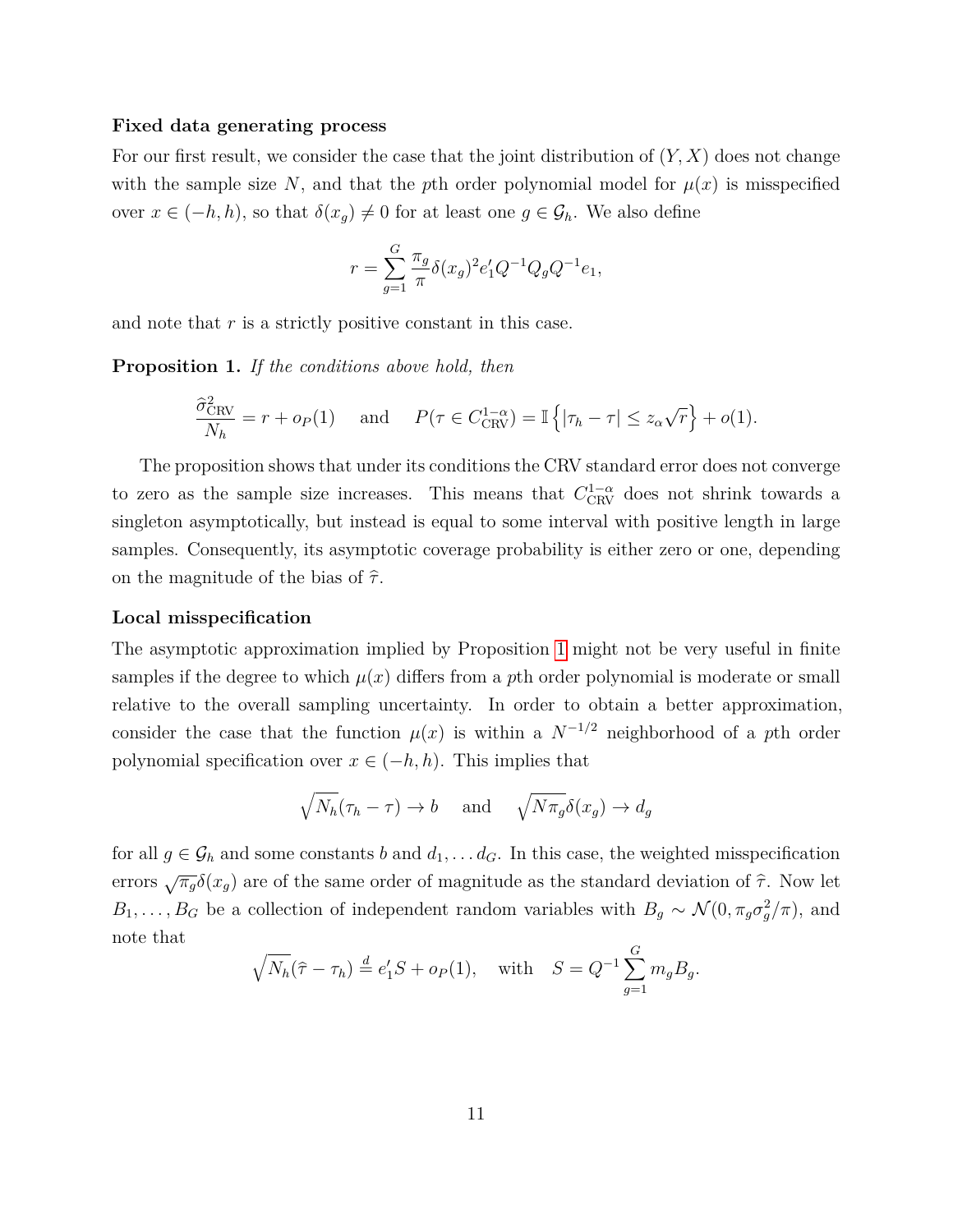#### **Fixed data generating process**

For our first result, we consider the case that the joint distribution of (*Y, X*) does not change with the sample size N, and that the pth order polynomial model for  $\mu(x)$  is misspecified over  $x \in (-h, h)$ , so that  $\delta(x_g) \neq 0$  for at least one  $g \in \mathcal{G}_h$ . We also define

$$
r=\sum_{g=1}^G \frac{\pi_g}{\pi}\delta(x_g)^2e'_1Q^{-1}Q_gQ^{-1}e_1,
$$

and note that *r* is a strictly positive constant in this case.

<span id="page-12-0"></span>**Proposition 1.** *If the conditions above hold, then*

$$
\frac{\widehat{\sigma}_{\text{CRV}}^2}{N_h} = r + o_P(1) \quad \text{and} \quad P(\tau \in C_{\text{CRV}}^{1-\alpha}) = \mathbb{I}\left\{|\tau_h - \tau| \le z_\alpha \sqrt{r}\right\} + o(1).
$$

The proposition shows that under its conditions the CRV standard error does not converge to zero as the sample size increases. This means that  $C_{\text{CRV}}^{1-\alpha}$  does not shrink towards a singleton asymptotically, but instead is equal to some interval with positive length in large samples. Consequently, its asymptotic coverage probability is either zero or one, depending on the magnitude of the bias of  $\hat{\tau}$ .

#### **Local misspecification**

The asymptotic approximation implied by Proposition [1](#page-12-0) might not be very useful in finite samples if the degree to which  $\mu(x)$  differs from a pth order polynomial is moderate or small relative to the overall sampling uncertainty. In order to obtain a better approximation, consider the case that the function  $\mu(x)$  is within a  $N^{-1/2}$  neighborhood of a pth order polynomial specification over  $x \in (-h, h)$ . This implies that

$$
\sqrt{N_h}(\tau_h - \tau) \to b
$$
 and  $\sqrt{N \pi_g} \delta(x_g) \to d_g$ 

for all  $g \in \mathcal{G}_h$  and some constants *b* and  $d_1, \ldots, d_G$ . In this case, the weighted misspecification errors  $\sqrt{\pi_g} \delta(x_g)$  are of the same order of magnitude as the standard deviation of  $\hat{\tau}$ . Now let *B*<sub>1</sub>*,..., B<sub><i>G*</sub> be a collection of independent random variables with  $B_g \sim \mathcal{N}(0, \pi_g \sigma_g^2 / \pi)$ , and note that

$$
\sqrt{N_h}(\hat{\tau} - \tau_h) \stackrel{d}{=} e'_1 S + o_P(1)
$$
, with  $S = Q^{-1} \sum_{g=1}^G m_g B_g$ .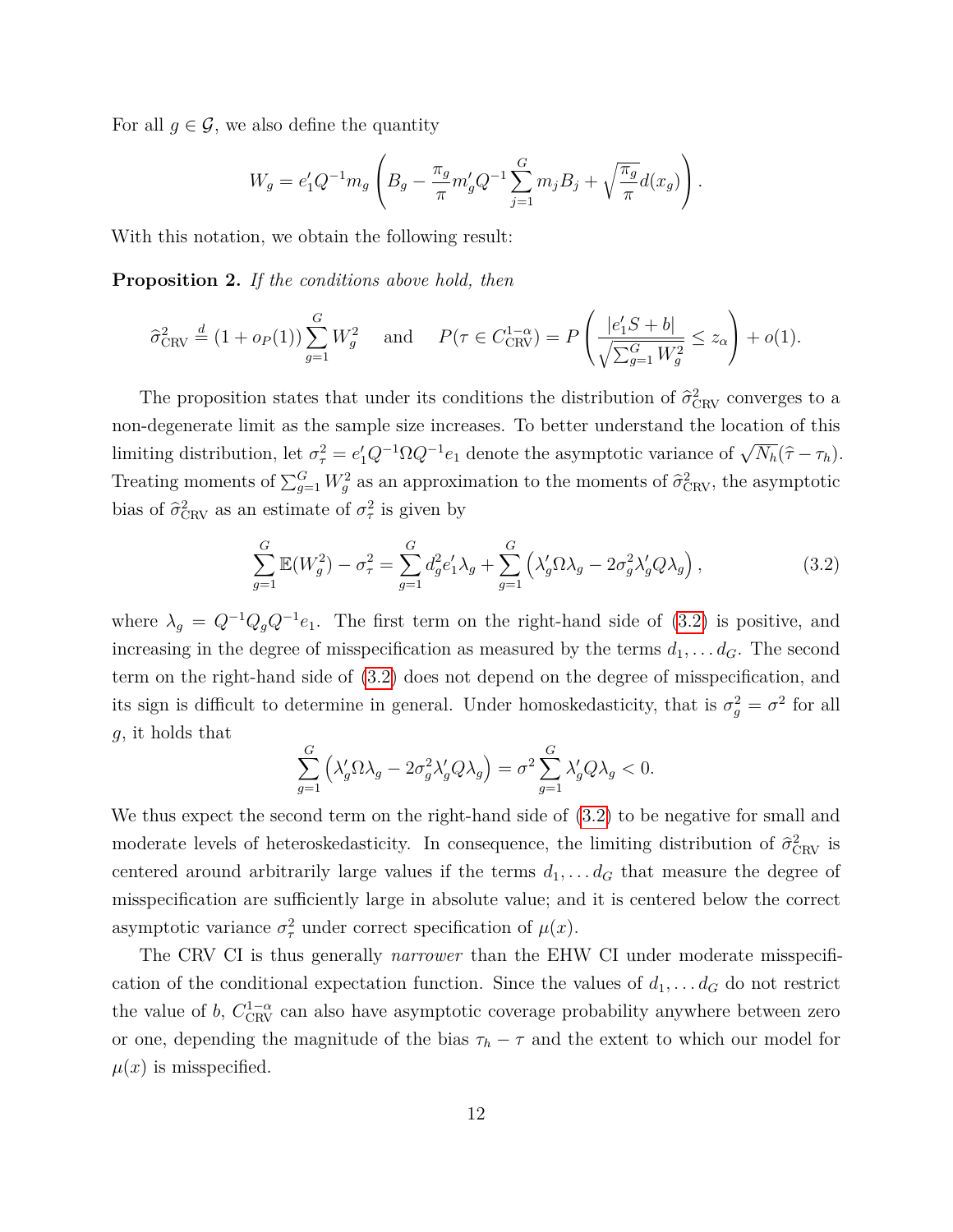For all  $g \in \mathcal{G}$ , we also define the quantity

$$
W_g = e'_1 Q^{-1} m_g \left( B_g - \frac{\pi_g}{\pi} m'_g Q^{-1} \sum_{j=1}^G m_j B_j + \sqrt{\frac{\pi_g}{\pi}} d(x_g) \right).
$$

With this notation, we obtain the following result:

**Proposition 2.** *If the conditions above hold, then*

$$
\hat{\sigma}_{\text{CRV}}^2 \stackrel{d}{=} (1 + o_P(1)) \sum_{g=1}^G W_g^2 \quad \text{and} \quad P(\tau \in C_{\text{CRV}}^{1-\alpha}) = P\left(\frac{|e_1'S + b|}{\sqrt{\sum_{g=1}^G W_g^2}} \le z_\alpha\right) + o(1).
$$

The proposition states that under its conditions the distribution of  $\hat{\sigma}_{\text{CRV}}^2$  converges to a non-degenerate limit as the sample size increases. To better understand the location of this limiting distribution, let  $\sigma_{\tau}^2 = e'_1 Q^{-1} \Omega Q^{-1} e_1$  denote the asymptotic variance of  $\sqrt{N_h}(\hat{\tau} - \tau_h)$ . Treating moments of  $\sum_{g=1}^{G} W_g^2$  as an approximation to the moments of  $\hat{\sigma}_{\text{CRV}}^2$ , the asymptotic bias of  $\hat{\sigma}_{\text{CRV}}^2$  as an estimate of  $\sigma_{\tau}^2$  is given by

<span id="page-13-0"></span>
$$
\sum_{g=1}^{G} \mathbb{E}(W_g^2) - \sigma_\tau^2 = \sum_{g=1}^{G} d_g^2 e_1' \lambda_g + \sum_{g=1}^{G} \left( \lambda_g' \Omega \lambda_g - 2 \sigma_g^2 \lambda_g' Q \lambda_g \right),\tag{3.2}
$$

where  $\lambda_g = Q^{-1}Q_g Q^{-1}e_1$ . The first term on the right-hand side of [\(3.2\)](#page-13-0) is positive, and increasing in the degree of misspecification as measured by the terms  $d_1, \ldots, d_G$ . The second term on the right-hand side of [\(3.2\)](#page-13-0) does not depend on the degree of misspecification, and its sign is difficult to determine in general. Under homoskedasticity, that is  $\sigma_g^2 = \sigma^2$  for all *g*, it holds that

$$
\sum_{g=1}^G \left( \lambda_g' \Omega \lambda_g - 2 \sigma_g^2 \lambda_g' Q \lambda_g \right) = \sigma^2 \sum_{g=1}^G \lambda_g' Q \lambda_g < 0.
$$

We thus expect the second term on the right-hand side of [\(3.2\)](#page-13-0) to be negative for small and moderate levels of heteroskedasticity. In consequence, the limiting distribution of  $\hat{\sigma}_{\text{CRV}}^2$  is centered around arbitrarily large values if the terms  $d_1, \ldots, d_G$  that measure the degree of misspecification are sufficiently large in absolute value; and it is centered below the correct asymptotic variance  $\sigma_{\tau}^2$  under correct specification of  $\mu(x)$ .

The CRV CI is thus generally *narrower* than the EHW CI under moderate misspecification of the conditional expectation function. Since the values of  $d_1, \ldots, d_G$  do not restrict the value of *b*,  $C_{\text{CRV}}^{1-\alpha}$  can also have asymptotic coverage probability anywhere between zero or one, depending the magnitude of the bias  $\tau_h - \tau$  and the extent to which our model for  $\mu(x)$  is misspecified.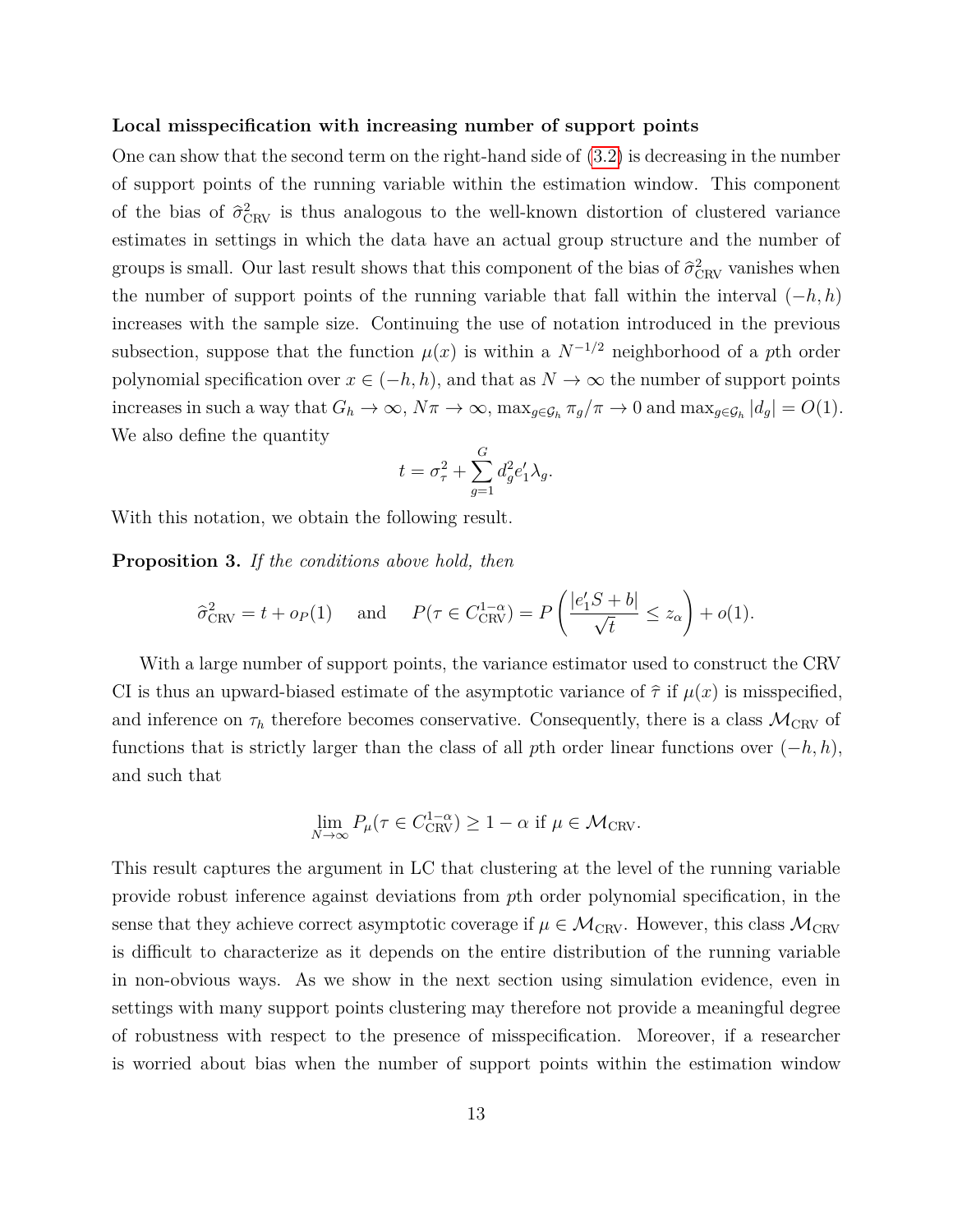#### **Local misspecification with increasing number of support points**

One can show that the second term on the right-hand side of [\(3.2\)](#page-13-0) is decreasing in the number of support points of the running variable within the estimation window. This component of the bias of  $\hat{\sigma}_{\text{CRV}}^2$  is thus analogous to the well-known distortion of clustered variance estimates in settings in which the data have an actual group structure and the number of groups is small. Our last result shows that this component of the bias of  $\hat{\sigma}_{\text{CRV}}^2$  vanishes when the number of support points of the running variable that fall within the interval (−*h, h*) increases with the sample size. Continuing the use of notation introduced in the previous subsection, suppose that the function  $\mu(x)$  is within a  $N^{-1/2}$  neighborhood of a *p*th order polynomial specification over  $x \in (-h, h)$ , and that as  $N \to \infty$  the number of support points increases in such a way that  $G_h \to \infty$ ,  $N\pi \to \infty$ ,  $\max_{g \in \mathcal{G}_h} \pi_g/\pi \to 0$  and  $\max_{g \in \mathcal{G}_h} |d_g| = O(1)$ . We also define the quantity

$$
t = \sigma_{\tau}^2 + \sum_{g=1}^{G} d_g^2 e_1' \lambda_g.
$$

With this notation, we obtain the following result.

**Proposition 3.** *If the conditions above hold, then*

$$
\hat{\sigma}_{\text{CRV}}^2 = t + o_P(1)
$$
 and  $P(\tau \in C_{\text{CRV}}^{1-\alpha}) = P\left(\frac{|e'_1 S + b|}{\sqrt{t}} \le z_\alpha\right) + o(1).$ 

With a large number of support points, the variance estimator used to construct the CRV CI is thus an upward-biased estimate of the asymptotic variance of  $\hat{\tau}$  if  $\mu(x)$  is misspecified, and inference on  $\tau_h$  therefore becomes conservative. Consequently, there is a class  $\mathcal{M}_{\text{CRV}}$  of functions that is strictly larger than the class of all *p*th order linear functions over  $(-h, h)$ , and such that

$$
\lim_{N \to \infty} P_{\mu}(\tau \in C_{\text{CRV}}^{1-\alpha}) \ge 1 - \alpha \text{ if } \mu \in \mathcal{M}_{\text{CRV}}.
$$

This result captures the argument in LC that clustering at the level of the running variable provide robust inference against deviations from *p*th order polynomial specification, in the sense that they achieve correct asymptotic coverage if  $\mu \in \mathcal{M}_{CRV}$ . However, this class  $\mathcal{M}_{CRV}$ is difficult to characterize as it depends on the entire distribution of the running variable in non-obvious ways. As we show in the next section using simulation evidence, even in settings with many support points clustering may therefore not provide a meaningful degree of robustness with respect to the presence of misspecification. Moreover, if a researcher is worried about bias when the number of support points within the estimation window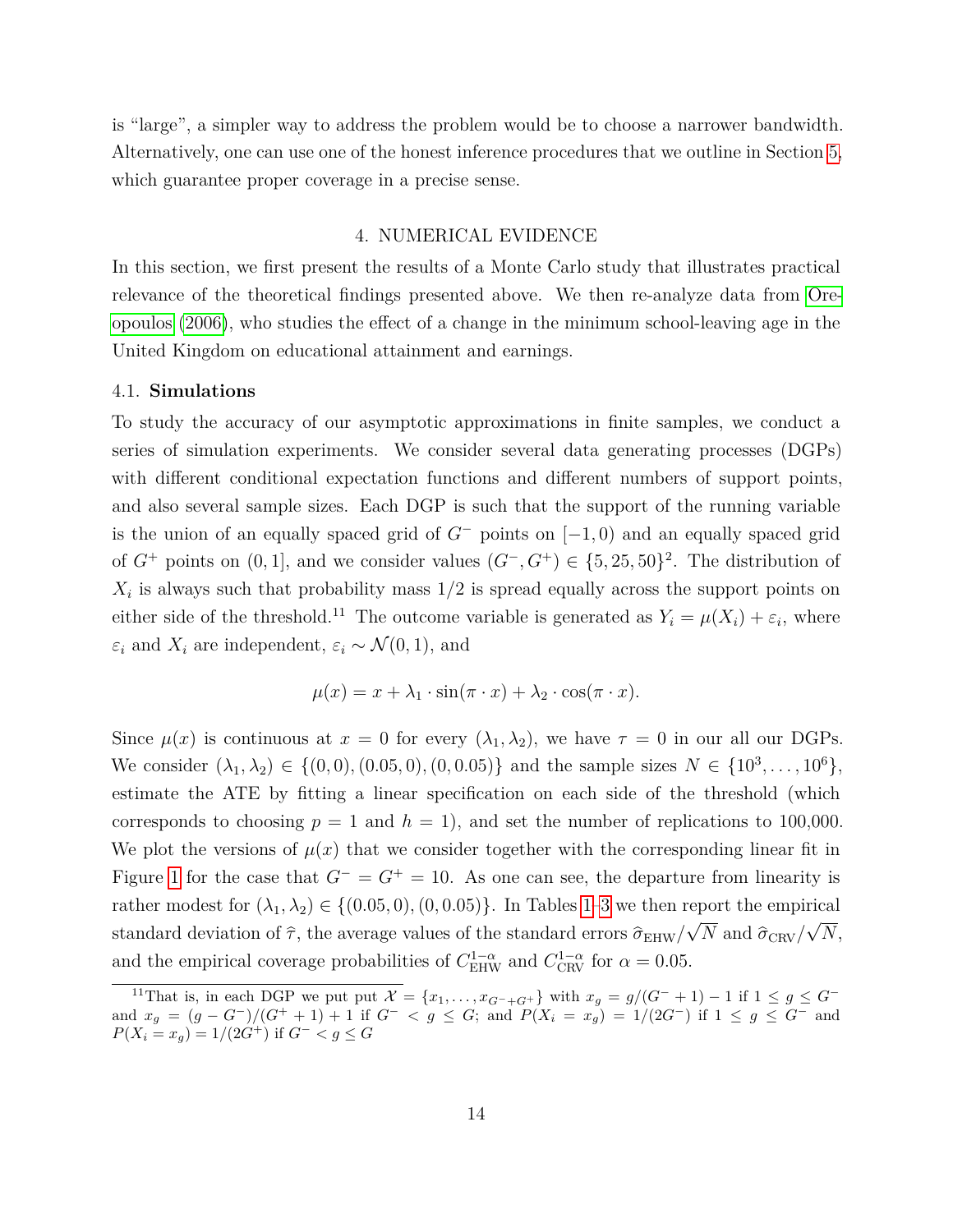is "large", a simpler way to address the problem would be to choose a narrower bandwidth. Alternatively, one can use one of the honest inference procedures that we outline in Section [5,](#page-21-0) which guarantee proper coverage in a precise sense.

#### 4. NUMERICAL EVIDENCE

<span id="page-15-0"></span>In this section, we first present the results of a Monte Carlo study that illustrates practical relevance of the theoretical findings presented above. We then re-analyze data from [Ore](#page-40-3)[opoulos](#page-40-3) [\(2006\)](#page-40-3), who studies the effect of a change in the minimum school-leaving age in the United Kingdom on educational attainment and earnings.

#### 4.1. **Simulations**

To study the accuracy of our asymptotic approximations in finite samples, we conduct a series of simulation experiments. We consider several data generating processes (DGPs) with different conditional expectation functions and different numbers of support points, and also several sample sizes. Each DGP is such that the support of the running variable is the union of an equally spaced grid of  $G^-$  points on  $[-1, 0)$  and an equally spaced grid of  $G^+$  points on  $(0, 1]$ , and we consider values  $(G^-, G^+) \in \{5, 25, 50\}^2$ . The distribution of  $X_i$  is always such that probability mass  $1/2$  is spread equally across the support points on either side of the threshold.<sup>11</sup> The outcome variable is generated as  $Y_i = \mu(X_i) + \varepsilon_i$ , where  $\varepsilon_i$  and  $X_i$  are independent,  $\varepsilon_i \sim \mathcal{N}(0, 1)$ , and

$$
\mu(x) = x + \lambda_1 \cdot \sin(\pi \cdot x) + \lambda_2 \cdot \cos(\pi \cdot x).
$$

Since  $\mu(x)$  is continuous at  $x = 0$  for every  $(\lambda_1, \lambda_2)$ , we have  $\tau = 0$  in our all our DGPs. We consider  $(\lambda_1, \lambda_2) \in \{(0, 0), (0.05, 0), (0, 0.05)\}$  and the sample sizes  $N \in \{10^3, \ldots, 10^6\}$ , estimate the ATE by fitting a linear specification on each side of the threshold (which corresponds to choosing  $p = 1$  and  $h = 1$ ), and set the number of replications to 100,000. We plot the versions of  $\mu(x)$  that we consider together with the corresponding linear fit in Figure [1](#page-16-0) for the case that  $G^- = G^+ = 10$ . As one can see, the departure from linearity is rather modest for  $(\lambda_1, \lambda_2) \in \{(0.05, 0), (0, 0.05)\}.$  In Tables [1](#page-17-0)[–3](#page-19-0) we then report the empirical standard deviation of  $\hat{\tau}$ , the average values of the standard errors  $\hat{\sigma}_{EHW}/\sqrt{N}$  and  $\hat{\sigma}_{CRV}/\sqrt{N}$ , and the empirical coverage probabilities of  $C_{\text{EHW}}^{1-\alpha}$  and  $C_{\text{CRV}}^{1-\alpha}$  for  $\alpha = 0.05$ .

<sup>&</sup>lt;sup>11</sup>That is, in each DGP we put put  $\mathcal{X} = \{x_1, \ldots, x_{G^-+G^+}\}\$  with  $x_g = g/(G^- + 1) - 1$  if  $1 ≤ g ≤ G^$ and  $x_g = (g - G^-)/(G^+ + 1) + 1$  if  $G^- < g \le G$ ; and  $P(X_i = x_g) = 1/(2G^-)$  if  $1 \le g \le G^-$  and *P*(*X*<sub>*i*</sub> = *x*<sub>*g*</sub>) = 1/(2*G*<sup>+</sup>) if *G*<sup>−</sup> < *g* ≤ *G*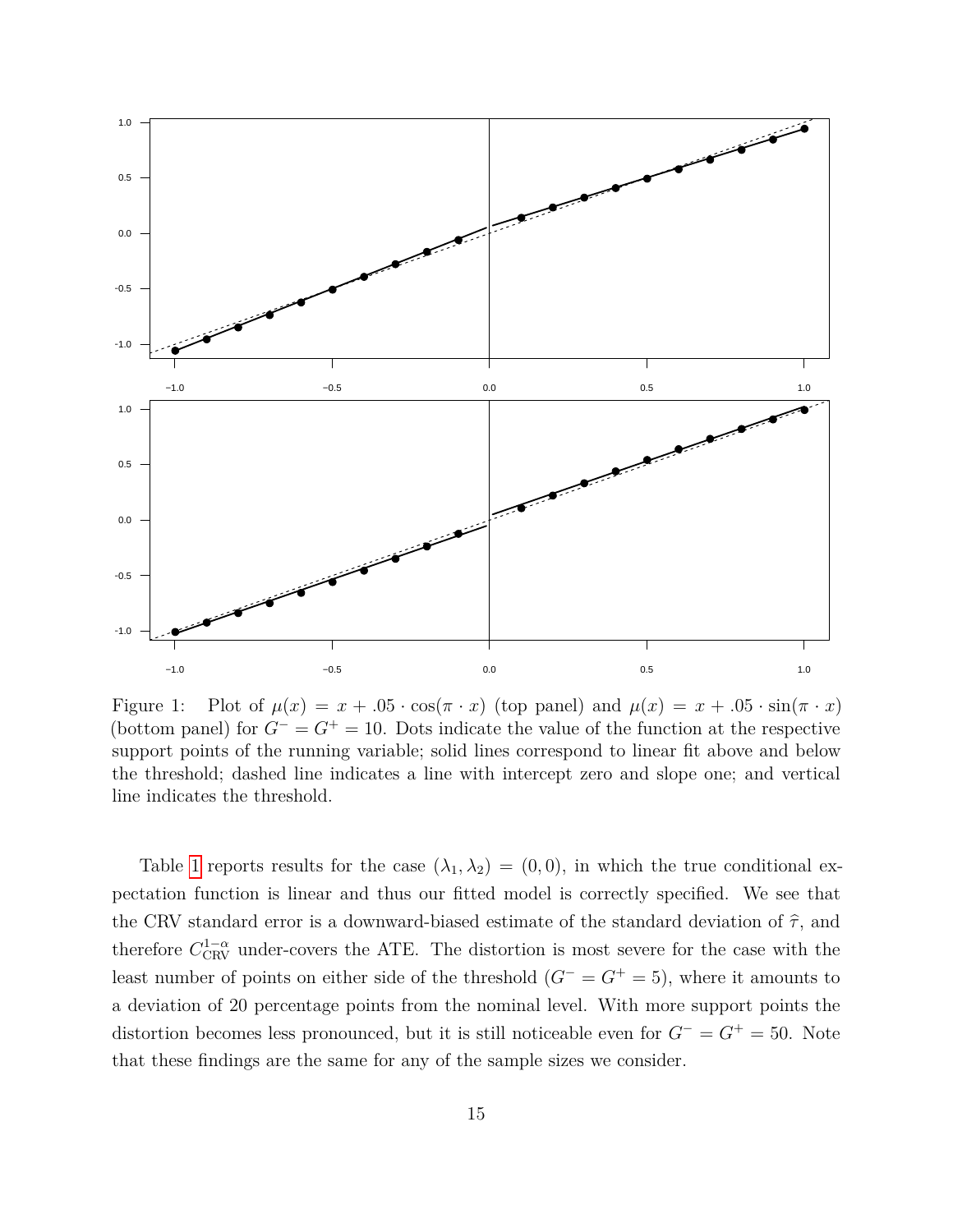

<span id="page-16-0"></span>Figure 1: Plot of  $\mu(x) = x + .05 \cdot \cos(\pi \cdot x)$  (top panel) and  $\mu(x) = x + .05 \cdot \sin(\pi \cdot x)$ (bottom panel) for  $G^- = G^+ = 10$ . Dots indicate the value of the function at the respective support points of the running variable; solid lines correspond to linear fit above and below the threshold; dashed line indicates a line with intercept zero and slope one; and vertical line indicates the threshold.

Table [1](#page-17-0) reports results for the case  $(\lambda_1, \lambda_2) = (0, 0)$ , in which the true conditional expectation function is linear and thus our fitted model is correctly specified. We see that the CRV standard error is a downward-biased estimate of the standard deviation of  $\hat{\tau}$ , and therefore  $C_{\text{CRV}}^{1-\alpha}$  under-covers the ATE. The distortion is most severe for the case with the least number of points on either side of the threshold  $(G<sup>-</sup> = G<sup>+</sup> = 5)$ , where it amounts to a deviation of 20 percentage points from the nominal level. With more support points the distortion becomes less pronounced, but it is still noticeable even for *G*<sup>−</sup> = *G*<sup>+</sup> = 50. Note that these findings are the same for any of the sample sizes we consider.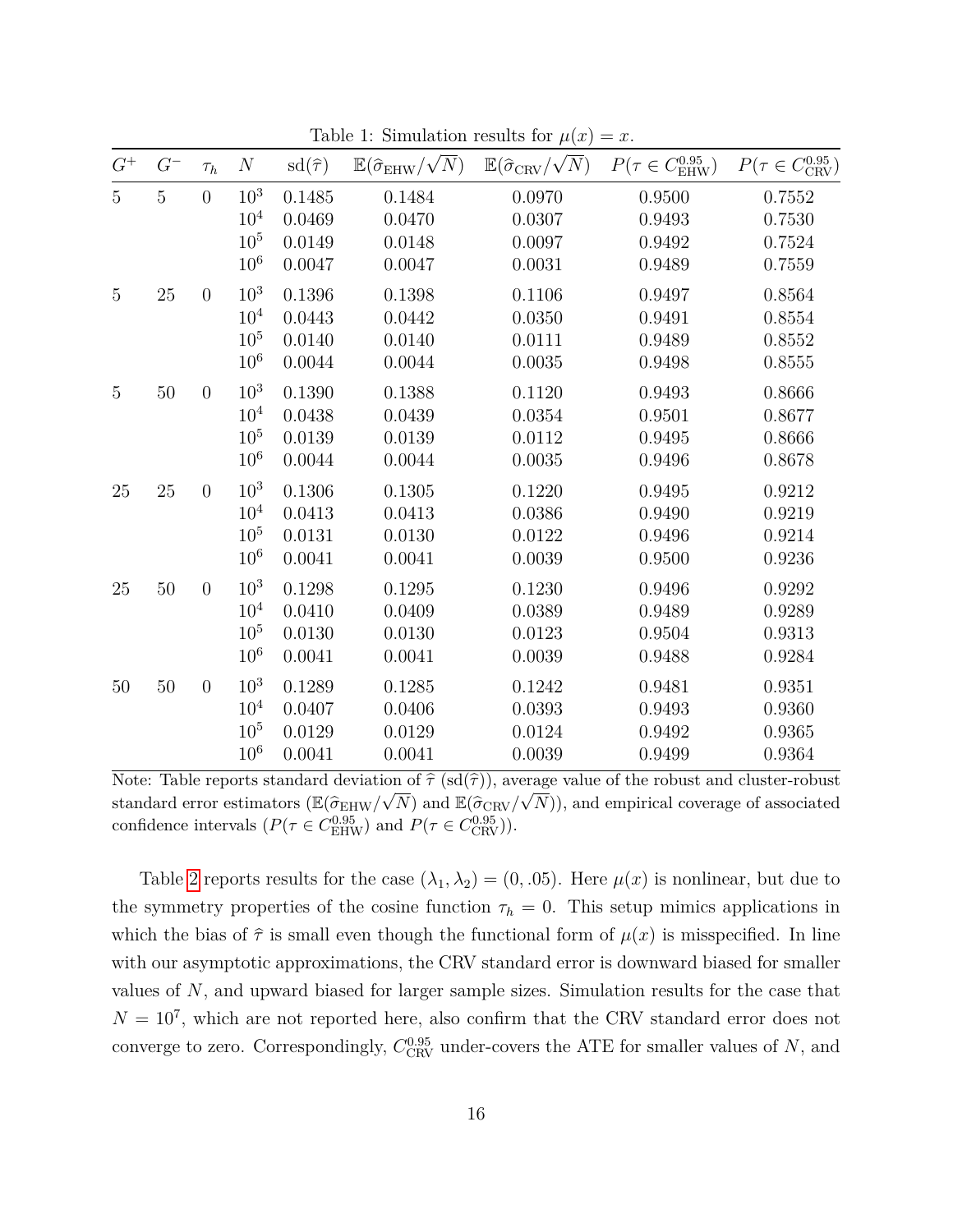|                                  |         |                |                  |                  |                                                    | $\mathcal{L}$                                          |                                  |                                     |
|----------------------------------|---------|----------------|------------------|------------------|----------------------------------------------------|--------------------------------------------------------|----------------------------------|-------------------------------------|
| ${\cal G}^+$                     | $G^{-}$ | $\tau_h$       | $\boldsymbol{N}$ | $sd(\hat{\tau})$ | $\mathbb{E}(\hat{\sigma}_{\mathrm{EHW}}/\sqrt{N})$ | $\mathbb{E}(\widehat{\sigma}_{\mathrm{CRV}}/\sqrt{N})$ | $P(\tau \in C^{0.95}_{\rm EHW})$ | $P(\tau \in C_{\text{CRV}}^{0.95})$ |
| $\overline{5}$<br>$\overline{5}$ |         | $\overline{0}$ | 10 <sup>3</sup>  | 0.1485           | 0.1484                                             | 0.0970                                                 | 0.9500                           | 0.7552                              |
|                                  |         |                | 10 <sup>4</sup>  | 0.0469           | 0.0470                                             | 0.0307                                                 | 0.9493                           | 0.7530                              |
|                                  |         |                | 10 <sup>5</sup>  | 0.0149           | 0.0148                                             | 0.0097                                                 | 0.9492                           | 0.7524                              |
|                                  |         |                | $10^{6}$         | 0.0047           | 0.0047                                             | 0.0031                                                 | 0.9489                           | 0.7559                              |
| $\overline{5}$                   | $25\,$  | $\overline{0}$ | 10 <sup>3</sup>  | 0.1396           | 0.1398                                             | 0.1106                                                 | 0.9497                           | 0.8564                              |
|                                  |         |                | 10 <sup>4</sup>  | 0.0443           | 0.0442                                             | 0.0350                                                 | 0.9491                           | 0.8554                              |
|                                  |         |                | 10 <sup>5</sup>  | 0.0140           | 0.0140                                             | 0.0111                                                 | 0.9489                           | 0.8552                              |
|                                  |         |                | $10^{6}$         | 0.0044           | 0.0044                                             | 0.0035                                                 | 0.9498                           | 0.8555                              |
| $\overline{5}$                   | $50\,$  | $\overline{0}$ | 10 <sup>3</sup>  | 0.1390           | 0.1388                                             | 0.1120                                                 | 0.9493                           | 0.8666                              |
|                                  |         |                | 10 <sup>4</sup>  | 0.0438           | 0.0439                                             | 0.0354                                                 | 0.9501                           | 0.8677                              |
|                                  |         |                | 10 <sup>5</sup>  | 0.0139           | 0.0139                                             | 0.0112                                                 | 0.9495                           | 0.8666                              |
|                                  |         |                | $10^{6}$         | 0.0044           | 0.0044                                             | 0.0035                                                 | 0.9496                           | 0.8678                              |
| 25                               | $25\,$  | $\overline{0}$ | 10 <sup>3</sup>  | 0.1306           | 0.1305                                             | 0.1220                                                 | 0.9495                           | 0.9212                              |
|                                  |         |                | 10 <sup>4</sup>  | 0.0413           | 0.0413                                             | 0.0386                                                 | 0.9490                           | 0.9219                              |
|                                  |         |                | 10 <sup>5</sup>  | 0.0131           | 0.0130                                             | 0.0122                                                 | 0.9496                           | 0.9214                              |
|                                  |         |                | $10^{6}$         | 0.0041           | 0.0041                                             | 0.0039                                                 | 0.9500                           | 0.9236                              |
| 25                               | $50\,$  | $\overline{0}$ | 10 <sup>3</sup>  | 0.1298           | 0.1295                                             | 0.1230                                                 | 0.9496                           | 0.9292                              |
|                                  |         |                | 10 <sup>4</sup>  | 0.0410           | 0.0409                                             | 0.0389                                                 | 0.9489                           | 0.9289                              |
|                                  |         |                | 10 <sup>5</sup>  | 0.0130           | 0.0130                                             | 0.0123                                                 | 0.9504                           | 0.9313                              |
|                                  |         |                | $10^{6}$         | 0.0041           | 0.0041                                             | 0.0039                                                 | 0.9488                           | 0.9284                              |
| 50                               | $50\,$  | $\overline{0}$ | $10^{3}$         | 0.1289           | 0.1285                                             | 0.1242                                                 | 0.9481                           | 0.9351                              |
|                                  |         |                | 10 <sup>4</sup>  | 0.0407           | 0.0406                                             | 0.0393                                                 | 0.9493                           | 0.9360                              |
|                                  |         |                | $10^{5}$         | 0.0129           | 0.0129                                             | 0.0124                                                 | 0.9492                           | 0.9365                              |
|                                  |         |                | 10 <sup>6</sup>  | 0.0041           | 0.0041                                             | 0.0039                                                 | 0.9499                           | 0.9364                              |

<span id="page-17-0"></span>Table 1: Simulation results for  $\mu(x) = x$ .

Note: Table reports standard deviation of  $\hat{\tau}$  (sd( $\hat{\tau}$ )), average value of the robust and cluster-robust standard error estimators  $(\mathbb{E}(\hat{\sigma}_{EHW}/\sqrt{N})$  and  $\mathbb{E}(\hat{\sigma}_{CRW}/\sqrt{N}))$ , and empirical coverage of associated confidence intervals  $(P(\tau \in C_{\text{EHW}}^{0.95})$  and  $P(\tau \in C_{\text{CRV}}^{0.95})$ .

Table [2](#page-18-0) reports results for the case  $(\lambda_1, \lambda_2) = (0, .05)$ . Here  $\mu(x)$  is nonlinear, but due to the symmetry properties of the cosine function  $\tau_h = 0$ . This setup mimics applications in which the bias of  $\hat{\tau}$  is small even though the functional form of  $\mu(x)$  is misspecified. In line with our asymptotic approximations, the CRV standard error is downward biased for smaller values of *N*, and upward biased for larger sample sizes. Simulation results for the case that  $N = 10<sup>7</sup>$ , which are not reported here, also confirm that the CRV standard error does not converge to zero. Correspondingly,  $C_{\text{CRV}}^{0.95}$  under-covers the ATE for smaller values of *N*, and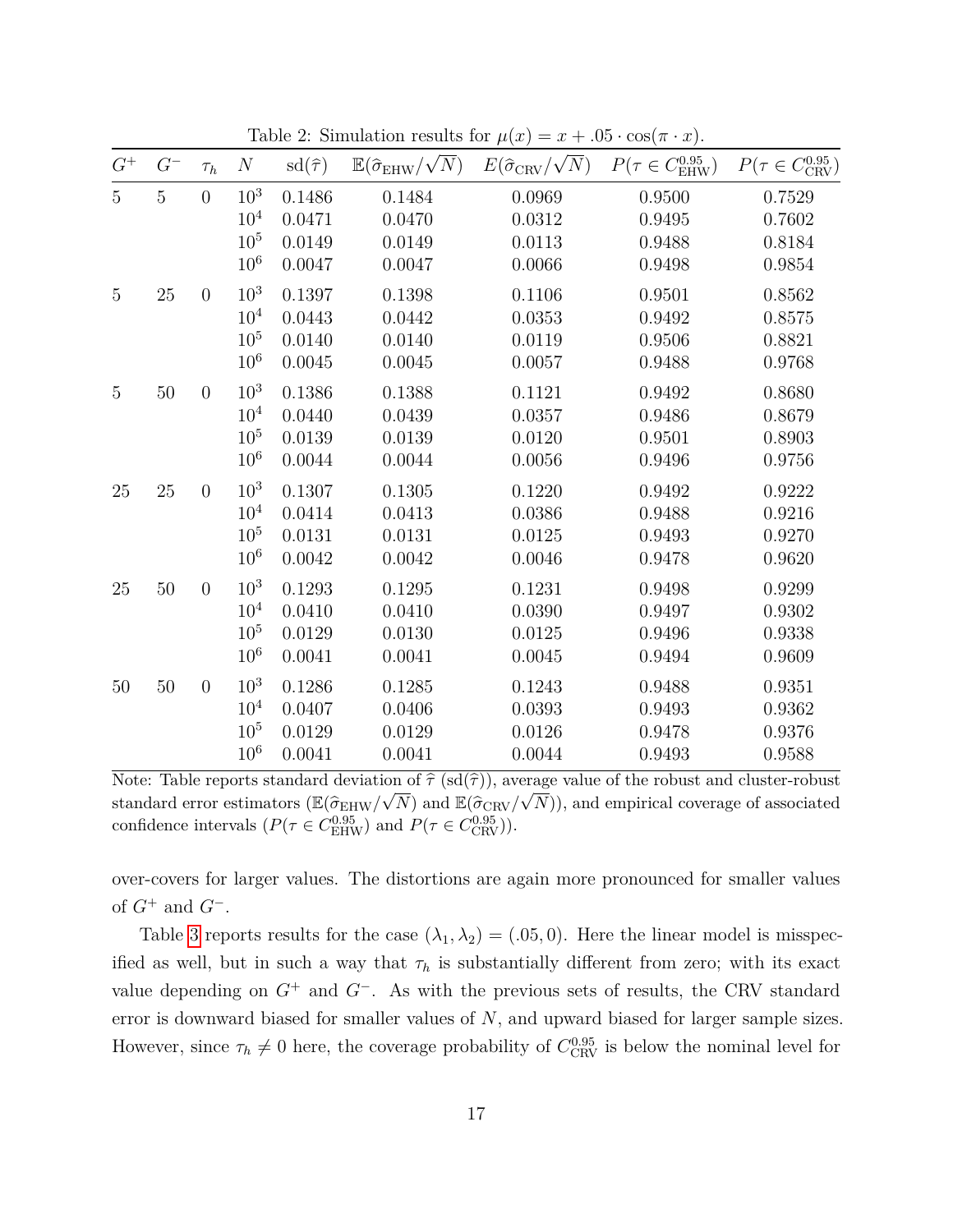| ${\cal G}^+$   | $G^{-}$     | $\tau_h$         | $\boldsymbol{N}$ | $sd(\hat{\tau})$ | $\mathbb{E}(\hat{\sigma}_{\mathrm{EHW}}/\sqrt{N})$ | $E(\widehat{\sigma}_{\mathrm{CRV}}/\sqrt{N})$ | $P(\tau \in C_{\text{EHW}}^{0.95})$ | $P(\tau \in C_{\text{CRV}}^{0.95})$ |
|----------------|-------------|------------------|------------------|------------------|----------------------------------------------------|-----------------------------------------------|-------------------------------------|-------------------------------------|
| $\overline{5}$ | $\mathbf 5$ | $\overline{0}$   | $10^{3}$         | 0.1486           | 0.1484                                             | 0.0969                                        | 0.9500                              | 0.7529                              |
|                |             |                  | 10 <sup>4</sup>  | 0.0471           | 0.0470                                             | 0.0312                                        | 0.9495                              | 0.7602                              |
|                |             |                  | 10 <sup>5</sup>  | 0.0149           | 0.0149                                             | 0.0113                                        | 0.9488                              | 0.8184                              |
|                |             |                  | $10^{6}$         | 0.0047           | 0.0047                                             | 0.0066                                        | 0.9498                              | 0.9854                              |
| $\mathbf 5$    | $25\,$      | $\overline{0}$   | $10^{3}$         | 0.1397           | 0.1398                                             | 0.1106                                        | 0.9501                              | 0.8562                              |
|                |             |                  | $10^{4}$         | 0.0443           | 0.0442                                             | 0.0353                                        | 0.9492                              | 0.8575                              |
|                |             |                  | 10 <sup>5</sup>  | 0.0140           | 0.0140                                             | 0.0119                                        | 0.9506                              | 0.8821                              |
|                |             |                  | $10^{6}$         | 0.0045           | 0.0045                                             | 0.0057                                        | 0.9488                              | 0.9768                              |
| $\mathbf 5$    | $50\,$      | $\boldsymbol{0}$ | $10^{3}$         | 0.1386           | 0.1388                                             | 0.1121                                        | 0.9492                              | 0.8680                              |
|                |             |                  | 10 <sup>4</sup>  | 0.0440           | 0.0439                                             | 0.0357                                        | 0.9486                              | 0.8679                              |
|                |             |                  | 10 <sup>5</sup>  | 0.0139           | 0.0139                                             | 0.0120                                        | 0.9501                              | 0.8903                              |
|                |             |                  | $10^{6}$         | 0.0044           | 0.0044                                             | 0.0056                                        | 0.9496                              | 0.9756                              |
| 25             | $25\,$      | $\boldsymbol{0}$ | $10^{3}$         | 0.1307           | 0.1305                                             | 0.1220                                        | 0.9492                              | 0.9222                              |
|                |             |                  | 10 <sup>4</sup>  | 0.0414           | 0.0413                                             | 0.0386                                        | 0.9488                              | 0.9216                              |
|                |             |                  | $10^{5}$         | 0.0131           | 0.0131                                             | 0.0125                                        | 0.9493                              | 0.9270                              |
|                |             |                  | 10 <sup>6</sup>  | 0.0042           | 0.0042                                             | 0.0046                                        | 0.9478                              | 0.9620                              |
| 25             | $50\,$      | $\boldsymbol{0}$ | $10^{3}$         | 0.1293           | 0.1295                                             | 0.1231                                        | 0.9498                              | 0.9299                              |
|                |             |                  | $10^{4}$         | 0.0410           | 0.0410                                             | 0.0390                                        | 0.9497                              | 0.9302                              |
|                |             |                  | $10^{5}$         | 0.0129           | 0.0130                                             | 0.0125                                        | 0.9496                              | 0.9338                              |
|                |             |                  | $10^{6}$         | 0.0041           | 0.0041                                             | 0.0045                                        | 0.9494                              | 0.9609                              |
| 50             | $50\,$      | $\boldsymbol{0}$ | $10^{3}$         | 0.1286           | 0.1285                                             | 0.1243                                        | 0.9488                              | 0.9351                              |
|                |             |                  | 10 <sup>4</sup>  | 0.0407           | 0.0406                                             | 0.0393                                        | 0.9493                              | 0.9362                              |
|                |             |                  | $10^{5}$         | 0.0129           | 0.0129                                             | 0.0126                                        | 0.9478                              | 0.9376                              |
|                |             |                  | $10^{6}$         | 0.0041           | 0.0041                                             | 0.0044                                        | 0.9493                              | 0.9588                              |

<span id="page-18-0"></span>Table 2: Simulation results for  $\mu(x) = x + .05 \cdot \cos(\pi \cdot x)$ .

Note: Table reports standard deviation of  $\hat{\tau}$  (sd( $\hat{\tau}$ )), average value of the robust and cluster-robust standard error estimators  $(\mathbb{E}(\hat{\sigma}_{EHW}/\sqrt{N})$  and  $\mathbb{E}(\hat{\sigma}_{CRW}/\sqrt{N}))$ , and empirical coverage of associated confidence intervals  $(P(\tau \in C_{\text{EHW}}^{0.95})$  and  $P(\tau \in C_{\text{CRV}}^{0.95})$ .

over-covers for larger values. The distortions are again more pronounced for smaller values of *G*<sup>+</sup> and *G*<sup>−</sup>.

Table [3](#page-19-0) reports results for the case  $(\lambda_1, \lambda_2) = (.05, 0)$ . Here the linear model is misspecified as well, but in such a way that  $\tau_h$  is substantially different from zero; with its exact value depending on *G*<sup>+</sup> and *G*<sup>−</sup>. As with the previous sets of results, the CRV standard error is downward biased for smaller values of *N*, and upward biased for larger sample sizes. However, since  $\tau_h \neq 0$  here, the coverage probability of  $C_{\text{CRV}}^{0.95}$  is below the nominal level for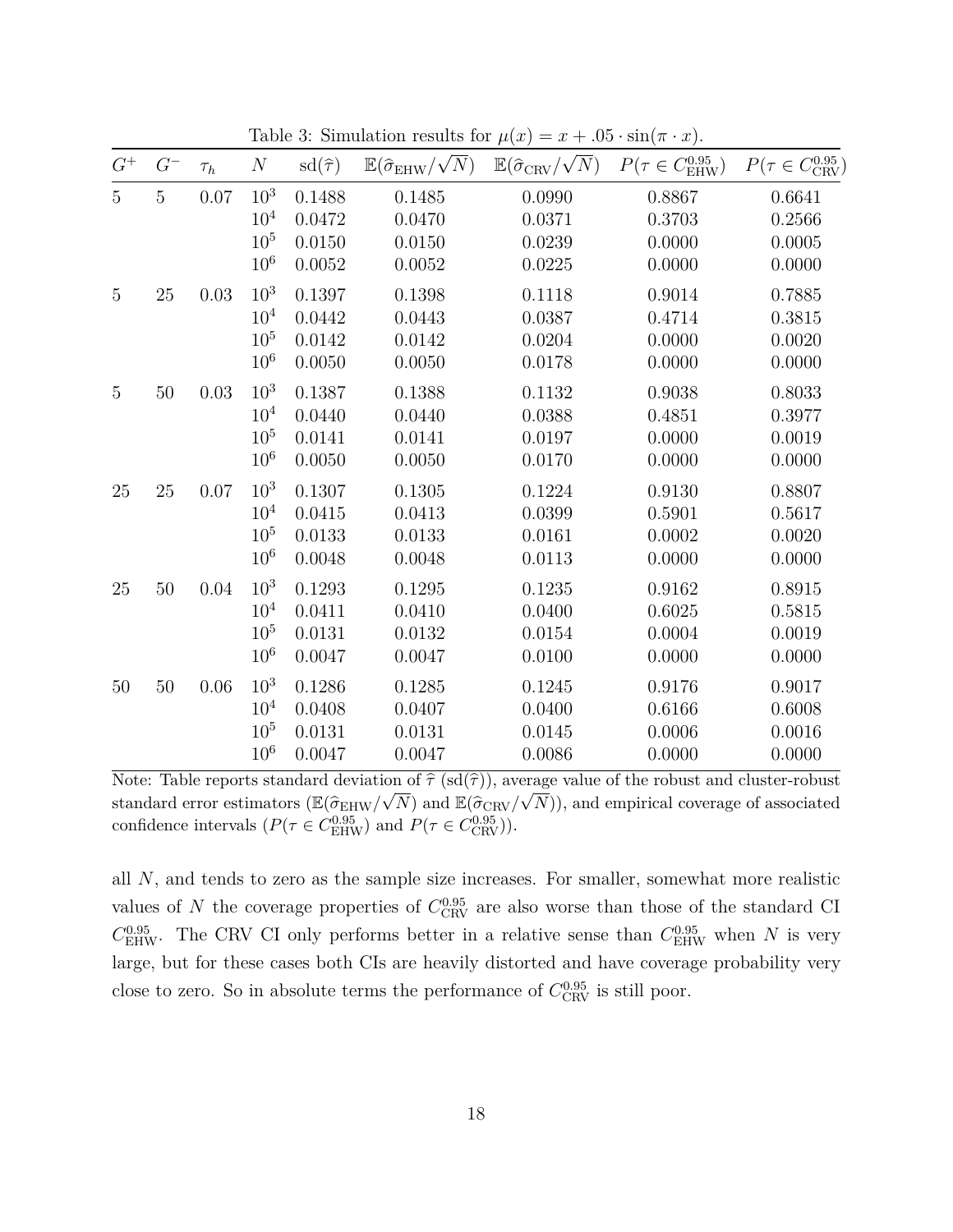| $G^{-}$        | $\tau_h$ | $\cal N$        | $sd(\hat{\tau})$ | $\mathbb{E}(\hat{\sigma}_{\mathrm{EHW}}/\sqrt{N})$ | $\mathbb{E}(\widehat{\sigma}_{\mathrm{CRV}}/\sqrt{N})$ | $P(\tau \in C_{\text{EHW}}^{0.95})$ | $P(\tau \in C_{\text{CRV}}^{0.95})$ |
|----------------|----------|-----------------|------------------|----------------------------------------------------|--------------------------------------------------------|-------------------------------------|-------------------------------------|
| $\overline{5}$ | $0.07\,$ | 10 <sup>3</sup> | 0.1488           | 0.1485                                             | 0.0990                                                 | 0.8867                              | 0.6641                              |
|                |          | $10^{4}$        | 0.0472           | 0.0470                                             | 0.0371                                                 | 0.3703                              | 0.2566                              |
|                |          | $10^{5}$        | 0.0150           | 0.0150                                             | 0.0239                                                 | 0.0000                              | 0.0005                              |
|                |          | $10^{6}$        | 0.0052           | 0.0052                                             | 0.0225                                                 | 0.0000                              | 0.0000                              |
| $25\,$         | $0.03\,$ | 10 <sup>3</sup> | 0.1397           | 0.1398                                             | 0.1118                                                 | 0.9014                              | 0.7885                              |
|                |          | $10^{4}$        | 0.0442           | 0.0443                                             | 0.0387                                                 | 0.4714                              | 0.3815                              |
|                |          | $10^{5}$        | 0.0142           | $0.0142\,$                                         | 0.0204                                                 | 0.0000                              | $0.0020\,$                          |
|                |          | $10^{6}$        | 0.0050           | 0.0050                                             | 0.0178                                                 | 0.0000                              | 0.0000                              |
| $50\,$         | 0.03     | $10^{3}$        | 0.1387           | 0.1388                                             | 0.1132                                                 | 0.9038                              | 0.8033                              |
|                |          | 10 <sup>4</sup> | 0.0440           | 0.0440                                             | 0.0388                                                 | 0.4851                              | 0.3977                              |
|                |          | 10 <sup>5</sup> | 0.0141           | 0.0141                                             | 0.0197                                                 | 0.0000                              | 0.0019                              |
|                |          | $10^{6}$        | 0.0050           | 0.0050                                             | 0.0170                                                 | 0.0000                              | 0.0000                              |
| $25\,$         | $0.07\,$ | 10 <sup>3</sup> | 0.1307           | 0.1305                                             | 0.1224                                                 | 0.9130                              | 0.8807                              |
|                |          | $10^{4}$        | 0.0415           | 0.0413                                             | 0.0399                                                 | 0.5901                              | 0.5617                              |
|                |          | $10^{5}$        | 0.0133           | 0.0133                                             | 0.0161                                                 | 0.0002                              | 0.0020                              |
|                |          | $10^{6}$        | 0.0048           | 0.0048                                             | 0.0113                                                 | 0.0000                              | 0.0000                              |
| 50             | 0.04     | $10^{3}$        | 0.1293           | 0.1295                                             | 0.1235                                                 | 0.9162                              | 0.8915                              |
|                |          | 10 <sup>4</sup> | 0.0411           | 0.0410                                             | 0.0400                                                 | 0.6025                              | 0.5815                              |
|                |          | 10 <sup>5</sup> | 0.0131           | 0.0132                                             | 0.0154                                                 | 0.0004                              | 0.0019                              |
|                |          | $10^{6}$        | 0.0047           | 0.0047                                             | 0.0100                                                 | 0.0000                              | 0.0000                              |
| $50\,$         | 0.06     | $10^{3}$        | 0.1286           | 0.1285                                             | 0.1245                                                 | 0.9176                              | 0.9017                              |
|                |          | $10^{4}$        | 0.0408           | 0.0407                                             | 0.0400                                                 | 0.6166                              | 0.6008                              |
|                |          | $10^{5}$        | 0.0131           | 0.0131                                             | 0.0145                                                 | 0.0006                              | 0.0016                              |
|                |          | 10 <sup>6</sup> | 0.0047           | 0.0047                                             | 0.0086                                                 | 0.0000                              | 0.0000                              |
|                |          |                 |                  |                                                    |                                                        |                                     |                                     |

<span id="page-19-0"></span>Table 3: Simulation results for  $\mu(x) = x + .05 \cdot \sin(\pi \cdot x)$ .

Note: Table reports standard deviation of  $\hat{\tau}$  (sd( $\hat{\tau}$ )), average value of the robust and cluster-robust standard error estimators  $(\mathbb{E}(\hat{\sigma}_{EHW}/\sqrt{N})$  and  $\mathbb{E}(\hat{\sigma}_{CRW}/\sqrt{N}))$ , and empirical coverage of associated confidence intervals  $(P(\tau \in C_{\text{EHW}}^{0.95})$  and  $P(\tau \in C_{\text{CRV}}^{0.95})$ .

<span id="page-19-1"></span>all *N*, and tends to zero as the sample size increases. For smaller, somewhat more realistic values of *N* the coverage properties of  $C_{\text{CRV}}^{0.95}$  are also worse than those of the standard CI  $C_{\text{EHW}}^{0.95}$ . The CRV CI only performs better in a relative sense than  $C_{\text{EHW}}^{0.95}$  when *N* is very large, but for these cases both CIs are heavily distorted and have coverage probability very close to zero. So in absolute terms the performance of  $C_{\text{CRV}}^{0.95}$  is still poor.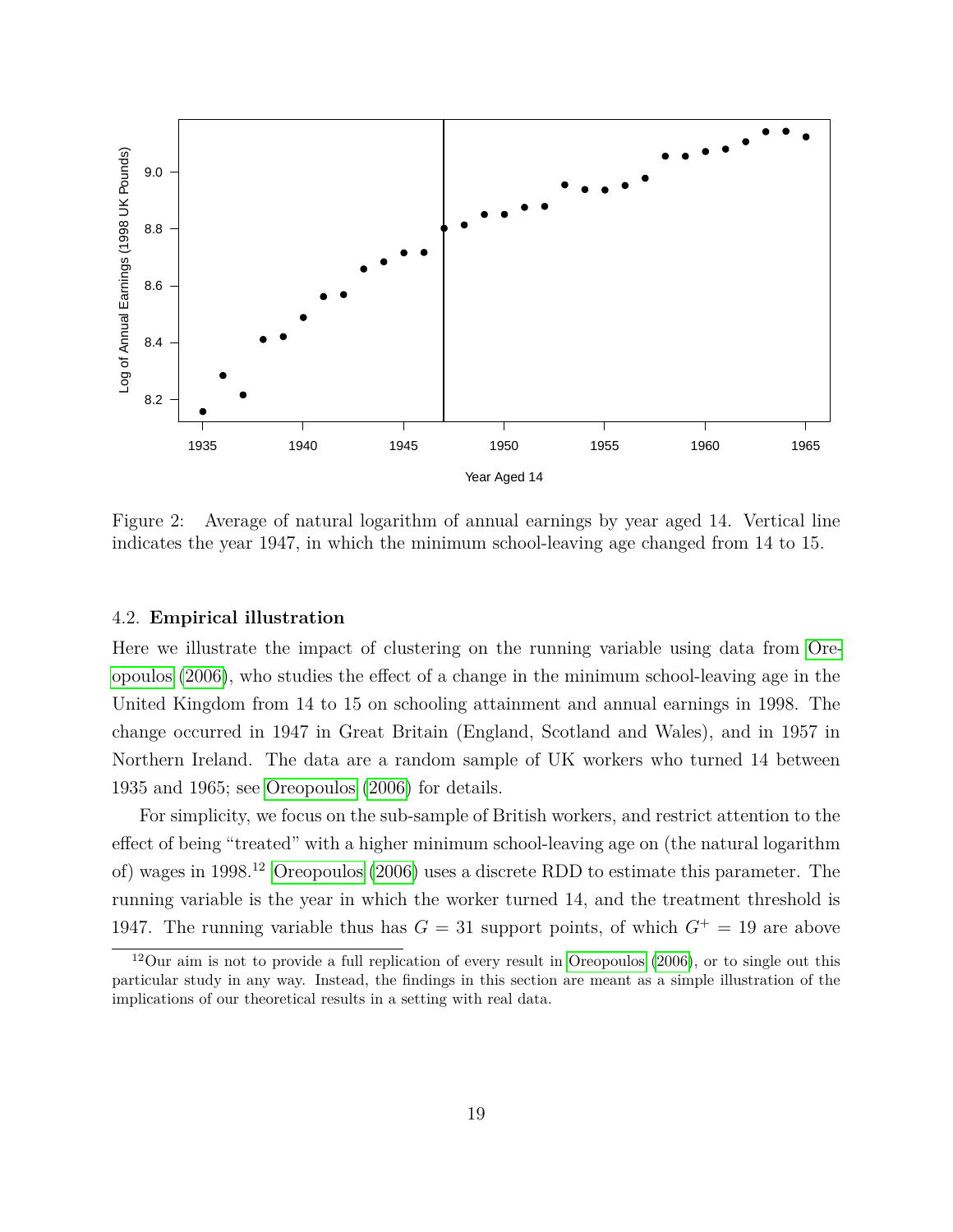

<span id="page-20-0"></span>Figure 2: Average of natural logarithm of annual earnings by year aged 14. Vertical line indicates the year 1947, in which the minimum school-leaving age changed from 14 to 15.

#### 4.2. **Empirical illustration**

Here we illustrate the impact of clustering on the running variable using data from [Ore](#page-40-3)[opoulos](#page-40-3) [\(2006\)](#page-40-3), who studies the effect of a change in the minimum school-leaving age in the United Kingdom from 14 to 15 on schooling attainment and annual earnings in 1998. The change occurred in 1947 in Great Britain (England, Scotland and Wales), and in 1957 in Northern Ireland. The data are a random sample of UK workers who turned 14 between 1935 and 1965; see [Oreopoulos](#page-40-3) [\(2006\)](#page-40-3) for details.

For simplicity, we focus on the sub-sample of British workers, and restrict attention to the effect of being "treated" with a higher minimum school-leaving age on (the natural logarithm of) wages in 1998.<sup>12</sup> [Oreopoulos](#page-40-3) [\(2006\)](#page-40-3) uses a discrete RDD to estimate this parameter. The running variable is the year in which the worker turned 14, and the treatment threshold is 1947. The running variable thus has  $G = 31$  support points, of which  $G^+ = 19$  are above

 $12$ Our aim is not to provide a full replication of every result in [Oreopoulos](#page-40-3) [\(2006\)](#page-40-3), or to single out this particular study in any way. Instead, the findings in this section are meant as a simple illustration of the implications of our theoretical results in a setting with real data.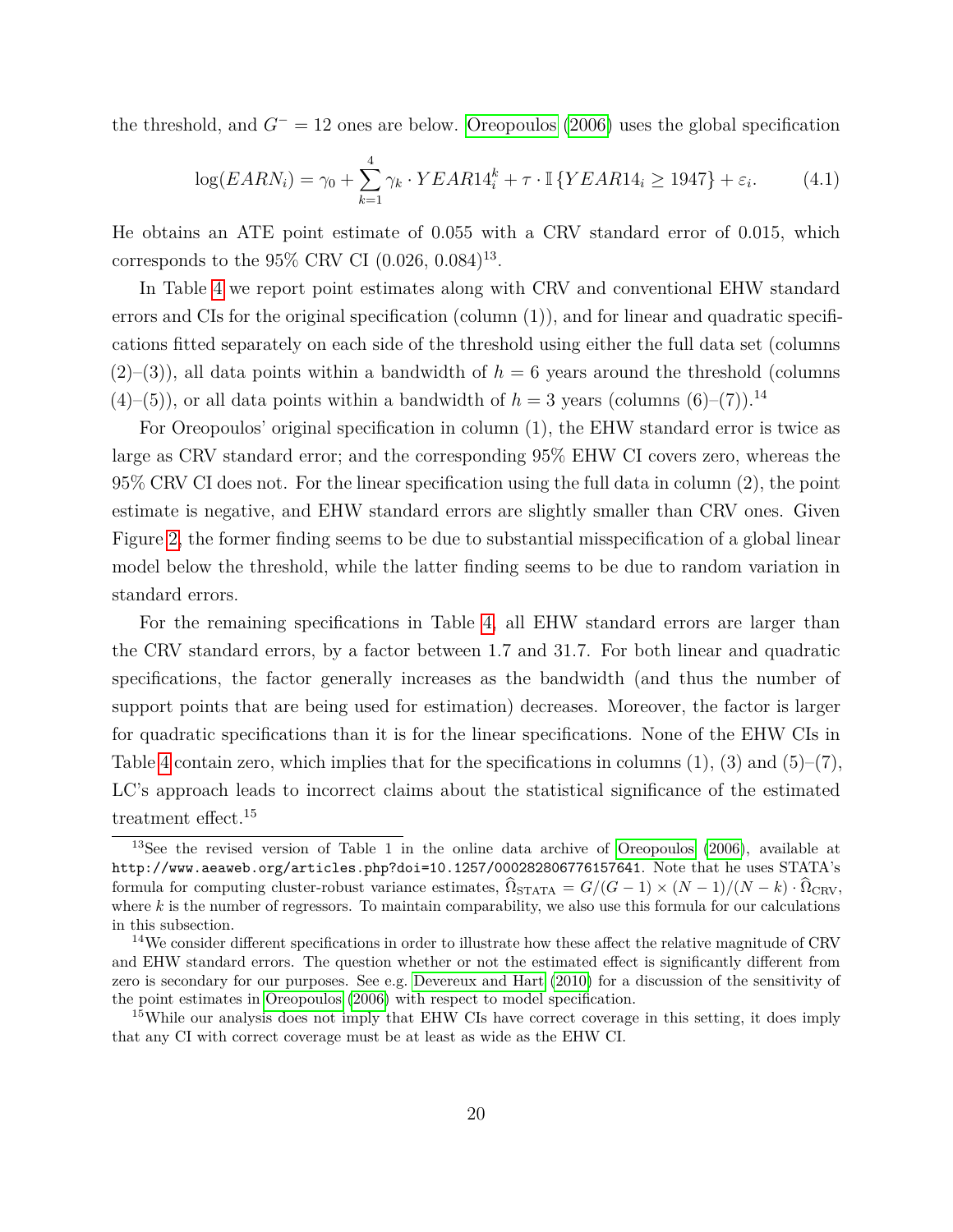the threshold, and *G*<sup>−</sup> = 12 ones are below. [Oreopoulos](#page-40-3) [\(2006\)](#page-40-3) uses the global specification

$$
\log(EARN_i) = \gamma_0 + \sum_{k=1}^{4} \gamma_k \cdot YEAR14_i^k + \tau \cdot \mathbb{I} \{YEAR14_i \ge 1947\} + \varepsilon_i.
$$
 (4.1)

He obtains an ATE point estimate of 0.055 with a CRV standard error of 0.015, which corresponds to the 95\% CRV CI  $(0.026, 0.084)^{13}$ .

In Table [4](#page-22-0) we report point estimates along with CRV and conventional EHW standard errors and CIs for the original specification (column  $(1)$ ), and for linear and quadratic specifications fitted separately on each side of the threshold using either the full data set (columns  $(2)$ –(3)), all data points within a bandwidth of  $h = 6$  years around the threshold (columns  $(4)$ –(5)), or all data points within a bandwidth of  $h = 3$  years (columns  $(6)$ –(7)).<sup>14</sup>

For Oreopoulos' original specification in column (1), the EHW standard error is twice as large as CRV standard error; and the corresponding 95% EHW CI covers zero, whereas the 95% CRV CI does not. For the linear specification using the full data in column (2), the point estimate is negative, and EHW standard errors are slightly smaller than CRV ones. Given Figure [2,](#page-20-0) the former finding seems to be due to substantial misspecification of a global linear model below the threshold, while the latter finding seems to be due to random variation in standard errors.

For the remaining specifications in Table [4,](#page-22-0) all EHW standard errors are larger than the CRV standard errors, by a factor between 1.7 and 31.7. For both linear and quadratic specifications, the factor generally increases as the bandwidth (and thus the number of support points that are being used for estimation) decreases. Moreover, the factor is larger for quadratic specifications than it is for the linear specifications. None of the EHW CIs in Table [4](#page-22-0) contain zero, which implies that for the specifications in columns  $(1)$ ,  $(3)$  and  $(5)-(7)$ , LC's approach leads to incorrect claims about the statistical significance of the estimated treatment effect.<sup>15</sup>

<span id="page-21-0"></span><sup>&</sup>lt;sup>13</sup>See the revised version of Table 1 in the online data archive of [Oreopoulos](#page-40-3) [\(2006\)](#page-40-3), available at http://www.aeaweb.org/articles.php?doi=10.1257/000282806776157641. Note that he uses STATA's formula for computing cluster-robust variance estimates,  $\Omega_{\text{STATA}} = G/(G-1) \times (N-1)/(N-k) \cdot \Omega_{\text{CRV}}$ , where  $k$  is the number of regressors. To maintain comparability, we also use this formula for our calculations in this subsection.

<sup>&</sup>lt;sup>14</sup>We consider different specifications in order to illustrate how these affect the relative magnitude of CRV and EHW standard errors. The question whether or not the estimated effect is significantly different from zero is secondary for our purposes. See e.g. [Devereux and Hart](#page-39-12) [\(2010\)](#page-39-12) for a discussion of the sensitivity of the point estimates in [Oreopoulos](#page-40-3) [\(2006\)](#page-40-3) with respect to model specification.

<sup>&</sup>lt;sup>15</sup>While our analysis does not imply that EHW CIs have correct coverage in this setting, it does imply that any CI with correct coverage must be at least as wide as the EHW CI.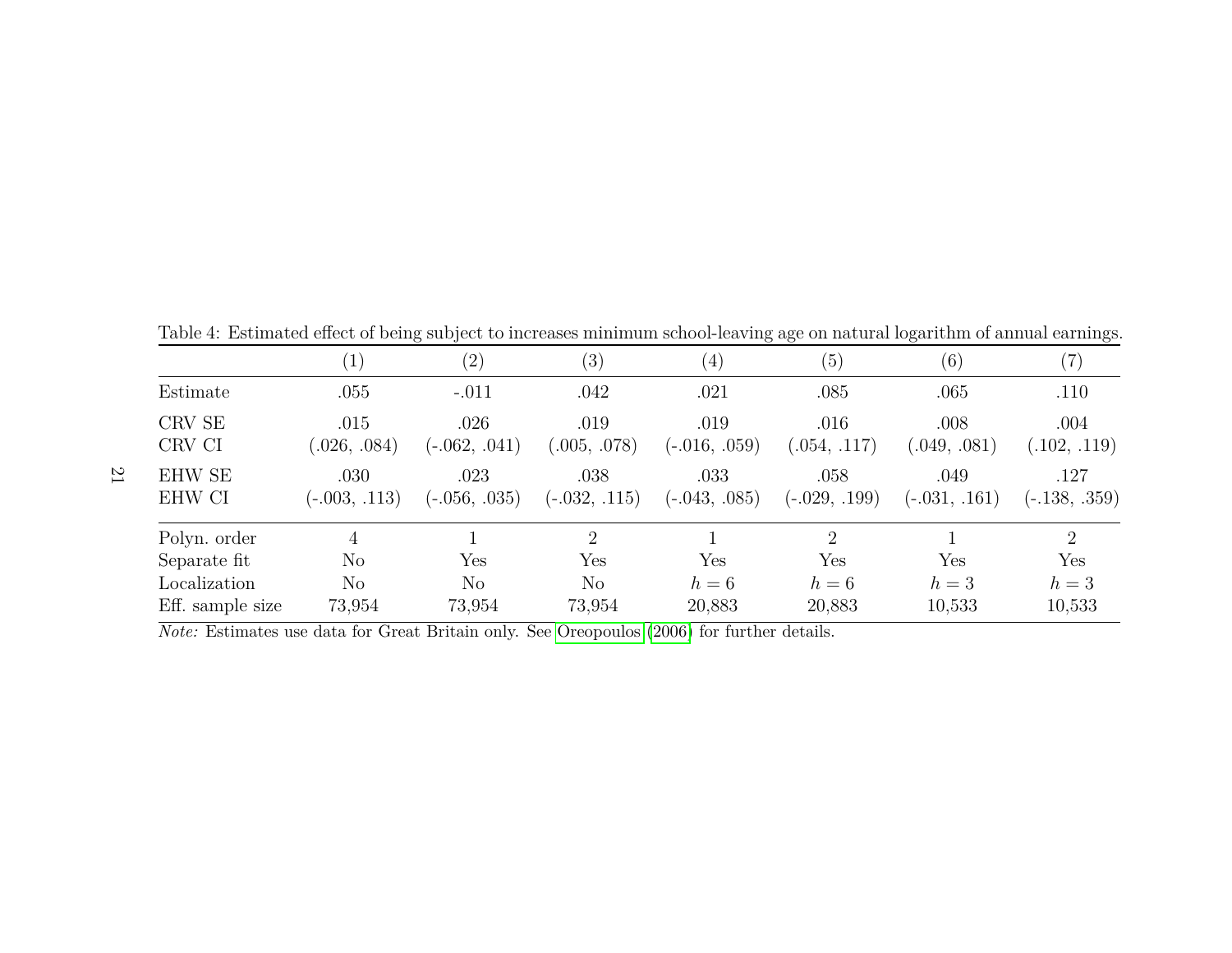|                         |                         | (2)                     | $\left( 3\right)$       | $\left( 4\right)$       | (5)                     | (6)                     | (7)                     |
|-------------------------|-------------------------|-------------------------|-------------------------|-------------------------|-------------------------|-------------------------|-------------------------|
| Estimate                | .055                    | $-.011$                 | .042                    | .021                    | .085                    | .065                    | .110                    |
| CRV SE<br>CRV CI        | .015<br>(.026, .084)    | .026<br>$(-.062, .041)$ | .019<br>(.005, .078)    | .019<br>$(-.016, .059)$ | .016<br>(.054, .117)    | .008<br>(0.049, 0.081)  | .004<br>(.102, .119)    |
| <b>EHW SE</b><br>EHW CI | .030<br>$(-.003, .113)$ | .023<br>$(-.056, .035)$ | .038<br>$(-.032, .115)$ | .033<br>$(-.043, .085)$ | .058<br>$(-.029, .199)$ | .049<br>$(-.031, .161)$ | .127<br>$(-.138, .359)$ |
| Polyn. order            | 4                       |                         | $\overline{2}$          |                         | $\overline{2}$          |                         | $\overline{2}$          |
| Separate fit            | $\rm No$                | Yes                     | Yes                     | Yes                     | Yes                     | Yes                     | Yes                     |
| Localization            | No                      | $\rm No$                | No                      | $h=6$                   | $h=6$                   | $h=3$                   | $h=3$                   |
| Eff. sample size        | 73,954                  | 73,954                  | 73,954                  | 20,883                  | 20,883                  | 10,533                  | 10,533                  |

<span id="page-22-1"></span><span id="page-22-0"></span>Table 4: Estimated effect of being subject to increases minimum school-leaving age on natural logarithm of annual earnings.

*Note:* Estimates use data for Great Britain only. See [Oreopoulos](#page-40-8) ([2006\)](#page-40-8) for further details.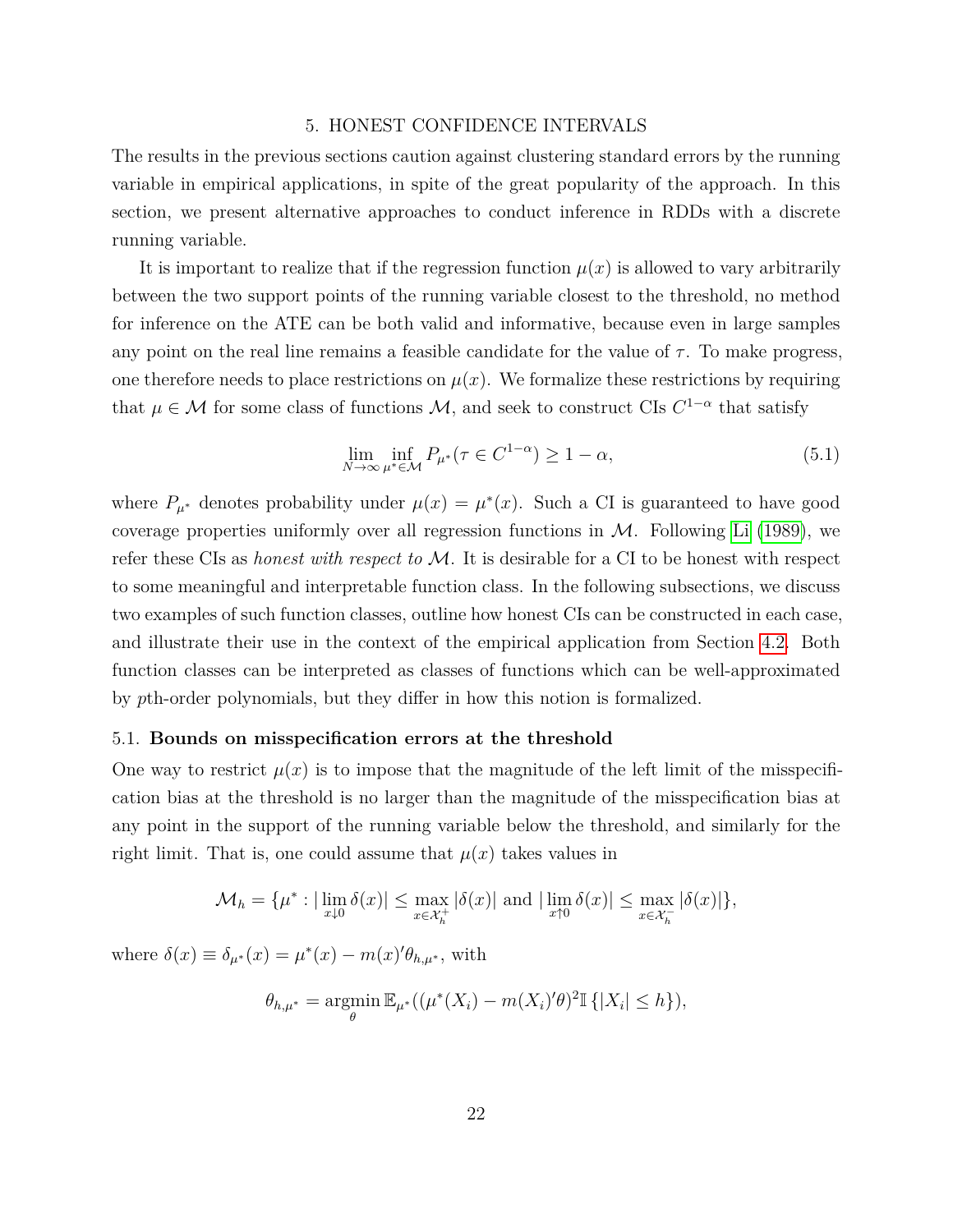#### 5. HONEST CONFIDENCE INTERVALS

The results in the previous sections caution against clustering standard errors by the running variable in empirical applications, in spite of the great popularity of the approach. In this section, we present alternative approaches to conduct inference in RDDs with a discrete running variable.

It is important to realize that if the regression function  $\mu(x)$  is allowed to vary arbitrarily between the two support points of the running variable closest to the threshold, no method for inference on the ATE can be both valid and informative, because even in large samples any point on the real line remains a feasible candidate for the value of  $\tau$ . To make progress, one therefore needs to place restrictions on  $\mu(x)$ . We formalize these restrictions by requiring that  $\mu \in \mathcal{M}$  for some class of functions  $\mathcal{M}$ , and seek to construct CIs  $C^{1-\alpha}$  that satisfy

<span id="page-23-0"></span>
$$
\lim_{N \to \infty} \inf_{\mu^* \in \mathcal{M}} P_{\mu^*}(\tau \in C^{1-\alpha}) \ge 1 - \alpha,
$$
\n(5.1)

where  $P_{\mu^*}$  denotes probability under  $\mu(x) = \mu^*(x)$ . Such a CI is guaranteed to have good coverage properties uniformly over all regression functions in  $M$ . Following [Li](#page-40-6) [\(1989\)](#page-40-6), we refer these CIs as *honest with respect to* M. It is desirable for a CI to be honest with respect to some meaningful and interpretable function class. In the following subsections, we discuss two examples of such function classes, outline how honest CIs can be constructed in each case, and illustrate their use in the context of the empirical application from Section [4.2.](#page-19-1) Both function classes can be interpreted as classes of functions which can be well-approximated by *p*th-order polynomials, but they differ in how this notion is formalized.

#### 5.1. **Bounds on misspecification errors at the threshold**

One way to restrict  $\mu(x)$  is to impose that the magnitude of the left limit of the misspecification bias at the threshold is no larger than the magnitude of the misspecification bias at any point in the support of the running variable below the threshold, and similarly for the right limit. That is, one could assume that  $\mu(x)$  takes values in

$$
\mathcal{M}_h = \{ \mu^* : |\lim_{x \downarrow 0} \delta(x)| \le \max_{x \in \mathcal{X}_h^+} |\delta(x)| \text{ and } |\lim_{x \uparrow 0} \delta(x)| \le \max_{x \in \mathcal{X}_h^-} |\delta(x)| \},
$$

where  $\delta(x) \equiv \delta_{\mu^*}(x) = \mu^*(x) - m(x)'\theta_{h,\mu^*}$ , with

$$
\theta_{h,\mu^*} = \underset{\theta}{\operatorname{argmin}} \mathbb{E}_{\mu^*}((\mu^*(X_i) - m(X_i)'\theta)^2 \mathbb{I}\{|X_i| \leq h\}),
$$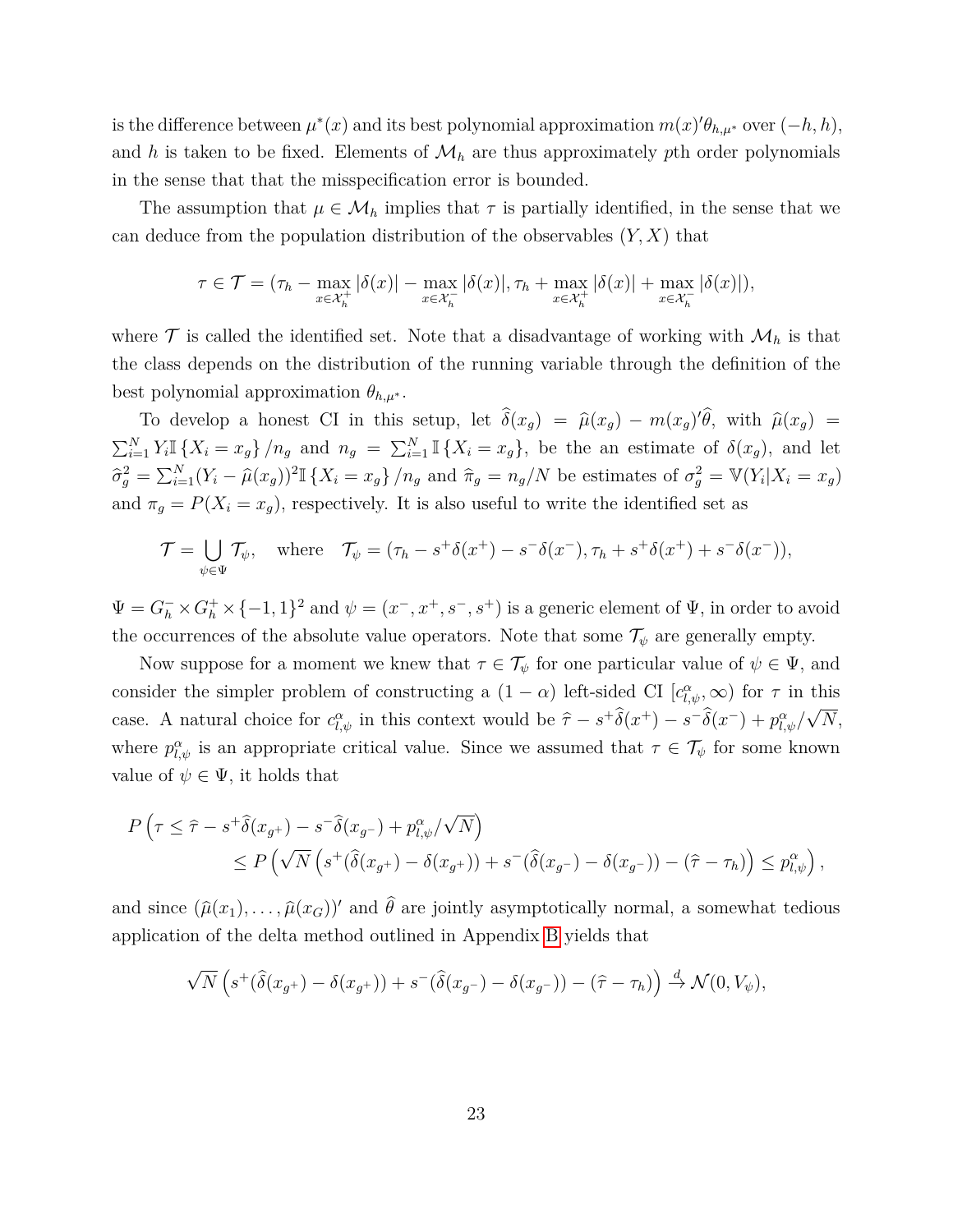is the difference between  $\mu^*(x)$  and its best polynomial approximation  $m(x)'\theta_{h,\mu^*}$  over  $(-h,h)$ , and h is taken to be fixed. Elements of  $\mathcal{M}_h$  are thus approximately pth order polynomials in the sense that that the misspecification error is bounded.

The assumption that  $\mu \in \mathcal{M}_h$  implies that  $\tau$  is partially identified, in the sense that we can deduce from the population distribution of the observables (*Y, X*) that

$$
\tau \in \mathcal{T} = (\tau_h - \max_{x \in \mathcal{X}_h^+} |\delta(x)| - \max_{x \in \mathcal{X}_h^-} |\delta(x)|, \tau_h + \max_{x \in \mathcal{X}_h^+} |\delta(x)| + \max_{x \in \mathcal{X}_h^-} |\delta(x)|),
$$

where  $\mathcal T$  is called the identified set. Note that a disadvantage of working with  $\mathcal M_h$  is that the class depends on the distribution of the running variable through the definition of the best polynomial approximation  $\theta_{h,\mu^*}$ .

To develop a honest CI in this setup, let  $\hat{\delta}(x_g) = \hat{\mu}(x_g) - m(x_g)\hat{\theta}$ , with  $\hat{\mu}(x_g) =$  $\sum_{i=1}^N Y_i \mathbb{I} \{X_i = x_g\}/n_g$  and  $n_g = \sum_{i=1}^N \mathbb{I} \{X_i = x_g\}$ , be the an estimate of  $\delta(x_g)$ , and let  $\hat{\sigma}_g^2 = \sum_{i=1}^N (Y_i - \hat{\mu}(x_g))^2 \mathbb{I}_{\{X_i = x_g\}}/n_g$  and  $\hat{\pi}_g = n_g/N$  be estimates of  $\sigma_g^2 = \mathbb{V}(Y_i | X_i = x_g)$ and  $\pi_g = P(X_i = x_g)$ , respectively. It is also useful to write the identified set as

$$
\mathcal{T} = \bigcup_{\psi \in \Psi} \mathcal{T}_{\psi}, \quad \text{where} \quad \mathcal{T}_{\psi} = (\tau_h - s^+ \delta(x^+) - s^- \delta(x^-), \tau_h + s^+ \delta(x^+) + s^- \delta(x^-)),
$$

 $\Psi = G_h^- \times G_h^+ \times \{-1,1\}^2$  and  $\psi = (x^-, x^+, s^-, s^+)$  is a generic element of  $\Psi$ , in order to avoid the occurrences of the absolute value operators. Note that some  $\mathcal{T}_{\psi}$  are generally empty.

Now suppose for a moment we knew that  $\tau \in \mathcal{T}_{\psi}$  for one particular value of  $\psi \in \Psi$ , and consider the simpler problem of constructing a  $(1 - \alpha)$  left-sided CI  $[c_{l,\psi}^{\alpha},\infty)$  for  $\tau$  in this case. A natural choice for  $c_{l,\psi}^{\alpha}$  in this context would be  $\hat{\tau} - s^+ \hat{\delta}(x^+) - s^- \hat{\delta}(x^-) + p_{l,\psi}^{\alpha}/l$ √ *N*, where  $p_{l,\psi}^{\alpha}$  is an appropriate critical value. Since we assumed that  $\tau \in \mathcal{T}_{\psi}$  for some known value of  $\psi \in \Psi$ , it holds that

$$
P\left(\tau \leq \hat{\tau} - s^+ \hat{\delta}(x_{g^+}) - s^- \hat{\delta}(x_{g^-}) + p_{l,\psi}^{\alpha}/\sqrt{N}\right)
$$
  
\$\leq P\left(\sqrt{N}\left(s^+ (\hat{\delta}(x\_{g^+}) - \delta(x\_{g^+})) + s^-(\hat{\delta}(x\_{g^-}) - \delta(x\_{g^-})) - (\hat{\tau} - \tau\_h)\right) \leq p\_{l,\psi}^{\alpha}\right)\$,

and since  $(\hat{\mu}(x_1), \ldots, \hat{\mu}(x_G))'$  and  $\hat{\theta}$  are jointly asymptotically normal, a somewhat tedious application of the delta method outlined in Appendix [B](#page-36-0) yields that

$$
\sqrt{N}\left(s^+\big(\widehat{\delta}(x_{g^+})-\delta(x_{g^+})\big)+s^-\big(\widehat{\delta}(x_{g^-})-\delta(x_{g^-})\big)-(\widehat{\tau}-\tau_h)\right)\overset{d}{\to}\mathcal{N}(0,V_\psi),
$$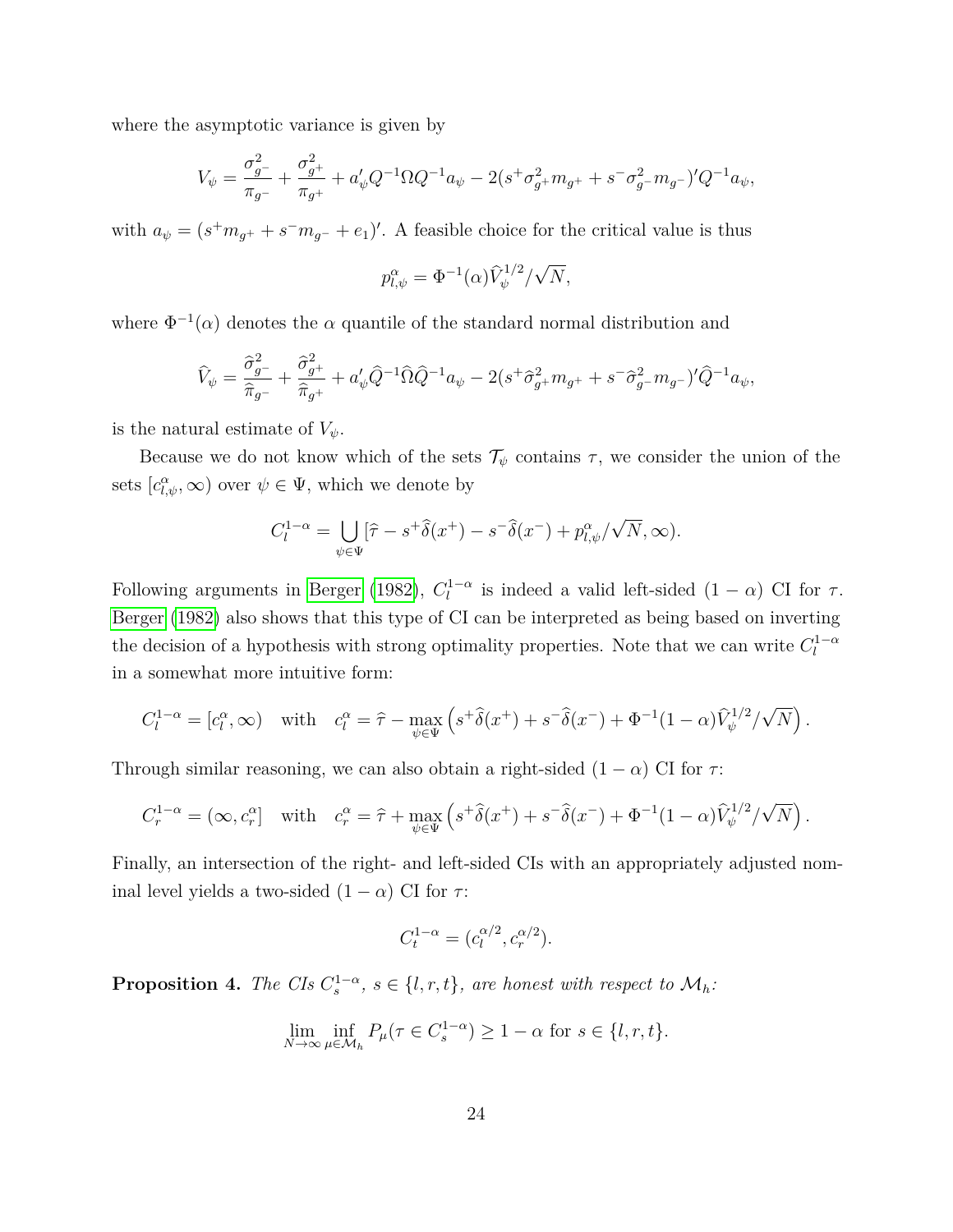where the asymptotic variance is given by

$$
V_{\psi} = \frac{\sigma_{g^-}^2}{\pi_{g^-}} + \frac{\sigma_{g^+}^2}{\pi_{g^+}} + a_{\psi}'Q^{-1}\Omega Q^{-1}a_{\psi} - 2(s^+\sigma_{g^+}^2m_{g^+} + s^-\sigma_{g^-}^2m_{g^-})'Q^{-1}a_{\psi},
$$

with  $a_{\psi} = (s^+ m_{g^+} + s^- m_{g^-} + e_1)'$ . A feasible choice for the critical value is thus

$$
p_{l,\psi}^{\alpha} = \Phi^{-1}(\alpha) \widehat{V}_{\psi}^{1/2} / \sqrt{N},
$$

where  $\Phi^{-1}(\alpha)$  denotes the  $\alpha$  quantile of the standard normal distribution and

$$
\widehat{V}_{\psi} = \frac{\widehat{\sigma}_{g^-}^2}{\widehat{\pi}_{g^-}} + \frac{\widehat{\sigma}_{g^+}^2}{\widehat{\pi}_{g^+}} + a_{\psi}' \widehat{Q}^{-1} \widehat{\Omega} \widehat{Q}^{-1} a_{\psi} - 2(s^+ \widehat{\sigma}_{g^+}^2 m_{g^+} + s^- \widehat{\sigma}_{g^-}^2 m_{g^-})' \widehat{Q}^{-1} a_{\psi},
$$

is the natural estimate of  $V_{\psi}$ .

Because we do not know which of the sets  $\mathcal{T}_{\psi}$  contains  $\tau$ , we consider the union of the sets  $[c_{l,\psi}^{\alpha}, \infty)$  over  $\psi \in \Psi$ , which we denote by

$$
C_l^{1-\alpha} = \bigcup_{\psi \in \Psi} [\hat{\tau} - s^+ \hat{\delta}(x^+) - s^- \hat{\delta}(x^-) + p_{l,\psi}^{\alpha}/\sqrt{N}, \infty).
$$

Following arguments in [Berger](#page-38-2) [\(1982\)](#page-38-2),  $C_l^{1-\alpha}$  is indeed a valid left-sided (1 – *α*) CI for  $\tau$ . [Berger](#page-38-2) [\(1982\)](#page-38-2) also shows that this type of CI can be interpreted as being based on inverting the decision of a hypothesis with strong optimality properties. Note that we can write  $C_l^{1-\alpha}$ in a somewhat more intuitive form:

$$
C_l^{1-\alpha} = [c_l^{\alpha}, \infty) \quad \text{with} \quad c_l^{\alpha} = \hat{\tau} - \max_{\psi \in \Psi} \left( s^+ \hat{\delta}(x^+) + s^- \hat{\delta}(x^-) + \Phi^{-1} (1 - \alpha) \hat{V}_{\psi}^{1/2} / \sqrt{N} \right).
$$

Through similar reasoning, we can also obtain a right-sided  $(1 - \alpha)$  CI for  $\tau$ :

$$
C_r^{1-\alpha} = (\infty, c_r^{\alpha}] \quad \text{with} \quad c_r^{\alpha} = \hat{\tau} + \max_{\psi \in \Psi} \left( s^+ \hat{\delta}(x^+) + s^- \hat{\delta}(x^-) + \Phi^{-1} (1-\alpha) \hat{V}_{\psi}^{1/2} / \sqrt{N} \right).
$$

Finally, an intersection of the right- and left-sided CIs with an appropriately adjusted nominal level yields a two-sided  $(1 - \alpha)$  CI for  $\tau$ :

$$
C_t^{1-\alpha} = (c_l^{\alpha/2}, c_r^{\alpha/2}).
$$

<span id="page-25-0"></span>**Proposition 4.** *The CIs*  $C_s^{1-\alpha}$ *, s*  $\in \{l, r, t\}$ *, are honest with respect to*  $\mathcal{M}_h$ *:* 

$$
\lim_{N \to \infty} \inf_{\mu \in \mathcal{M}_h} P_{\mu}(\tau \in C_s^{1-\alpha}) \ge 1 - \alpha \text{ for } s \in \{l, r, t\}.
$$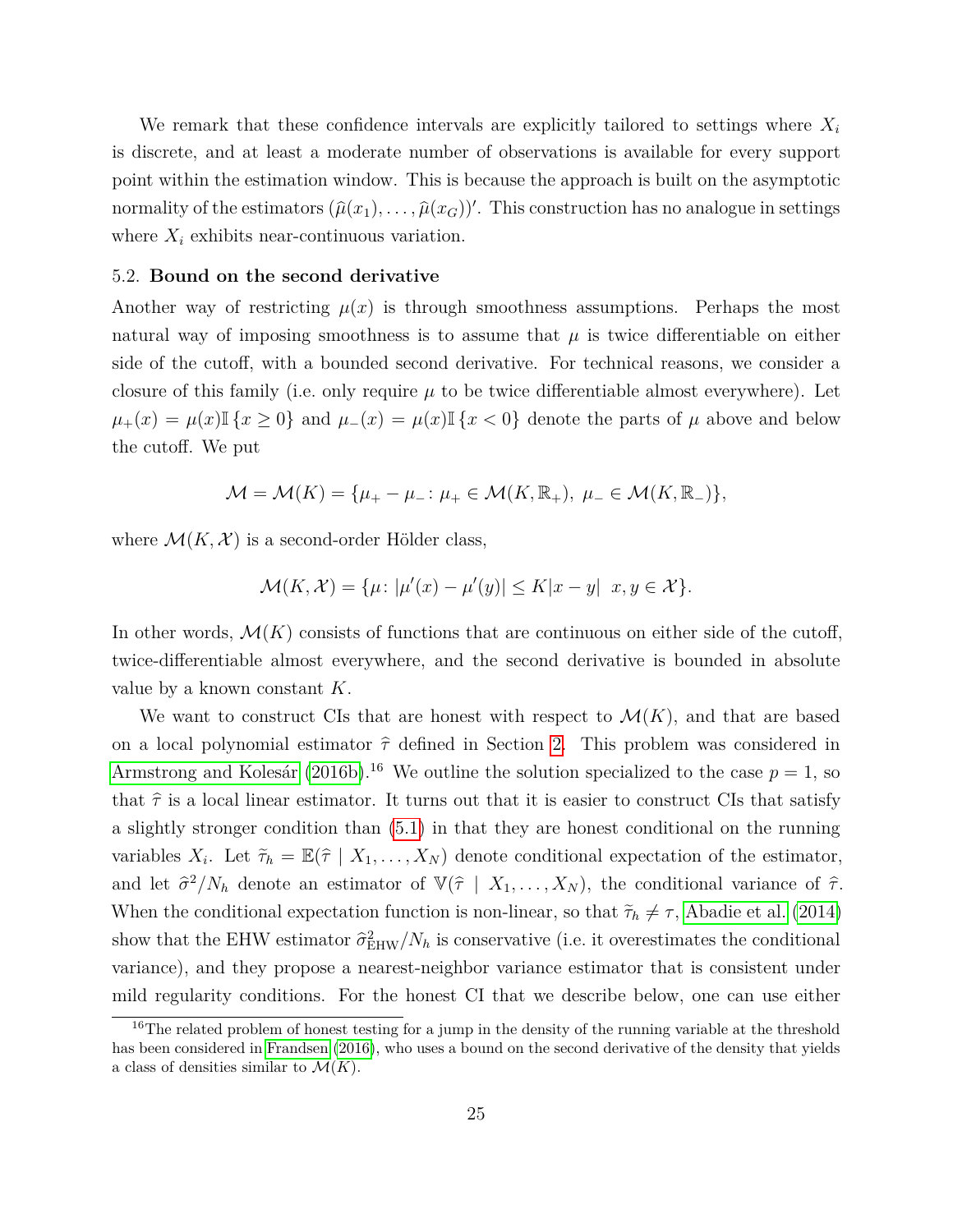We remark that these confidence intervals are explicitly tailored to settings where *X<sup>i</sup>* is discrete, and at least a moderate number of observations is available for every support point within the estimation window. This is because the approach is built on the asymptotic normality of the estimators  $(\hat{\mu}(x_1), \dots, \hat{\mu}(x_G))'$ . This construction has no analogue in settings where  $X_i$  exhibits near-continuous variation.

#### 5.2. **Bound on the second derivative**

Another way of restricting  $\mu(x)$  is through smoothness assumptions. Perhaps the most natural way of imposing smoothness is to assume that  $\mu$  is twice differentiable on either side of the cutoff, with a bounded second derivative. For technical reasons, we consider a closure of this family (i.e. only require  $\mu$  to be twice differentiable almost everywhere). Let  $\mu_{+}(x) = \mu(x) \mathbb{I} \{x \geq 0\}$  and  $\mu_{-}(x) = \mu(x) \mathbb{I} \{x < 0\}$  denote the parts of  $\mu$  above and below the cutoff. We put

$$
\mathcal{M} = \mathcal{M}(K) = \{ \mu_+ - \mu_- : \mu_+ \in \mathcal{M}(K, \mathbb{R}_+), \ \mu_- \in \mathcal{M}(K, \mathbb{R}_-) \},
$$

where  $\mathcal{M}(K,\mathcal{X})$  is a second-order Hölder class,

$$
\mathcal{M}(K,\mathcal{X}) = \{\mu \colon |\mu'(x) - \mu'(y)| \le K|x - y| \ x, y \in \mathcal{X}\}.
$$

In other words,  $\mathcal{M}(K)$  consists of functions that are continuous on either side of the cutoff, twice-differentiable almost everywhere, and the second derivative is bounded in absolute value by a known constant *K*.

We want to construct CIs that are honest with respect to  $\mathcal{M}(K)$ , and that are based on a local polynomial estimator  $\hat{\tau}$  defined in Section [2.](#page-6-0) This problem was considered in [Armstrong and Kolesár](#page-38-1) [\(2016b\)](#page-38-1).<sup>16</sup> We outline the solution specialized to the case  $p = 1$ , so that  $\hat{\tau}$  is a local linear estimator. It turns out that it is easier to construct CIs that satisfy a slightly stronger condition than [\(5.1\)](#page-23-0) in that they are honest conditional on the running variables  $X_i$ . Let  $\tilde{\tau}_h = \mathbb{E}(\hat{\tau} \mid X_1, \ldots, X_N)$  denote conditional expectation of the estimator, and let  $\hat{\sigma}^2/N_h$  denote an estimator of  $\nabla(\hat{\tau} | X_1, \ldots, X_N)$ , the conditional variance of  $\hat{\tau}$ . When the conditional expectation function is non-linear, so that  $\tilde{\tau}_h \neq \tau$ , [Abadie et al.](#page-38-3) [\(2014\)](#page-38-3) show that the EHW estimator  $\hat{\sigma}_{\text{EHW}}^2/N_h$  is conservative (i.e. it overestimates the conditional variance), and they propose a nearest-neighbor variance estimator that is consistent under mild regularity conditions. For the honest CI that we describe below, one can use either

<sup>&</sup>lt;sup>16</sup>The related problem of honest testing for a jump in the density of the running variable at the threshold has been considered in [Frandsen](#page-39-13) [\(2016\)](#page-39-13), who uses a bound on the second derivative of the density that yields a class of densities similar to  $\mathcal{M}(K)$ .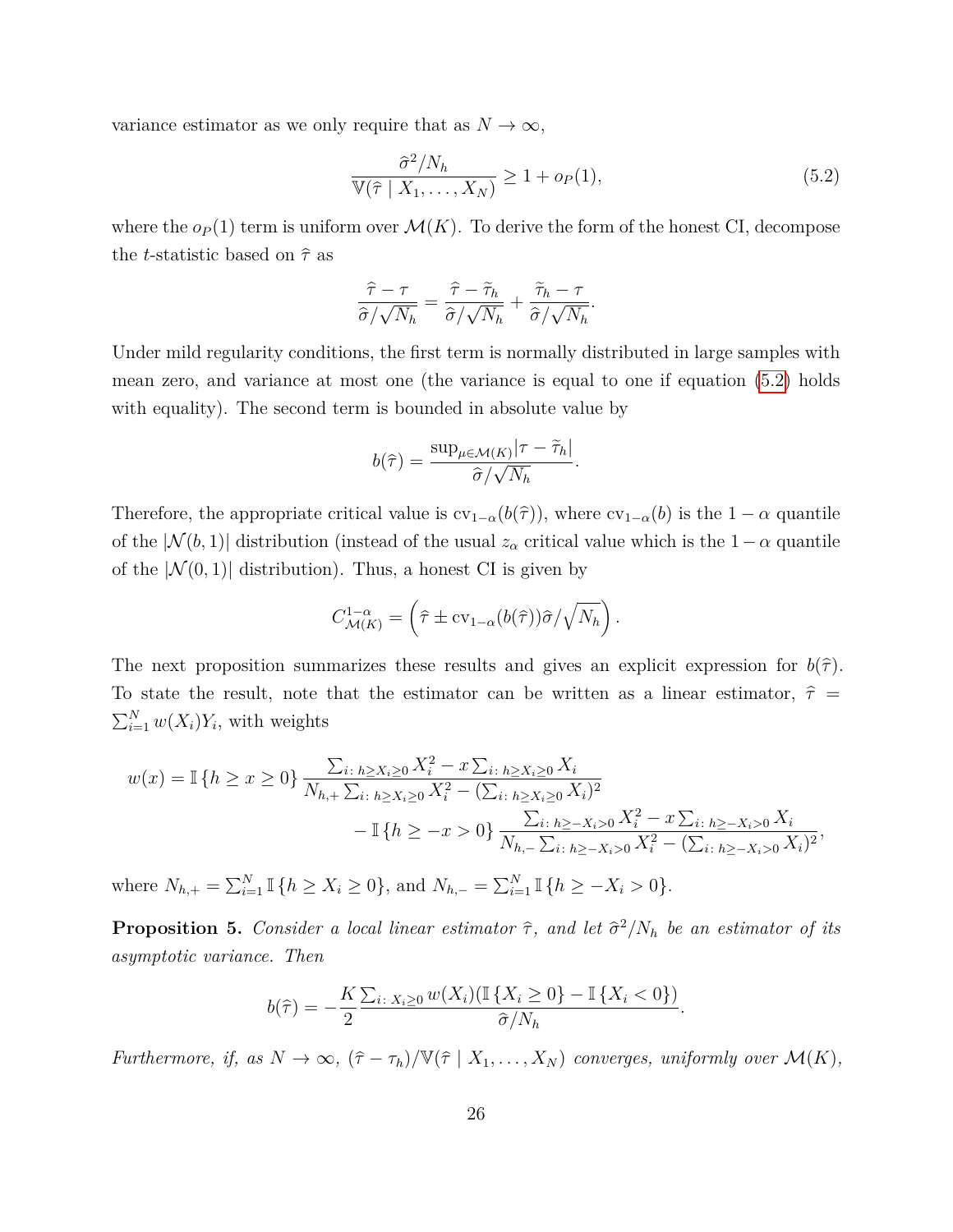variance estimator as we only require that as  $N \to \infty$ ,

<span id="page-27-1"></span>
$$
\frac{\widehat{\sigma}^2/N_h}{\mathbb{V}(\widehat{\tau} \mid X_1, \dots, X_N)} \ge 1 + o_P(1),\tag{5.2}
$$

where the  $o_P(1)$  term is uniform over  $\mathcal{M}(K)$ . To derive the form of the honest CI, decompose the *t*-statistic based on  $\hat{\tau}$  as

$$
\frac{\widehat{\tau} - \tau}{\widehat{\sigma}/\sqrt{N_h}} = \frac{\widehat{\tau} - \widetilde{\tau}_h}{\widehat{\sigma}/\sqrt{N_h}} + \frac{\widetilde{\tau}_h - \tau}{\widehat{\sigma}/\sqrt{N_h}}.
$$

Under mild regularity conditions, the first term is normally distributed in large samples with mean zero, and variance at most one (the variance is equal to one if equation [\(5.2\)](#page-27-1) holds with equality). The second term is bounded in absolute value by

$$
b(\hat{\tau}) = \frac{\sup_{\mu \in \mathcal{M}(K)} |\tau - \tilde{\tau}_h|}{\hat{\sigma}/\sqrt{N_h}}.
$$

Therefore, the appropriate critical value is  $cv_{1-\alpha}(b(\hat{\tau}))$ , where  $cv_{1-\alpha}(b)$  is the  $1-\alpha$  quantile of the  $|\mathcal{N}(b, 1)|$  distribution (instead of the usual  $z_\alpha$  critical value which is the  $1-\alpha$  quantile of the  $|\mathcal{N}(0,1)|$  distribution). Thus, a honest CI is given by

$$
C_{\mathcal{M}(K)}^{1-\alpha} = \left(\widehat{\tau} \pm \text{cv}_{1-\alpha}(b(\widehat{\tau}))\widehat{\sigma}/\sqrt{N_h}\right).
$$

The next proposition summarizes these results and gives an explicit expression for  $b(\hat{\tau})$ . To state the result, note that the estimator can be written as a linear estimator,  $\hat{\tau}$  $\sum_{i=1}^{N} w(X_i)Y_i$ , with weights

$$
w(x) = \mathbb{I}\left\{h \geq x \geq 0\right\} \frac{\sum_{i:\ h \geq X_i \geq 0} X_i^2 - x \sum_{i:\ h \geq X_i \geq 0} X_i}{N_{h,+} \sum_{i:\ h \geq X_i \geq 0} X_i^2 - (\sum_{i:\ h \geq X_i \geq 0} X_i)^2} - \mathbb{I}\left\{h \geq -x > 0\right\} \frac{\sum_{i:\ h \geq -X_i > 0} X_i^2 - x \sum_{i:\ h \geq -X_i > 0} X_i}{N_{h,-} \sum_{i:\ h \geq -X_i > 0} X_i^2 - (\sum_{i:\ h \geq -X_i > 0} X_i)^2},
$$

where  $N_{h,+} = \sum_{i=1}^{N} \mathbb{I} \{h \ge X_i \ge 0\}$ , and  $N_{h,-} = \sum_{i=1}^{N} \mathbb{I} \{h \ge -X_i > 0\}$ .

<span id="page-27-0"></span>**Proposition 5.** *Consider a local linear estimator*  $\hat{\tau}$ *, and let*  $\hat{\sigma}^2/N_h$  *be an estimator of its asymptotic variance. Then*

$$
b(\widehat{\tau}) = -\frac{K}{2} \frac{\sum_{i \colon X_i \ge 0} w(X_i) (\mathbb{I}\left\{X_i \ge 0\right\} - \mathbb{I}\left\{X_i < 0\right\})}{\widehat{\sigma}/N_h}.
$$

*Furthermore, if, as*  $N \to \infty$ ,  $(\hat{\tau} - \tau_h)/\mathbb{V}(\hat{\tau} | X_1, \dots, X_N)$  *converges, uniformly over*  $\mathcal{M}(K)$ *,*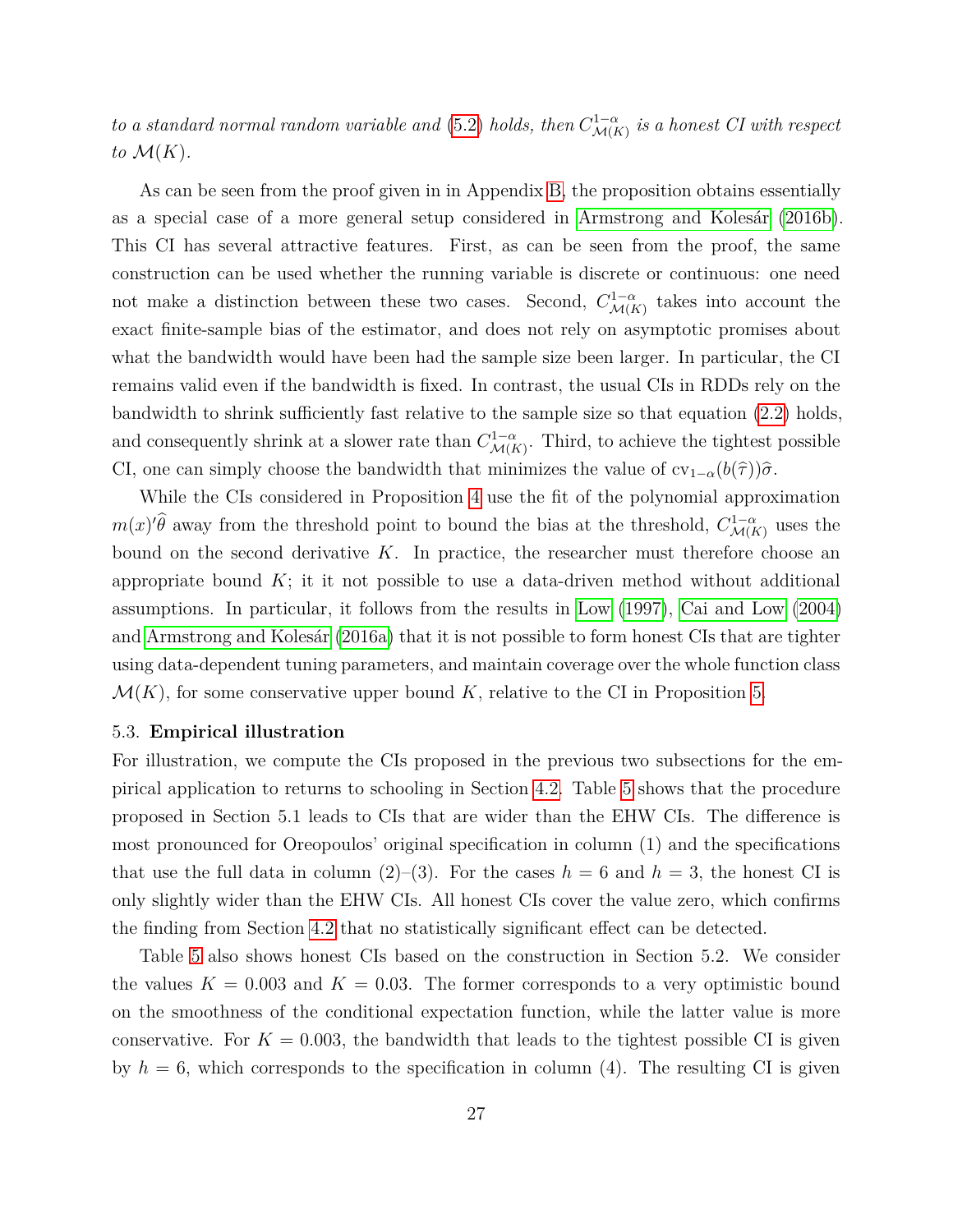*to a standard normal random variable and* [\(5.2\)](#page-27-1) *holds, then*  $C_{\mathcal{M}\{F}}^{1-\alpha}$  $\mathcal{M}(K)$  is a honest CI with respect to  $\mathcal{M}(K)$ .

As can be seen from the proof given in in Appendix [B,](#page-36-0) the proposition obtains essentially as a special case of a more general setup considered in [Armstrong and Kolesár](#page-38-1) [\(2016b\)](#page-38-1). This CI has several attractive features. First, as can be seen from the proof, the same construction can be used whether the running variable is discrete or continuous: one need not make a distinction between these two cases. Second,  $C_{MIP}^{1-\alpha}$  $\mathcal{M}(K)$  takes into account the exact finite-sample bias of the estimator, and does not rely on asymptotic promises about what the bandwidth would have been had the sample size been larger. In particular, the CI remains valid even if the bandwidth is fixed. In contrast, the usual CIs in RDDs rely on the bandwidth to shrink sufficiently fast relative to the sample size so that equation [\(2.2\)](#page-8-0) holds, and consequently shrink at a slower rate than  $C_{M(F)}^{1-\alpha}$  $\mathcal{M}(K)$ . Third, to achieve the tightest possible CI, one can simply choose the bandwidth that minimizes the value of  $cv_{1-\alpha}(b(\hat{\tau}))\hat{\sigma}$ .

While the CIs considered in Proposition [4](#page-25-0) use the fit of the polynomial approximation  $m(x)$ <sup>*'* $\hat{\theta}$ </sup> away from the threshold point to bound the bias at the threshold,  $C_{\mathcal{M}(P)}^{1-\alpha}$  $\mathcal{M}(K)$  uses the bound on the second derivative *K*. In practice, the researcher must therefore choose an appropriate bound  $K$ ; it it not possible to use a data-driven method without additional assumptions. In particular, it follows from the results in [Low](#page-40-9) [\(1997\)](#page-40-9), [Cai and Low](#page-38-4) [\(2004\)](#page-38-4) and [Armstrong and Kolesár](#page-38-5) [\(2016a\)](#page-38-5) that it is not possible to form honest CIs that are tighter using data-dependent tuning parameters, and maintain coverage over the whole function class  $\mathcal{M}(K)$ , for some conservative upper bound K, relative to the CI in Proposition [5.](#page-27-0)

#### 5.3. **Empirical illustration**

For illustration, we compute the CIs proposed in the previous two subsections for the empirical application to returns to schooling in Section [4.2.](#page-19-1) Table [5](#page-29-0) shows that the procedure proposed in Section 5.1 leads to CIs that are wider than the EHW CIs. The difference is most pronounced for Oreopoulos' original specification in column (1) and the specifications that use the full data in column  $(2)$ – $(3)$ . For the cases  $h = 6$  and  $h = 3$ , the honest CI is only slightly wider than the EHW CIs. All honest CIs cover the value zero, which confirms the finding from Section [4.2](#page-19-1) that no statistically significant effect can be detected.

Table [5](#page-29-0) also shows honest CIs based on the construction in Section 5.2. We consider the values  $K = 0.003$  and  $K = 0.03$ . The former corresponds to a very optimistic bound on the smoothness of the conditional expectation function, while the latter value is more conservative. For  $K = 0.003$ , the bandwidth that leads to the tightest possible CI is given by  $h = 6$ , which corresponds to the specification in column (4). The resulting CI is given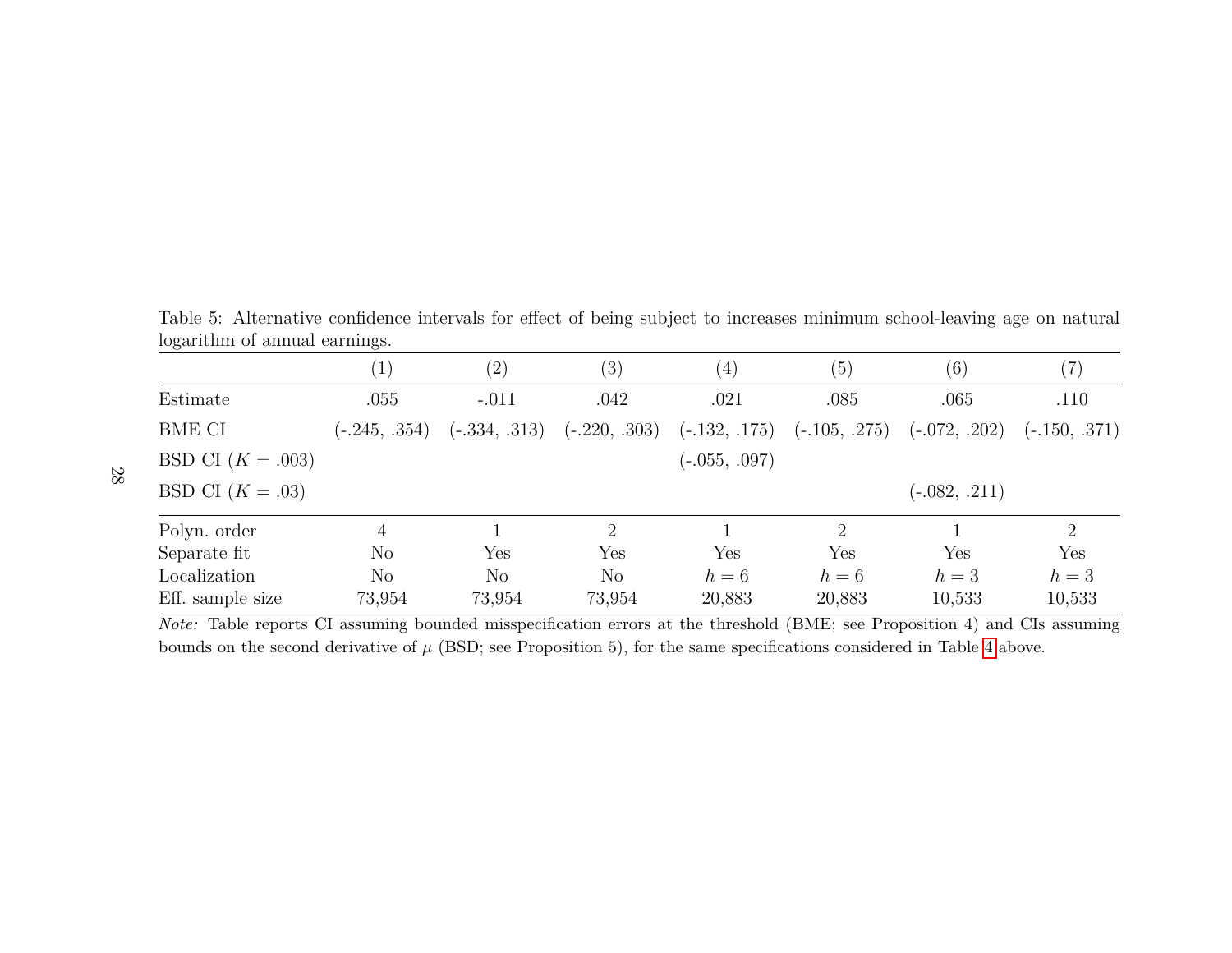<span id="page-29-0"></span>Table 5: Alternative confidence intervals for effect of being subject to increases minimum school-leaving age on naturallogarithm of annual earnings.

|                     |                 | $\left( 2\right)$ | $\left( 3\right)$    | $\left( 4\right)$                                               | (5)                         | (6)             | (7)             |
|---------------------|-----------------|-------------------|----------------------|-----------------------------------------------------------------|-----------------------------|-----------------|-----------------|
| Estimate            | .055            | $-.011$           | .042                 | .021                                                            | .085                        | .065            | .110            |
| BME CI              | $(-.245, .354)$ |                   |                      | $(-.334, .313)$ $(-.220, .303)$ $(-.132, .175)$ $(-.105, .275)$ |                             | $(-.072, .202)$ | $(-.150, .371)$ |
| BSD CI $(K = .003)$ |                 |                   |                      | $(-.055, .097)$                                                 |                             |                 |                 |
| BSD CI $(K=.03)$    |                 |                   |                      |                                                                 |                             | $(-.082, .211)$ |                 |
| Polyn. order        |                 |                   | $\overline{2}$       |                                                                 | $\mathcal{D}_{\mathcal{L}}$ |                 | $\overline{2}$  |
| Separate fit        | $\rm No$        | Yes               | $\operatorname{Yes}$ | Yes                                                             | Yes                         | Yes             | Yes             |
| Localization        | No              | N <sub>o</sub>    | $\rm No$             | $h=6$                                                           | $h=6$                       | $h=3$           | $h=3$           |
| Eff. sample size    | 73,954          | 73,954            | 73,954               | 20,883                                                          | 20,883                      | 10,533          | 10,533          |

*Note:* Table reports CI assuming bounded misspecification errors at the threshold (BME; see Proposition 4) and CIs assumingbounds on the second derivative of*µ* (BSD; see Proposition 5), for the same specifications considered in Table [4](#page-22-1) above.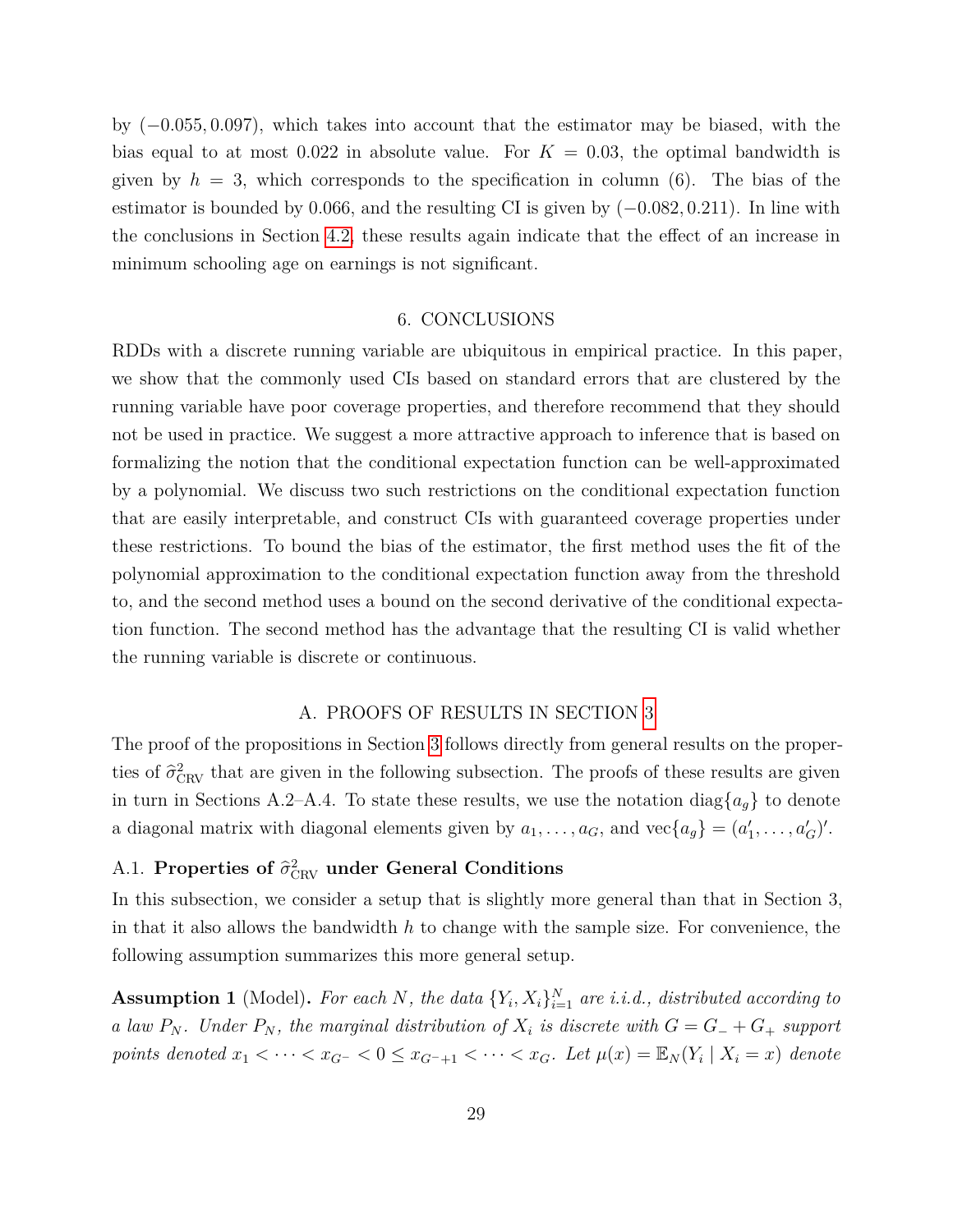by (−0*.*055*,* 0*.*097), which takes into account that the estimator may be biased, with the bias equal to at most 0.022 in absolute value. For  $K = 0.03$ , the optimal bandwidth is given by  $h = 3$ , which corresponds to the specification in column  $(6)$ . The bias of the estimator is bounded by 0*.*066, and the resulting CI is given by (−0*.*082*,* 0*.*211). In line with the conclusions in Section [4.2,](#page-19-1) these results again indicate that the effect of an increase in minimum schooling age on earnings is not significant.

#### 6. CONCLUSIONS

<span id="page-30-0"></span>RDDs with a discrete running variable are ubiquitous in empirical practice. In this paper, we show that the commonly used CIs based on standard errors that are clustered by the running variable have poor coverage properties, and therefore recommend that they should not be used in practice. We suggest a more attractive approach to inference that is based on formalizing the notion that the conditional expectation function can be well-approximated by a polynomial. We discuss two such restrictions on the conditional expectation function that are easily interpretable, and construct CIs with guaranteed coverage properties under these restrictions. To bound the bias of the estimator, the first method uses the fit of the polynomial approximation to the conditional expectation function away from the threshold to, and the second method uses a bound on the second derivative of the conditional expectation function. The second method has the advantage that the resulting CI is valid whether the running variable is discrete or continuous.

### A. PROOFS OF RESULTS IN SECTION [3](#page-9-1)

<span id="page-30-1"></span>The proof of the propositions in Section [3](#page-9-1) follows directly from general results on the properties of  $\hat{\sigma}_{\text{CRV}}^2$  that are given in the following subsection. The proofs of these results are given in turn in Sections A.2–A.4. To state these results, we use the notation diag ${a_g}$  to denote a diagonal matrix with diagonal elements given by  $a_1, \ldots, a_G$ , and  $\text{vec}\{a_g\} = (a'_1, \ldots, a'_G)'$ .

## A.1. **Properties of**  $\hat{\sigma}_{\text{CRV}}^2$  under General Conditions

In this subsection, we consider a setup that is slightly more general than that in Section 3, in that it also allows the bandwidth *h* to change with the sample size. For convenience, the following assumption summarizes this more general setup.

<span id="page-30-2"></span>**Assumption 1** (Model). For each *N*, the data  $\{Y_i, X_i\}_{i=1}^N$  are i.i.d., distributed according to *a law*  $P_N$ . Under  $P_N$ , the marginal distribution of  $X_i$  is discrete with  $G = G_+ + G_+$  support points denoted  $x_1 < \cdots < x_{G^-} < 0 \le x_{G^-+1} < \cdots < x_G$ . Let  $\mu(x) = \mathbb{E}_N(Y_i \mid X_i = x)$  denote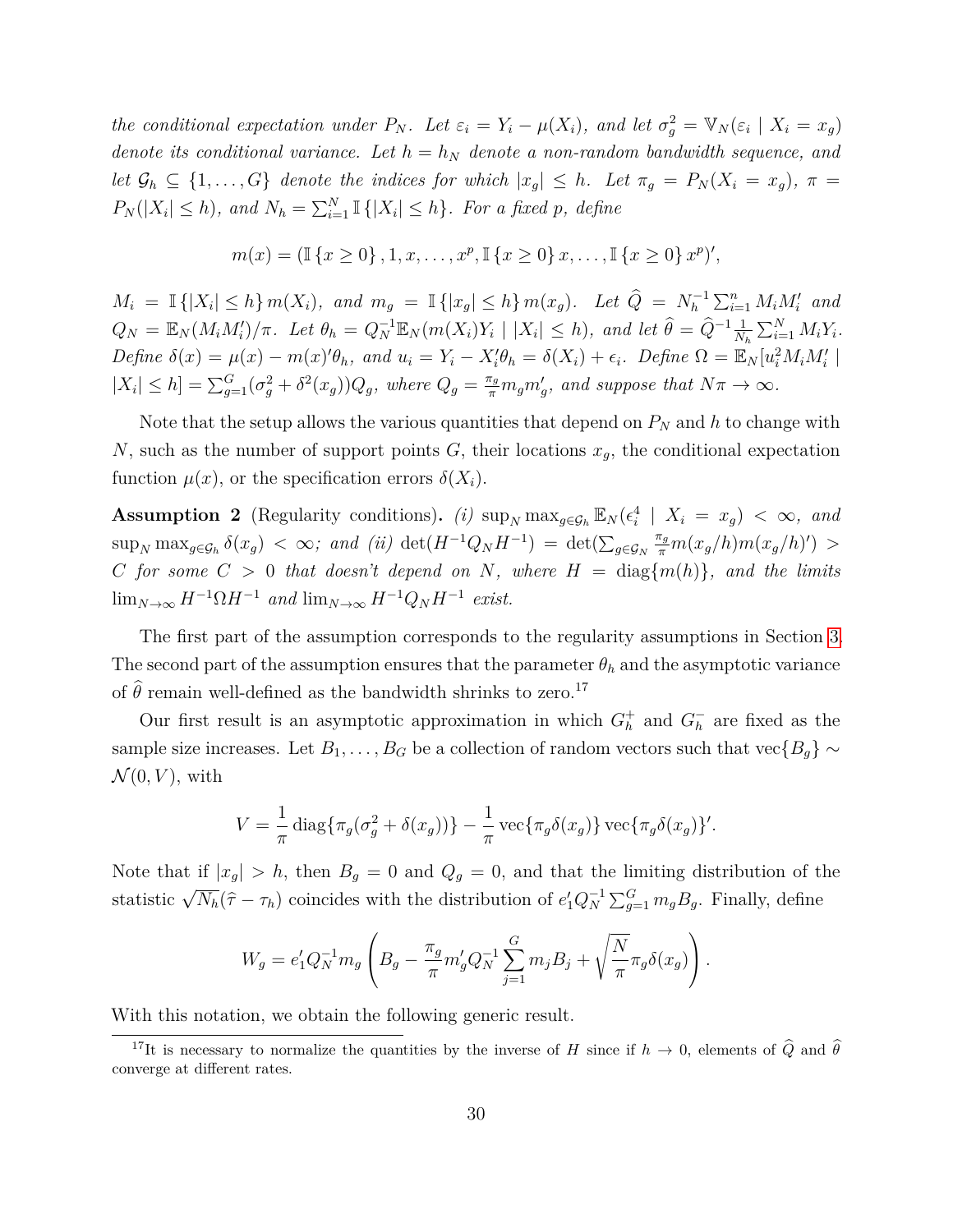the conditional expectation under  $P_N$ . Let  $\varepsilon_i = Y_i - \mu(X_i)$ , and let  $\sigma_g^2 = \mathbb{V}_N(\varepsilon_i \mid X_i = x_g)$ *denote its conditional variance. Let*  $h = h_N$  *denote a non-random bandwidth sequence, and let*  $\mathcal{G}_h \subseteq \{1, \ldots, G\}$  *denote the indices for which*  $|x_g| \leq h$ *. Let*  $\pi_g = P_N(X_i = x_g)$ *,*  $\pi =$  $P_N(|X_i| \leq h)$ *, and*  $N_h = \sum_{i=1}^N \mathbb{I}\{|X_i| \leq h\}$ *. For a fixed p, define* 

$$
m(x) = (\mathbb{I}\{x \ge 0\}, 1, x, \dots, x^p, \mathbb{I}\{x \ge 0\} x, \dots, \mathbb{I}\{x \ge 0\} x^p)'
$$

 $M_i = \mathbb{I}\{|X_i| \leq h\} \, m(X_i)$ , and  $m_g = \mathbb{I}\{|x_g| \leq h\} \, m(x_g)$ . Let  $\widehat{Q} = N_h^{-1} \sum_{i=1}^n M_i M'_i$  and  $Q_N = \mathbb{E}_N(M_iM_i')/\pi$ . Let  $\theta_h = Q_N^{-1}\mathbb{E}_N(m(X_i)Y_i \mid |X_i| \leq h)$ , and let  $\hat{\theta} = \hat{Q}^{-1}\frac{1}{N_h}\sum_{i=1}^N M_iY_i$ . Define  $\delta(x) = \mu(x) - m(x)\theta_h$ , and  $u_i = Y_i - X_i'\theta_h = \delta(X_i) + \epsilon_i$ . Define  $\Omega = \mathbb{E}_N[u_i^2 M_i M_i']$  $|X_i| \leq h$ ] =  $\sum_{g=1}^G (\sigma_g^2 + \delta^2(x_g))Q_g$ , where  $Q_g = \frac{\pi_g}{\pi} m_g m'_g$ , and suppose that  $N\pi \to \infty$ .

Note that the setup allows the various quantities that depend on  $P<sub>N</sub>$  and  $h$  to change with *N*, such as the number of support points *G*, their locations  $x_g$ , the conditional expectation function  $\mu(x)$ , or the specification errors  $\delta(X_i)$ .

<span id="page-31-0"></span>**Assumption 2** (Regularity conditions). *(i)*  $\sup_N \max_{g \in \mathcal{G}_h} \mathbb{E}_N(\epsilon_i^4 \mid X_i = x_g) < \infty$ , and  $\sup_N \max_{g \in \mathcal{G}_h} \delta(x_g) < \infty$ ; and (ii)  $\det(H^{-1}Q_N H^{-1}) = \det(\sum_{g \in \mathcal{G}_N} g_g)$  $\frac{\pi_g}{\pi} m(x_g/h) m(x_g/h)$ <sup>'</sup>) > *C for some*  $C > 0$  *that doesn't depend on N, where*  $H = \text{diag}\{m(h)\}$ *, and the limits*  $\lim_{N\to\infty} H^{-1}\Omega H^{-1}$  *and*  $\lim_{N\to\infty} H^{-1}Q_N H^{-1}$  *exist.* 

The first part of the assumption corresponds to the regularity assumptions in Section [3.](#page-9-1) The second part of the assumption ensures that the parameter  $\theta_h$  and the asymptotic variance of  $\hat{\theta}$  remain well-defined as the bandwidth shrinks to zero.<sup>17</sup>

Our first result is an asymptotic approximation in which  $G_h^+$  and  $G_h^ \bar{h}$  are fixed as the sample size increases. Let *B*<sub>1</sub>*,...*, *B*<sub>*G*</sub> be a collection of random vectors such that vec{*B*<sub>*g*</sub>} ∼  $\mathcal{N}(0, V)$ , with

$$
V = \frac{1}{\pi} \operatorname{diag} \{ \pi_g(\sigma_g^2 + \delta(x_g)) \} - \frac{1}{\pi} \operatorname{vec} \{ \pi_g \delta(x_g) \} \operatorname{vec} \{ \pi_g \delta(x_g) \}'.
$$

Note that if  $|x_g| > h$ , then  $B_g = 0$  and  $Q_g = 0$ , and that the limiting distribution of the statistic  $\sqrt{N_h}(\hat{\tau} - \tau_h)$  coincides with the distribution of  $e'_1 Q_N^{-1} \sum_{g=1}^G m_g B_g$ . Finally, define

$$
W_g = e'_1 Q_N^{-1} m_g \left( B_g - \frac{\pi_g}{\pi} m'_g Q_N^{-1} \sum_{j=1}^G m_j B_j + \sqrt{\frac{N}{\pi}} \pi_g \delta(x_g) \right).
$$

With this notation, we obtain the following generic result.

<sup>&</sup>lt;sup>17</sup>It is necessary to normalize the quantities by the inverse of *H* since if  $h \to 0$ , elements of  $\widehat{Q}$  and  $\widehat{\theta}$ converge at different rates.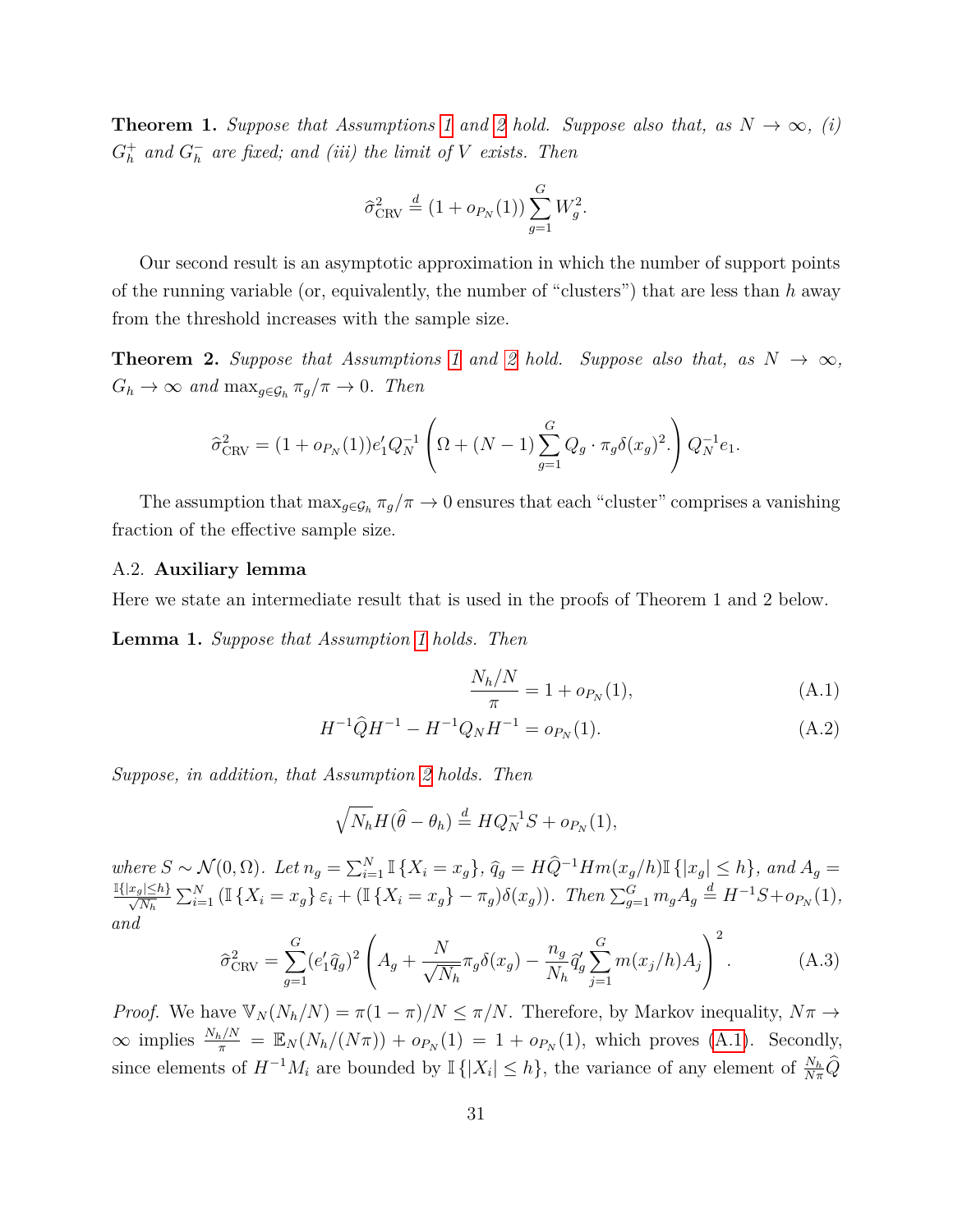<span id="page-32-2"></span>**Theorem [1](#page-30-2).** *Suppose that Assumptions* 1 *and* [2](#page-31-0) *hold. Suppose also that, as*  $N \to \infty$ *, (i)*  $G_h^+$  and  $G_h^$ *h are fixed; and (iii) the limit of V exists. Then*

$$
\hat{\sigma}_{\text{CRV}}^2 \stackrel{d}{=} (1 + o_{P_N}(1)) \sum_{g=1}^G W_g^2.
$$

Our second result is an asymptotic approximation in which the number of support points of the running variable (or, equivalently, the number of "clusters") that are less than *h* away from the threshold increases with the sample size.

<span id="page-32-5"></span>**Theorem [2](#page-31-0).** Suppose that Assumptions [1](#page-30-2) and 2 hold. Suppose also that, as  $N \to \infty$ ,  $G_h \to \infty$  *and*  $\max_{g \in \mathcal{G}_h} \pi_g / \pi \to 0$ *. Then* 

$$
\hat{\sigma}_{\text{CRV}}^2 = (1 + o_{P_N}(1))e'_1 Q_N^{-1} \left( \Omega + (N - 1) \sum_{g=1}^G Q_g \cdot \pi_g \delta(x_g)^2 \right) Q_N^{-1} e_1.
$$

The assumption that  $\max_{g \in \mathcal{G}_h} \pi_g / \pi \to 0$  ensures that each "cluster" comprises a vanishing fraction of the effective sample size.

#### A.2. **Auxiliary lemma**

Here we state an intermediate result that is used in the proofs of Theorem 1 and 2 below.

<span id="page-32-3"></span>**Lemma 1.** *Suppose that Assumption [1](#page-30-2) holds. Then*

<span id="page-32-1"></span><span id="page-32-0"></span>
$$
\frac{N_h/N}{\pi} = 1 + o_{P_N}(1),\tag{A.1}
$$

$$
H^{-1}\hat{Q}H^{-1} - H^{-1}Q_NH^{-1} = o_{P_N}(1). \tag{A.2}
$$

*Suppose, in addition, that Assumption [2](#page-31-0) holds. Then*

$$
\sqrt{N_h}H(\hat{\theta}-\theta_h) \stackrel{d}{=} HQ_N^{-1}S + o_{P_N}(1),
$$

where  $S \sim \mathcal{N}(0, \Omega)$ . Let  $n_g = \sum_{i=1}^N \mathbb{I}\{X_i = x_g\}$ ,  $\widehat{q}_g = H\widehat{Q}^{-1}Hm(x_g/h)\mathbb{I}\{|x_g| \leq h\}$ , and  $A_g =$  $\frac{\mathbb{I}\{|x_g|\leq h\}}{\sqrt{N_h}} \sum_{i=1}^N (\mathbb{I}\{X_i = x_g\} \varepsilon_i + (\mathbb{I}\{X_i = x_g\} - \pi_g)\delta(x_g)).$  Then  $\sum_{g=1}^G m_g A_g \stackrel{d}{=} H^{-1}S + o_{P_N}(1)$ , *and*

<span id="page-32-4"></span>
$$
\hat{\sigma}_{\text{CRV}}^2 = \sum_{g=1}^G (e'_1 \hat{q}_g)^2 \left( A_g + \frac{N}{\sqrt{N_h}} \pi_g \delta(x_g) - \frac{n_g}{N_h} \hat{q}'_g \sum_{j=1}^G m(x_j/h) A_j \right)^2.
$$
 (A.3)

*Proof.* We have  $\mathbb{V}_N(N_h/N) = \pi(1-\pi)/N \leq \pi/N$ . Therefore, by Markov inequality,  $N\pi \to$  $\infty$  implies  $\frac{N_h/N}{\pi} = \mathbb{E}_N(N_h/(N\pi)) + o_{P_N}(1) = 1 + o_{P_N}(1)$ , which proves [\(A.1\)](#page-32-0). Secondly, since elements of  $H^{-1}M_i$  are bounded by  $\mathbb{I}\{|X_i| \leq h\}$ , the variance of any element of  $\frac{N_h}{N\pi}\widehat{Q}$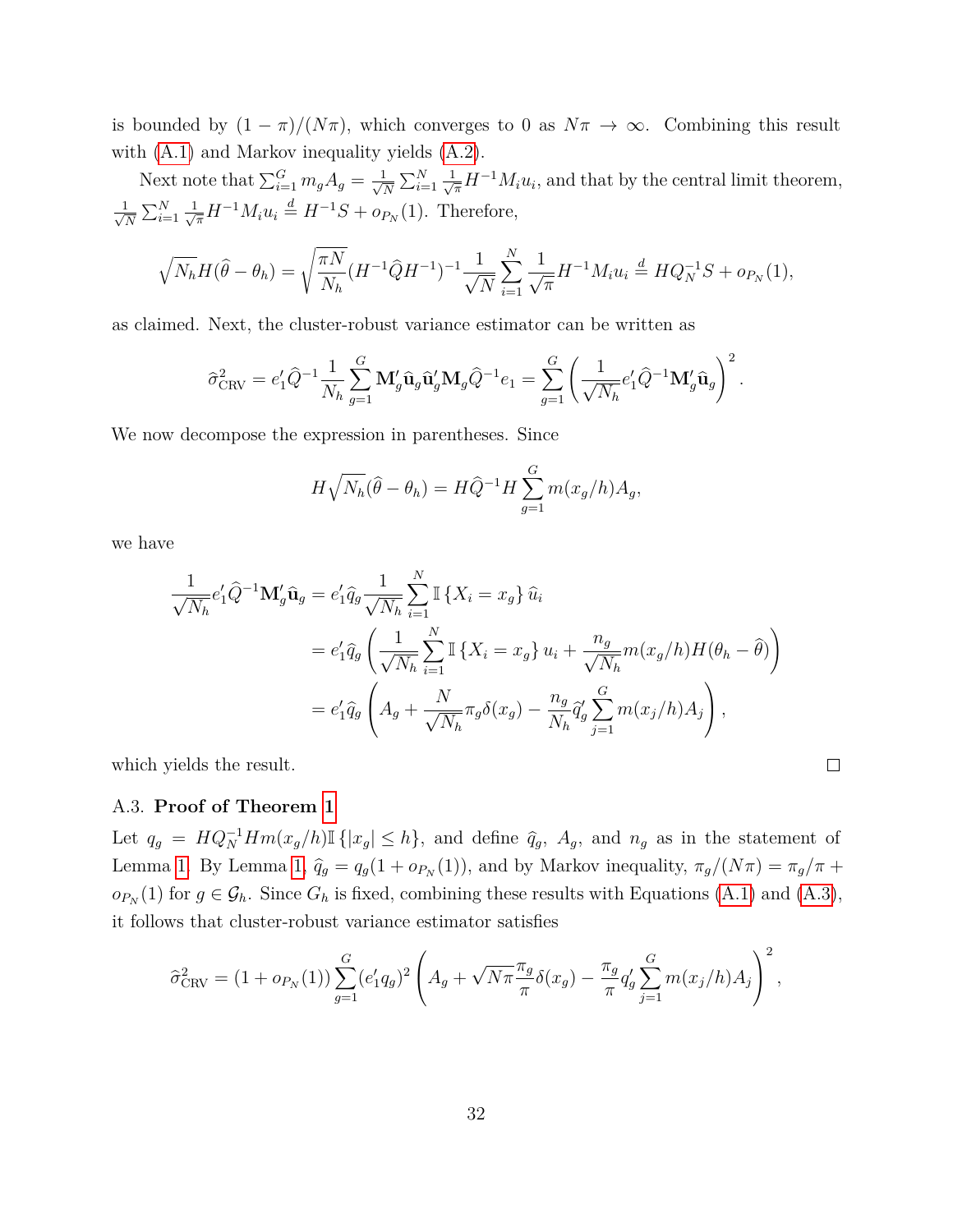is bounded by  $(1 - \pi)/(N\pi)$ , which converges to 0 as  $N\pi \to \infty$ . Combining this result with [\(A.1\)](#page-32-0) and Markov inequality yields [\(A.2\)](#page-32-1).

Next note that  $\sum_{i=1}^{G} m_g A_g = \frac{1}{\sqrt{2}}$  $\frac{1}{N} \sum_{i=1}^{N} \frac{1}{\sqrt{\pi}} H^{-1} M_i u_i$ , and that by the central limit theorem,  $\frac{1}{\sqrt{2}}$  $\frac{1}{N} \sum_{i=1}^{N} \frac{1}{\sqrt{\pi}} H^{-1} M_i u_i \stackrel{d}{=} H^{-1}S + o_{P_N}(1)$ . Therefore,

$$
\sqrt{N_h}H(\hat{\theta}-\theta_h) = \sqrt{\frac{\pi N}{N_h}}(H^{-1}\hat{Q}H^{-1})^{-1}\frac{1}{\sqrt{N}}\sum_{i=1}^N\frac{1}{\sqrt{\pi}}H^{-1}M_i u_i \stackrel{d}{=} HQ_N^{-1}S + o_{P_N}(1),
$$

as claimed. Next, the cluster-robust variance estimator can be written as

$$
\hat{\sigma}_{\text{CRV}}^2 = e'_1 \hat{Q}^{-1} \frac{1}{N_h} \sum_{g=1}^G \mathbf{M}'_g \hat{\mathbf{u}}_g \hat{\mathbf{u}}'_g \mathbf{M}_g \hat{Q}^{-1} e_1 = \sum_{g=1}^G \left( \frac{1}{\sqrt{N_h}} e'_1 \hat{Q}^{-1} \mathbf{M}'_g \hat{\mathbf{u}}_g \right)^2.
$$

We now decompose the expression in parentheses. Since

$$
H\sqrt{N_h}(\hat{\theta} - \theta_h) = H\hat{Q}^{-1}H\sum_{g=1}^G m(x_g/h)A_g,
$$

we have

$$
\frac{1}{\sqrt{N_h}} e'_1 \hat{Q}^{-1} \mathbf{M}_g' \hat{\mathbf{u}}_g = e'_1 \hat{q}_g \frac{1}{\sqrt{N_h}} \sum_{i=1}^N \mathbb{I} \{ X_i = x_g \} \hat{u}_i
$$
  
\n
$$
= e'_1 \hat{q}_g \left( \frac{1}{\sqrt{N_h}} \sum_{i=1}^N \mathbb{I} \{ X_i = x_g \} u_i + \frac{n_g}{\sqrt{N_h}} m(x_g/h) H(\theta_h - \hat{\theta}) \right)
$$
  
\n
$$
= e'_1 \hat{q}_g \left( A_g + \frac{N}{\sqrt{N_h}} \pi_g \delta(x_g) - \frac{n_g}{N_h} \hat{q}_g' \sum_{j=1}^G m(x_j/h) A_j \right),
$$

 $\Box$ 

which yields the result.

#### A.3. **Proof of Theorem [1](#page-32-2)**

Let  $q_g = HQ_N^{-1}Hm(x_g/h)$  I { $|x_g| \leq h$ }, and define  $\hat{q}_g$ ,  $A_g$ , and  $n_g$  as in the statement of Lemma [1.](#page-32-3) By Lemma [1,](#page-32-3)  $\hat{q}_g = q_g(1 + o_{P_N}(1))$ , and by Markov inequality,  $\pi_g/(N\pi) = \pi_g/\pi +$  $o_{P_N}(1)$  for  $g \in \mathcal{G}_h$ . Since  $G_h$  is fixed, combining these results with Equations [\(A.1\)](#page-32-0) and [\(A.3\)](#page-32-4), it follows that cluster-robust variance estimator satisfies

$$
\hat{\sigma}_{\text{CRV}}^2 = (1 + o_{P_N}(1)) \sum_{g=1}^G (e'_1 q_g)^2 \left( A_g + \sqrt{N \pi} \frac{\pi_g}{\pi} \delta(x_g) - \frac{\pi_g}{\pi} q'_g \sum_{j=1}^G m(x_j/h) A_j \right)^2,
$$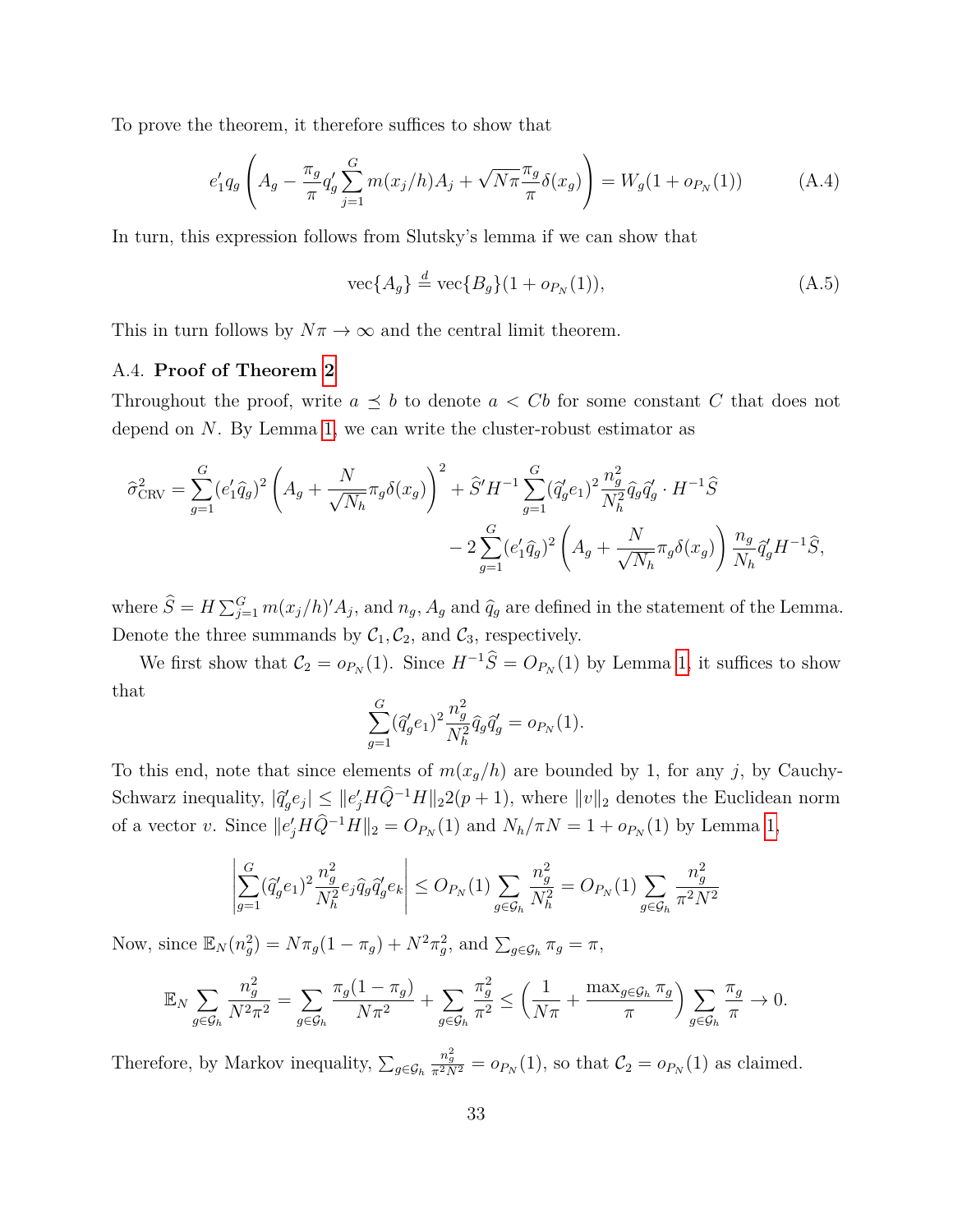To prove the theorem, it therefore suffices to show that

$$
e'_1 q_g \left( A_g - \frac{\pi_g}{\pi} q'_g \sum_{j=1}^G m(x_j/h) A_j + \sqrt{N\pi} \frac{\pi_g}{\pi} \delta(x_g) \right) = W_g(1 + o_{P_N}(1)) \tag{A.4}
$$

In turn, this expression follows from Slutsky's lemma if we can show that

$$
\text{vec}\{A_g\} \stackrel{d}{=} \text{vec}\{B_g\}(1 + o_{P_N}(1)),\tag{A.5}
$$

This in turn follows by  $N\pi \to \infty$  and the central limit theorem.

#### A.4. **Proof of Theorem [2](#page-32-5)**

Throughout the proof, write  $a \preceq b$  to denote  $a < Cb$  for some constant *C* that does not depend on *N*. By Lemma [1,](#page-32-3) we can write the cluster-robust estimator as

$$
\hat{\sigma}_{\text{CRV}}^2 = \sum_{g=1}^G (e'_1 \hat{q}_g)^2 \left( A_g + \frac{N}{\sqrt{N_h}} \pi_g \delta(x_g) \right)^2 + \hat{S}' H^{-1} \sum_{g=1}^G (\hat{q}'_g e_1)^2 \frac{n_g^2}{N_h^2} \hat{q}_g \hat{q}'_g \cdot H^{-1} \hat{S} \n- 2 \sum_{g=1}^G (e'_1 \hat{q}_g)^2 \left( A_g + \frac{N}{\sqrt{N_h}} \pi_g \delta(x_g) \right) \frac{n_g}{N_h} \hat{q}'_g H^{-1} \hat{S},
$$

where  $\hat{S} = H \sum_{j=1}^{G} m(x_j/h)' A_j$ , and  $n_g$ ,  $A_g$  and  $\hat{q}_g$  are defined in the statement of the Lemma. Denote the three summands by  $C_1, C_2$ , and  $C_3$ , respectively.

We first show that  $C_2 = o_{P_N}(1)$ . Since  $H^{-1}\hat{S} = O_{P_N}(1)$  by Lemma [1,](#page-32-3) it suffices to show that

$$
\sum_{g=1}^{G} (\hat{q}'_g e_1)^2 \frac{n_g^2}{N_h^2} \hat{q}_g \hat{q}'_g = o_{P_N}(1).
$$

To this end, note that since elements of  $m(x_g/h)$  are bounded by 1, for any *j*, by Cauchy-Schwarz inequality,  $|\hat{q}_g'e_j| \leq ||e'_jH\hat{Q}^{-1}H||_2 2(p+1)$ , where  $||v||_2$  denotes the Euclidean norm of a vector *v*. Since  $||e'_j H \hat{Q}^{-1} H||_2 = O_{P_N}(1)$  and  $N_h / \pi N = 1 + o_{P_N}(1)$  by Lemma [1,](#page-32-3)

$$
\left| \sum_{g=1}^{G} (\hat{q}'_g e_1)^2 \frac{n_g^2}{N_h^2} e_j \hat{q}_g \hat{q}'_g e_k \right| \leq O_{P_N}(1) \sum_{g \in \mathcal{G}_h} \frac{n_g^2}{N_h^2} = O_{P_N}(1) \sum_{g \in \mathcal{G}_h} \frac{n_g^2}{\pi^2 N^2}
$$

Now, since  $\mathbb{E}_N(n_g^2) = N\pi_g(1-\pi_g) + N^2\pi_g^2$ , and  $\sum_{g \in \mathcal{G}_h} \pi_g = \pi$ ,

$$
\mathbb{E}_N \sum_{g \in \mathcal{G}_h} \frac{n_g^2}{N^2 \pi^2} = \sum_{g \in \mathcal{G}_h} \frac{\pi_g (1 - \pi_g)}{N \pi^2} + \sum_{g \in \mathcal{G}_h} \frac{\pi_g^2}{\pi^2} \le \left(\frac{1}{N \pi} + \frac{\max_{g \in \mathcal{G}_h} \pi_g}{\pi}\right) \sum_{g \in \mathcal{G}_h} \frac{\pi_g}{\pi} \to 0.
$$

Therefore, by Markov inequality,  $\sum_{g \in \mathcal{G}_h}$  $\frac{n_g^2}{\pi^2 N^2} = o_{P_N}(1)$ , so that  $C_2 = o_{P_N}(1)$  as claimed.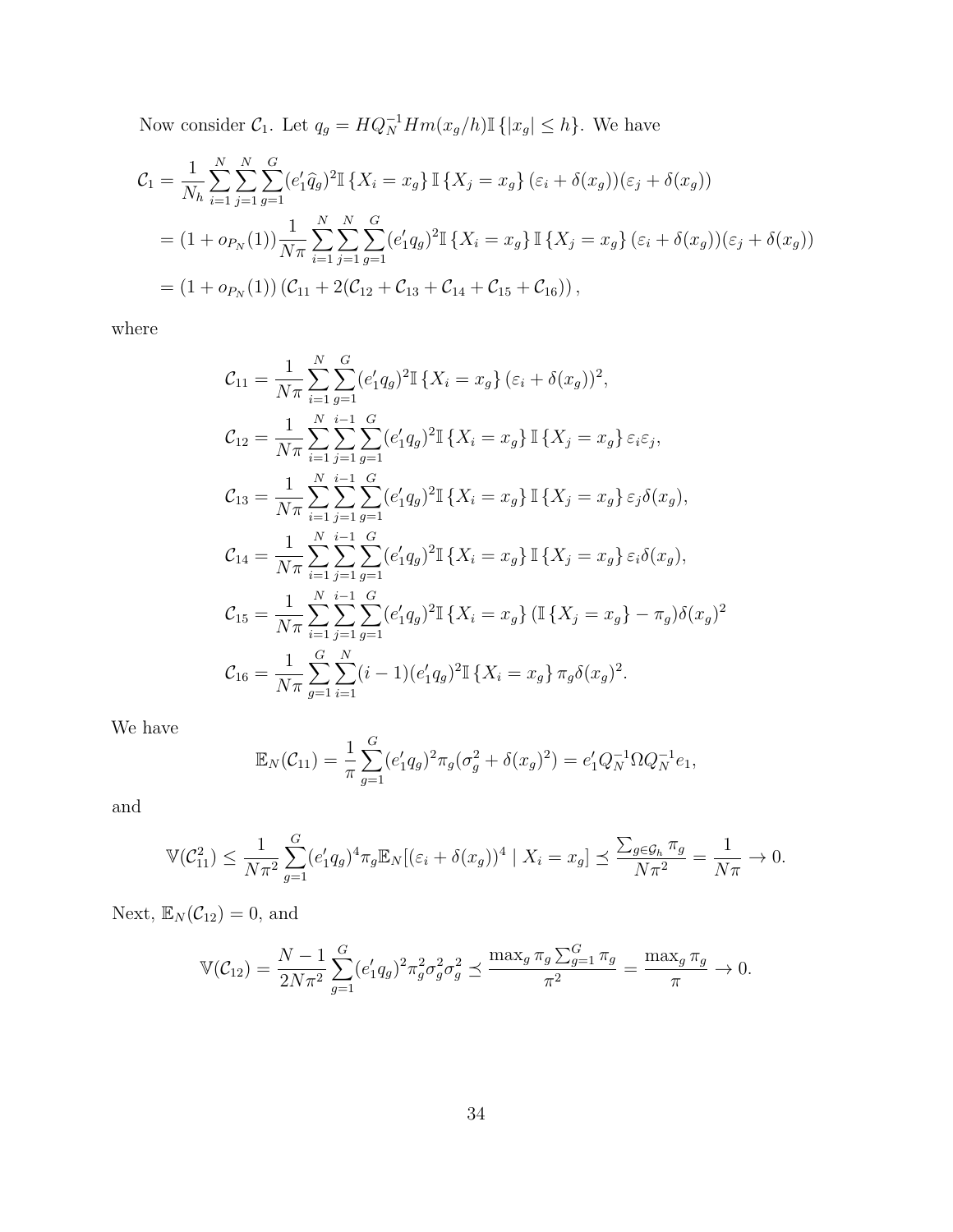Now consider  $C_1$ . Let  $q_g = HQ_N^{-1}Hm(x_g/h) \mathbb{I}\{|x_g| \leq h\}$ . We have

$$
\mathcal{C}_1 = \frac{1}{N_h} \sum_{i=1}^N \sum_{j=1}^N \sum_{g=1}^G (e'_1 \hat{q}_g)^2 \mathbb{I} \{X_i = x_g\} \mathbb{I} \{X_j = x_g\} (\varepsilon_i + \delta(x_g)) (\varepsilon_j + \delta(x_g))
$$
  
=  $(1 + o_{P_N}(1)) \frac{1}{N\pi} \sum_{i=1}^N \sum_{j=1}^N \sum_{g=1}^G (e'_1 q_g)^2 \mathbb{I} \{X_i = x_g\} \mathbb{I} \{X_j = x_g\} (\varepsilon_i + \delta(x_g)) (\varepsilon_j + \delta(x_g))$   
=  $(1 + o_{P_N}(1)) (\mathcal{C}_{11} + 2(\mathcal{C}_{12} + \mathcal{C}_{13} + \mathcal{C}_{14} + \mathcal{C}_{15} + \mathcal{C}_{16})),$ 

where

$$
\mathcal{C}_{11} = \frac{1}{N\pi} \sum_{i=1}^{N} \sum_{g=1}^{G} (e'_1 q_g)^2 \mathbb{I} \{ X_i = x_g \} (\varepsilon_i + \delta(x_g))^2,
$$
  
\n
$$
\mathcal{C}_{12} = \frac{1}{N\pi} \sum_{i=1}^{N} \sum_{j=1}^{i-1} \sum_{g=1}^{G} (e'_1 q_g)^2 \mathbb{I} \{ X_i = x_g \} \mathbb{I} \{ X_j = x_g \} \varepsilon_i \varepsilon_j,
$$
  
\n
$$
\mathcal{C}_{13} = \frac{1}{N\pi} \sum_{i=1}^{N} \sum_{j=1}^{i-1} \sum_{g=1}^{G} (e'_1 q_g)^2 \mathbb{I} \{ X_i = x_g \} \mathbb{I} \{ X_j = x_g \} \varepsilon_j \delta(x_g),
$$
  
\n
$$
\mathcal{C}_{14} = \frac{1}{N\pi} \sum_{i=1}^{N} \sum_{j=1}^{i-1} \sum_{g=1}^{G} (e'_1 q_g)^2 \mathbb{I} \{ X_i = x_g \} \mathbb{I} \{ X_j = x_g \} \varepsilon_i \delta(x_g),
$$
  
\n
$$
\mathcal{C}_{15} = \frac{1}{N\pi} \sum_{i=1}^{N} \sum_{j=1}^{i-1} \sum_{g=1}^{G} (e'_1 q_g)^2 \mathbb{I} \{ X_i = x_g \} \left( \mathbb{I} \{ X_j = x_g \} - \pi_g \right) \delta(x_g)^2
$$
  
\n
$$
\mathcal{C}_{16} = \frac{1}{N\pi} \sum_{g=1}^{G} \sum_{i=1}^{N} (i-1) (e'_1 q_g)^2 \mathbb{I} \{ X_i = x_g \} \pi_g \delta(x_g)^2.
$$

We have

$$
\mathbb{E}_N(\mathcal{C}_{11}) = \frac{1}{\pi} \sum_{g=1}^G (e'_1 q_g)^2 \pi_g (\sigma_g^2 + \delta(x_g)^2) = e'_1 Q_N^{-1} \Omega Q_N^{-1} e_1,
$$

and

$$
\mathbb{V}(\mathcal{C}_{11}^2) \le \frac{1}{N\pi^2} \sum_{g=1}^G (e'_1 q_g)^4 \pi_g \mathbb{E}_N [(\varepsilon_i + \delta(x_g))^4 \mid X_i = x_g] \le \frac{\sum_{g \in \mathcal{G}_h} \pi_g}{N\pi^2} = \frac{1}{N\pi} \to 0.
$$

Next,  $\mathbb{E}_N(\mathcal{C}_{12}) = 0$ , and

$$
\mathbb{V}(\mathcal{C}_{12}) = \frac{N-1}{2N\pi^2} \sum_{g=1}^{G} (e'_1 q_g)^2 \pi_g^2 \sigma_g^2 \sigma_g^2 \preceq \frac{\max_g \pi_g \sum_{g=1}^{G} \pi_g}{\pi^2} = \frac{\max_g \pi_g}{\pi} \to 0.
$$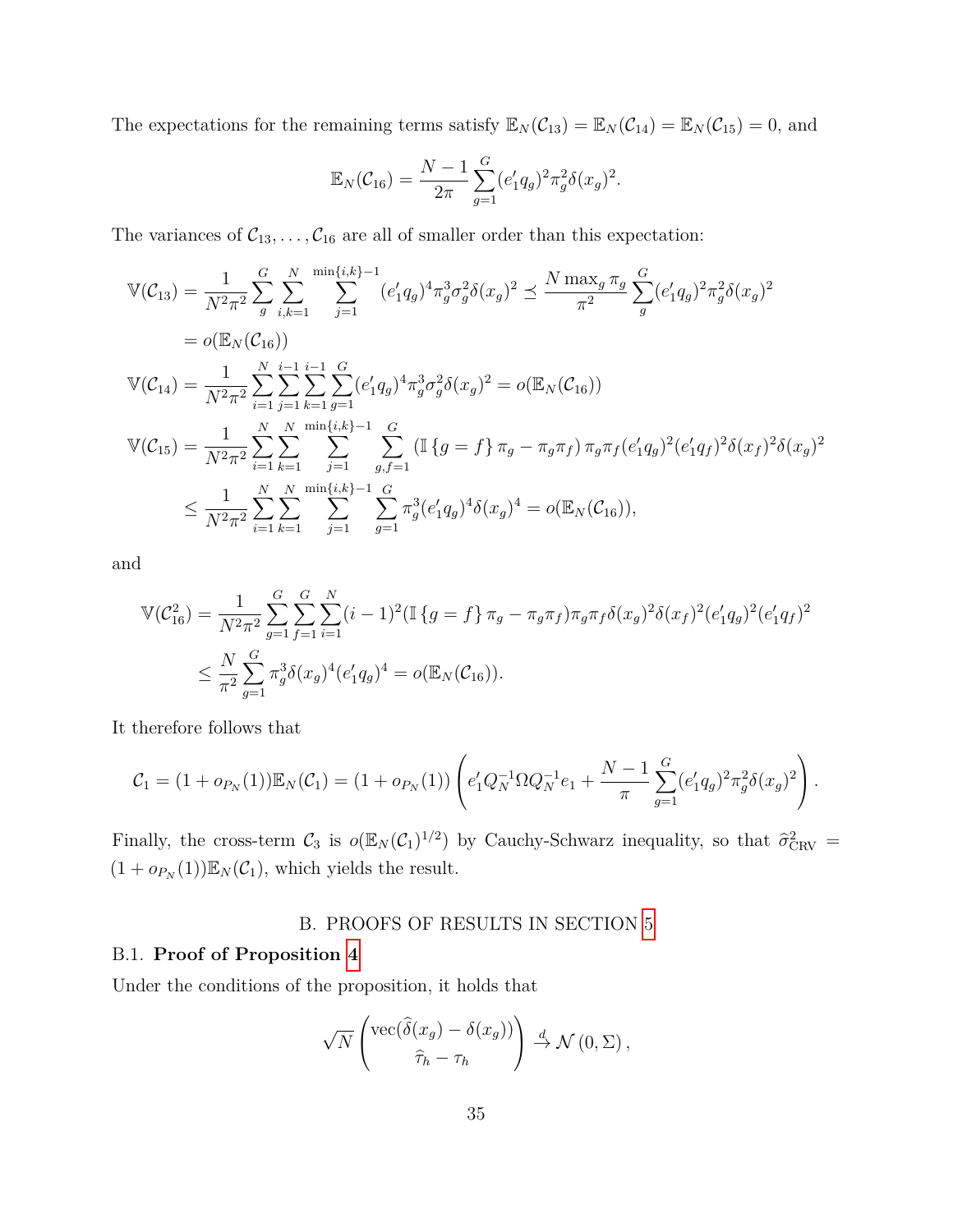The expectations for the remaining terms satisfy  $\mathbb{E}_N(\mathcal{C}_{13}) = \mathbb{E}_N(\mathcal{C}_{14}) = \mathbb{E}_N(\mathcal{C}_{15}) = 0$ , and

$$
\mathbb{E}_N(\mathcal{C}_{16}) = \frac{N-1}{2\pi} \sum_{g=1}^G (e'_1 q_g)^2 \pi_g^2 \delta(x_g)^2.
$$

The variances of  $C_{13}, \ldots, C_{16}$  are all of smaller order than this expectation:

$$
\mathbb{V}(\mathcal{C}_{13}) = \frac{1}{N^2 \pi^2} \sum_{g}^{G} \sum_{i,k=1}^{N} \sum_{j=1}^{\min\{i,k\}-1} (e'_1 q_g)^4 \pi_g^3 \sigma_g^2 \delta(x_g)^2 \preceq \frac{N \max_g \pi_g}{\pi^2} \sum_{g}^{G} (e'_1 q_g)^2 \pi_g^2 \delta(x_g)^2
$$
  
\n
$$
= o(\mathbb{E}_N(\mathcal{C}_{16}))
$$
  
\n
$$
\mathbb{V}(\mathcal{C}_{14}) = \frac{1}{N^2 \pi^2} \sum_{i=1}^{N} \sum_{j=1}^{i-1} \sum_{k=1}^{G} \sum_{g=1}^{G} (e'_1 q_g)^4 \pi_g^3 \sigma_g^2 \delta(x_g)^2 = o(\mathbb{E}_N(\mathcal{C}_{16}))
$$
  
\n
$$
\mathbb{V}(\mathcal{C}_{15}) = \frac{1}{N^2 \pi^2} \sum_{i=1}^{N} \sum_{k=1}^{N} \sum_{j=1}^{\min\{i,k\}-1} \sum_{g,f=1}^{G} (\mathbb{I}\{g=f\} \pi_g - \pi_g \pi_f) \pi_g \pi_f (e'_1 q_g)^2 (e'_1 q_f)^2 \delta(x_f)^2 \delta(x_g)^2
$$
  
\n
$$
\leq \frac{1}{N^2 \pi^2} \sum_{i=1}^{N} \sum_{k=1}^{N} \sum_{j=1}^{\min\{i,k\}-1} \sum_{g=1}^{G} \pi_g^3 (e'_1 q_g)^4 \delta(x_g)^4 = o(\mathbb{E}_N(\mathcal{C}_{16})),
$$

and

$$
\mathbb{V}(\mathcal{C}_{16}^2) = \frac{1}{N^2 \pi^2} \sum_{g=1}^G \sum_{f=1}^G \sum_{i=1}^N (i-1)^2 (\mathbb{I} \{ g = f \} \pi_g - \pi_g \pi_f) \pi_g \pi_f \delta(x_g)^2 \delta(x_f)^2 (e'_1 q_g)^2
$$
  

$$
\leq \frac{N}{\pi^2} \sum_{g=1}^G \pi_g^3 \delta(x_g)^4 (e'_1 q_g)^4 = o(\mathbb{E}_N(\mathcal{C}_{16})).
$$

It therefore follows that

$$
C_1 = (1 + o_{P_N}(1)) \mathbb{E}_N(C_1) = (1 + o_{P_N}(1)) \left( e'_1 Q_N^{-1} \Omega Q_N^{-1} e_1 + \frac{N-1}{\pi} \sum_{g=1}^G (e'_1 q_g)^2 \pi_g^2 \delta(x_g)^2 \right).
$$

<span id="page-36-0"></span>Finally, the cross-term  $C_3$  is  $o(\mathbb{E}_N(C_1)^{1/2})$  by Cauchy-Schwarz inequality, so that  $\hat{\sigma}_{\text{CRV}}^2$  =  $(1 + o_{P_N}(1))\mathbb{E}_N(\mathcal{C}_1)$ , which yields the result.

#### B. PROOFS OF RESULTS IN SECTION [5](#page-21-0)

### B.1. **Proof of Proposition [4](#page-25-0)**

Under the conditions of the proposition, it holds that

$$
\sqrt{N}\left(\frac{\text{vec}(\widehat{\delta}(x_g) - \delta(x_g))}{\widehat{\tau}_h - \tau_h}\right) \stackrel{d}{\to} \mathcal{N}(0, \Sigma),
$$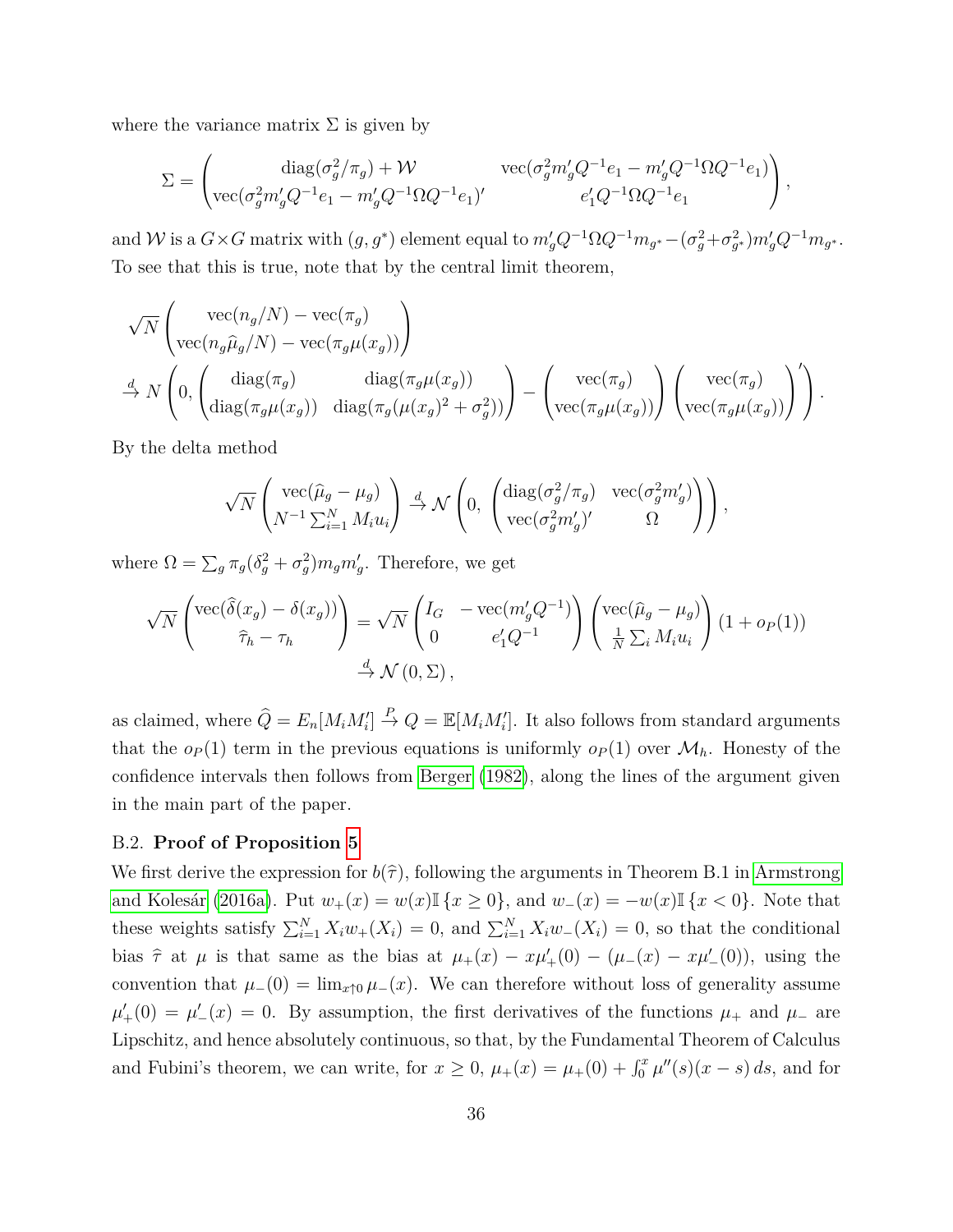where the variance matrix  $\Sigma$  is given by

$$
\Sigma = \begin{pmatrix} \text{diag}(\sigma_g^2/\pi_g) + \mathcal{W} & \text{vec}(\sigma_g^2 m_g' Q^{-1} e_1 - m_g' Q^{-1} \Omega Q^{-1} e_1) \\ \text{vec}(\sigma_g^2 m_g' Q^{-1} e_1 - m_g' Q^{-1} \Omega Q^{-1} e_1)' & e_1' Q^{-1} \Omega Q^{-1} e_1 \end{pmatrix},
$$

and *W* is a  $G \times G$  matrix with  $(g, g^*)$  element equal to  $m'_g Q^{-1} \Omega Q^{-1} m_{g^*} - (\sigma_g^2 + \sigma_{g^*}^2) m'_g Q^{-1} m_{g^*}$ . To see that this is true, note that by the central limit theorem,

$$
\sqrt{N} \begin{pmatrix} \text{vec}(n_g/N) - \text{vec}(\pi_g) \\ \text{vec}(n_g \hat{\mu}_g/N) - \text{vec}(\pi_g \mu(x_g)) \end{pmatrix}
$$
  
\n
$$
\xrightarrow{d} N \begin{pmatrix} 0, \begin{pmatrix} \text{diag}(\pi_g) & \text{diag}(\pi_g \mu(x_g)) \\ \text{diag}(\pi_g \mu(x_g)) & \text{diag}(\pi_g(\mu(x_g)^2 + \sigma_g^2)) \end{pmatrix} - \begin{pmatrix} \text{vec}(\pi_g) \\ \text{vec}(\pi_g \mu(x_g)) \end{pmatrix} \begin{pmatrix} \text{vec}(\pi_g) \\ \text{vec}(\pi_g \mu(x_g)) \end{pmatrix} \end{pmatrix}.
$$

By the delta method

$$
\sqrt{N} \begin{pmatrix} \text{vec}(\hat{\mu}_g - \mu_g) \\ N^{-1} \sum_{i=1}^N M_i u_i \end{pmatrix} \stackrel{d}{\rightarrow} \mathcal{N} \left( 0, \begin{pmatrix} \text{diag}(\sigma_g^2/\pi_g) & \text{vec}(\sigma_g^2 m'_g) \\ \text{vec}(\sigma_g^2 m'_g)' & \Omega \end{pmatrix} \right),
$$

where  $\Omega = \sum_{g} \pi_g (\delta_g^2 + \sigma_g^2) m_g m_g'$ . Therefore, we get

$$
\sqrt{N} \begin{pmatrix} \text{vec}(\hat{\delta}(x_g) - \delta(x_g)) \\ \hat{\tau}_h - \tau_h \end{pmatrix} = \sqrt{N} \begin{pmatrix} I_G & -\text{vec}(m'_g Q^{-1}) \\ 0 & e'_1 Q^{-1} \end{pmatrix} \begin{pmatrix} \text{vec}(\hat{\mu}_g - \mu_g) \\ \frac{1}{N} \sum_i M_i u_i \end{pmatrix} (1 + o_P(1))
$$
  

$$
\stackrel{d}{\rightarrow} \mathcal{N}(0, \Sigma),
$$

as claimed, where  $\hat{Q} = E_n[M_i M'_i] \stackrel{P}{\to} Q = \mathbb{E}[M_i M'_i]$ . It also follows from standard arguments that the  $o_P(1)$  term in the previous equations is uniformly  $o_P(1)$  over  $\mathcal{M}_h$ . Honesty of the confidence intervals then follows from [Berger](#page-38-2) [\(1982\)](#page-38-2), along the lines of the argument given in the main part of the paper.

#### B.2. **Proof of Proposition [5](#page-27-0)**

We first derive the expression for  $b(\hat{\tau})$ , following the arguments in Theorem B.1 in [Armstrong](#page-38-5) [and Kolesár](#page-38-5) [\(2016a\)](#page-38-5). Put  $w_+(x) = w(x) \mathbb{I} \{x \ge 0\}$ , and  $w_-(x) = -w(x) \mathbb{I} \{x < 0\}$ . Note that these weights satisfy  $\sum_{i=1}^{N} X_i w_+(X_i) = 0$ , and  $\sum_{i=1}^{N} X_i w_-(X_i) = 0$ , so that the conditional bias  $\hat{\tau}$  at  $\mu$  is that same as the bias at  $\mu_{+}(x) - x\mu'_{+}(0) - (\mu_{-}(x) - x\mu'_{-}(0))$ , using the convention that  $\mu_-(0) = \lim_{x \uparrow 0} \mu_-(x)$ . We can therefore without loss of generality assume  $\mu'_{+}(0) = \mu'_{-}(x) = 0$ . By assumption, the first derivatives of the functions  $\mu_{+}$  and  $\mu_{-}$  are Lipschitz, and hence absolutely continuous, so that, by the Fundamental Theorem of Calculus and Fubini's theorem, we can write, for  $x \geq 0$ ,  $\mu_+(x) = \mu_+(0) + \int_0^x \mu''(s)(x - s) ds$ , and for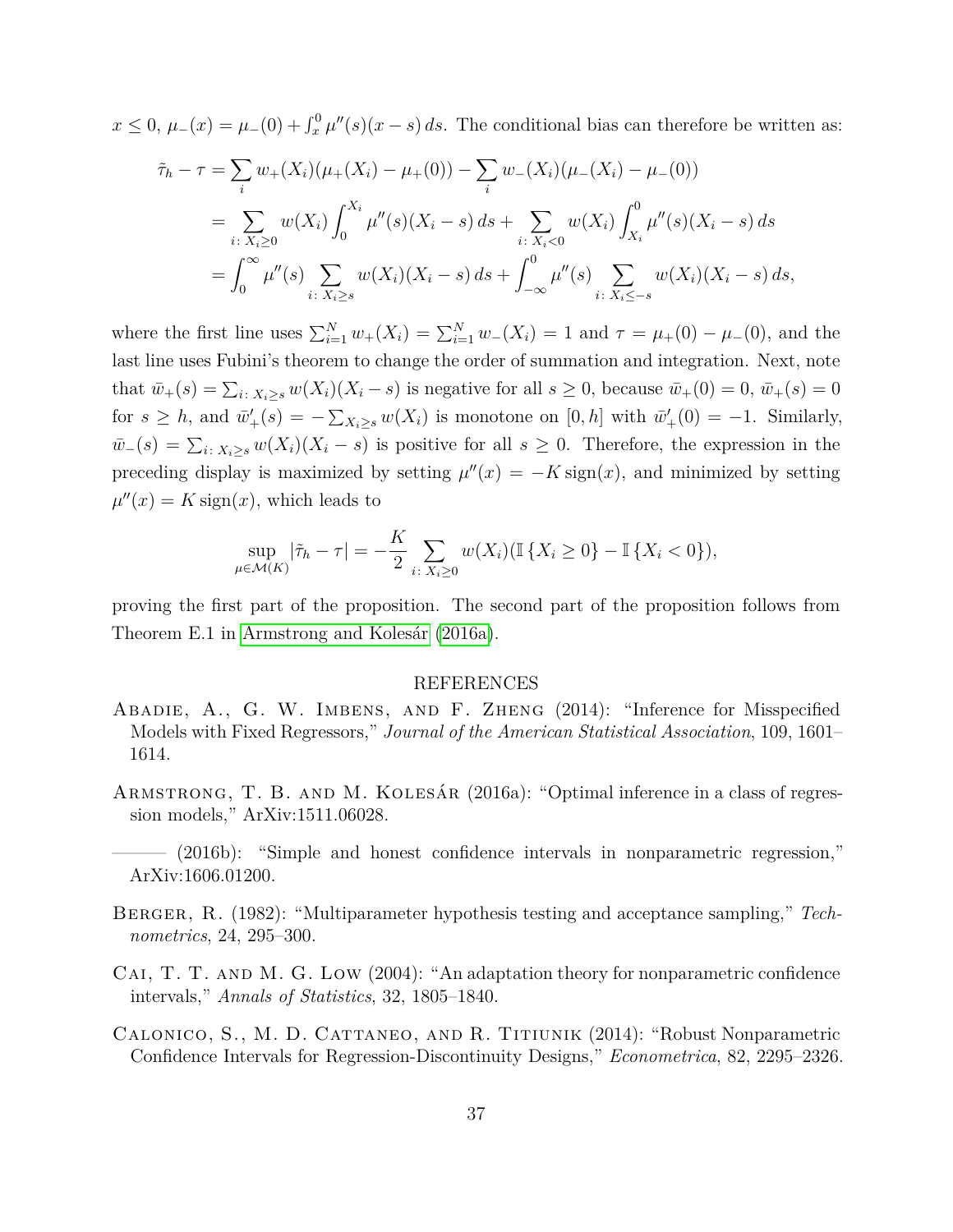$x \leq 0$ ,  $\mu_-(x) = \mu_-(0) + \int_x^0 \mu''(s)(x - s) ds$ . The conditional bias can therefore be written as:

$$
\tilde{\tau}_h - \tau = \sum_i w_+(X_i)(\mu_+(X_i) - \mu_+(0)) - \sum_i w_-(X_i)(\mu_-(X_i) - \mu_-(0))
$$
  
\n
$$
= \sum_{i \colon X_i \ge 0} w(X_i) \int_0^{X_i} \mu''(s)(X_i - s) ds + \sum_{i \colon X_i < 0} w(X_i) \int_{X_i}^0 \mu''(s)(X_i - s) ds
$$
  
\n
$$
= \int_0^\infty \mu''(s) \sum_{i \colon X_i \ge s} w(X_i)(X_i - s) ds + \int_{-\infty}^0 \mu''(s) \sum_{i \colon X_i \le -s} w(X_i)(X_i - s) ds,
$$

where the first line uses  $\sum_{i=1}^{N} w_{+}(X_i) = \sum_{i=1}^{N} w_{-}(X_i) = 1$  and  $\tau = \mu_{+}(0) - \mu_{-}(0)$ , and the last line uses Fubini's theorem to change the order of summation and integration. Next, note that  $\bar{w}_+(s) = \sum_{i \colon X_i \ge s} w(X_i)(X_i - s)$  is negative for all  $s \ge 0$ , because  $\bar{w}_+(0) = 0$ ,  $\bar{w}_+(s) = 0$ for  $s \geq h$ , and  $\bar{w}'_+(s) = -\sum_{X_i \geq s} w(X_i)$  is monotone on  $[0, h]$  with  $\bar{w}'_+(0) = -1$ . Similarly,  $\bar{w}_-(s) = \sum_{i: X_i \geq s} w(X_i)(X_i - s)$  is positive for all  $s \geq 0$ . Therefore, the expression in the preceding display is maximized by setting  $\mu''(x) = -K \text{sign}(x)$ , and minimized by setting  $\mu''(x) = K \operatorname{sign}(x)$ , which leads to

$$
\sup_{\mu \in \mathcal{M}(K)} |\tilde{\tau}_h - \tau| = -\frac{K}{2} \sum_{i \colon X_i \ge 0} w(X_i) (\mathbb{I} \{ X_i \ge 0 \} - \mathbb{I} \{ X_i < 0 \}),
$$

proving the first part of the proposition. The second part of the proposition follows from Theorem E.1 in [Armstrong and Kolesár](#page-38-5) [\(2016a\)](#page-38-5).

#### REFERENCES

- <span id="page-38-3"></span>Abadie, A., G. W. Imbens, and F. Zheng (2014): "Inference for Misspecified Models with Fixed Regressors," *Journal of the American Statistical Association*, 109, 1601– 1614.
- <span id="page-38-5"></span>Armstrong, T. B. and M. Kolesár (2016a): "Optimal inference in a class of regression models," ArXiv:1511.06028.
- <span id="page-38-1"></span> $(2016b)$ : "Simple and honest confidence intervals in nonparametric regression," ArXiv:1606.01200.
- <span id="page-38-2"></span>Berger, R. (1982): "Multiparameter hypothesis testing and acceptance sampling," *Technometrics*, 24, 295–300.
- <span id="page-38-4"></span>CAI, T. T. AND M. G. LOW (2004): "An adaptation theory for nonparametric confidence intervals," *Annals of Statistics*, 32, 1805–1840.
- <span id="page-38-0"></span>Calonico, S., M. D. Cattaneo, and R. Titiunik (2014): "Robust Nonparametric Confidence Intervals for Regression-Discontinuity Designs," *Econometrica*, 82, 2295–2326.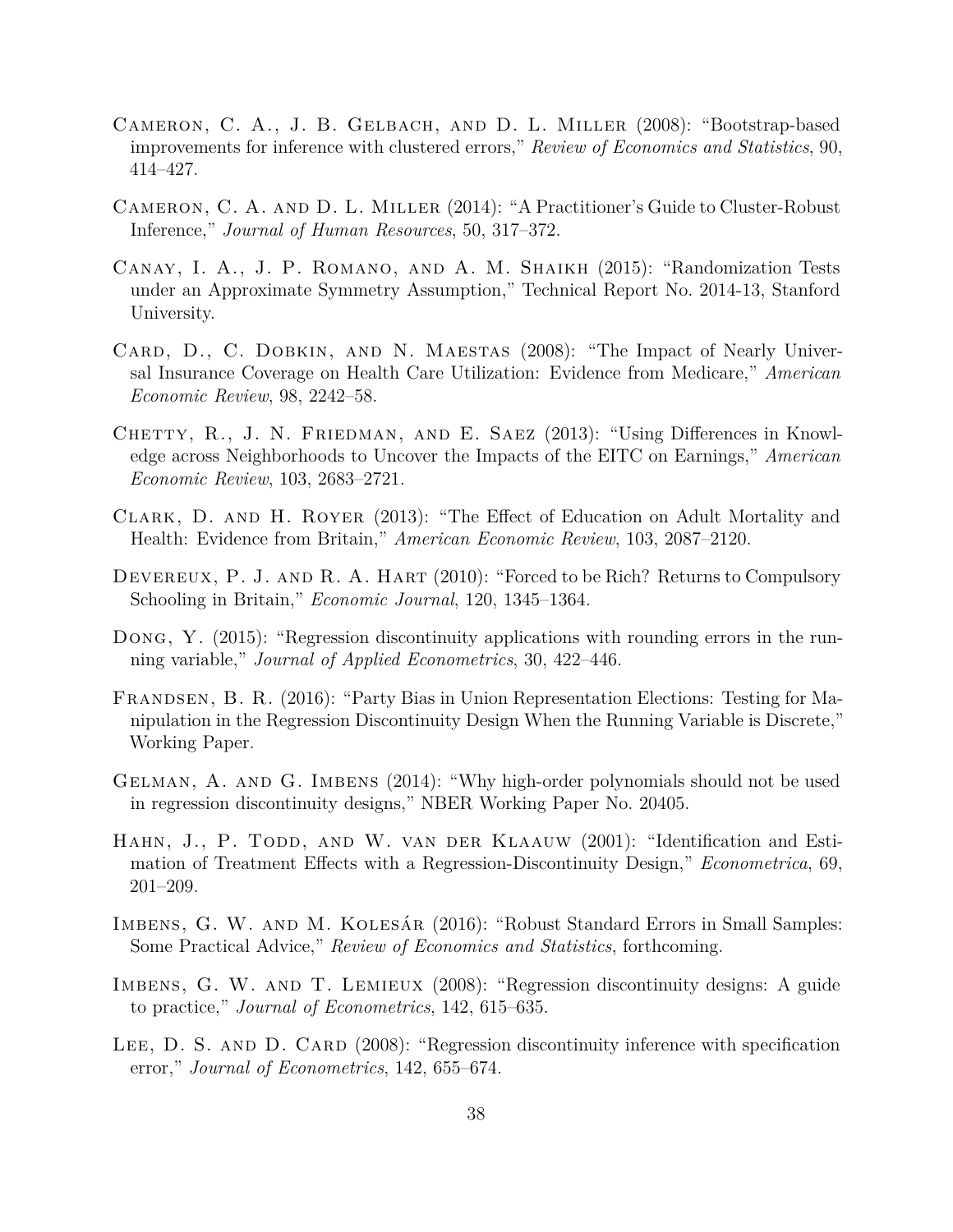- <span id="page-39-7"></span>Cameron, C. A., J. B. Gelbach, and D. L. Miller (2008): "Bootstrap-based improvements for inference with clustered errors," *Review of Economics and Statistics*, 90, 414–427.
- <span id="page-39-2"></span>Cameron, C. A. and D. L. Miller (2014): "A Practitioner's Guide to Cluster-Robust Inference," *Journal of Human Resources*, 50, 317–372.
- <span id="page-39-8"></span>Canay, I. A., J. P. Romano, and A. M. Shaikh (2015): "Randomization Tests under an Approximate Symmetry Assumption," Technical Report No. 2014-13, Stanford University.
- <span id="page-39-4"></span>CARD, D., C. DOBKIN, AND N. MAESTAS (2008): "The Impact of Nearly Universal Insurance Coverage on Health Care Utilization: Evidence from Medicare," *American Economic Review*, 98, 2242–58.
- <span id="page-39-5"></span>CHETTY, R., J. N. FRIEDMAN, AND E. SAEZ (2013): "Using Differences in Knowledge across Neighborhoods to Uncover the Impacts of the EITC on Earnings," *American Economic Review*, 103, 2683–2721.
- <span id="page-39-6"></span>Clark, D. and H. Royer (2013): "The Effect of Education on Adult Mortality and Health: Evidence from Britain," *American Economic Review*, 103, 2087–2120.
- <span id="page-39-12"></span>DEVEREUX, P. J. AND R. A. HART (2010): "Forced to be Rich? Returns to Compulsory Schooling in Britain," *Economic Journal*, 120, 1345–1364.
- <span id="page-39-3"></span>Dong, Y. (2015): "Regression discontinuity applications with rounding errors in the running variable," *Journal of Applied Econometrics*, 30, 422–446.
- <span id="page-39-13"></span>Frandsen, B. R. (2016): "Party Bias in Union Representation Elections: Testing for Manipulation in the Regression Discontinuity Design When the Running Variable is Discrete," Working Paper.
- <span id="page-39-11"></span>Gelman, A. and G. Imbens (2014): "Why high-order polynomials should not be used in regression discontinuity designs," NBER Working Paper No. 20405.
- <span id="page-39-0"></span>HAHN, J., P. TODD, AND W. VAN DER KLAAUW (2001): "Identification and Estimation of Treatment Effects with a Regression-Discontinuity Design," *Econometrica*, 69, 201–209.
- <span id="page-39-9"></span>Imbens, G. W. and M. Kolesár (2016): "Robust Standard Errors in Small Samples: Some Practical Advice," *Review of Economics and Statistics*, forthcoming.
- <span id="page-39-10"></span>Imbens, G. W. and T. Lemieux (2008): "Regression discontinuity designs: A guide to practice," *Journal of Econometrics*, 142, 615–635.
- <span id="page-39-1"></span>LEE, D. S. AND D. CARD (2008): "Regression discontinuity inference with specification error," *Journal of Econometrics*, 142, 655–674.